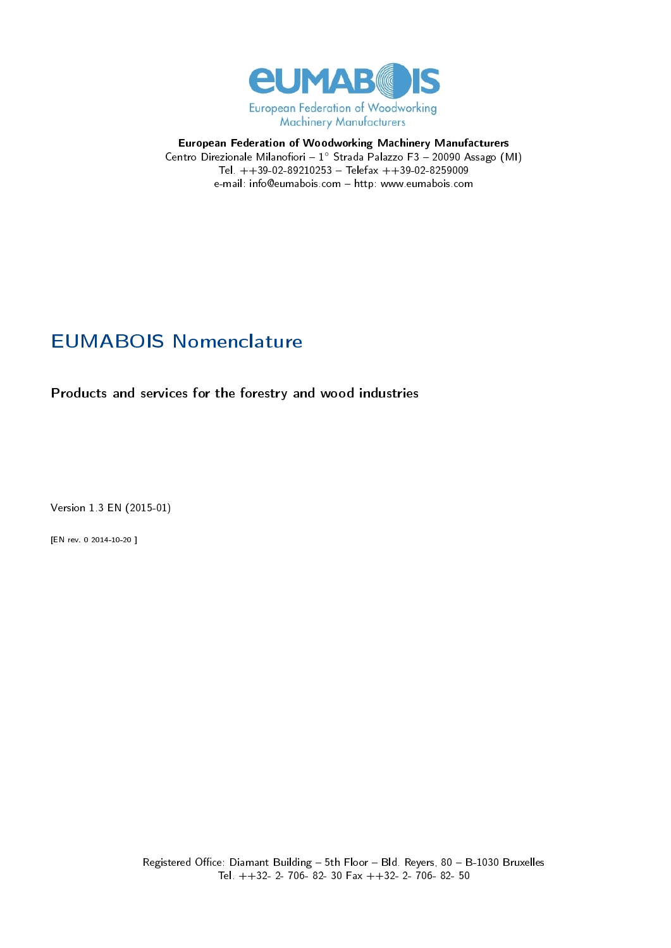

## European Federation of Woodworking Machinery Manufacturers Centro Direzionale Milanofiori – 1° Strada Palazzo F3 - 20090 Assago (MI) Tel.  $++39-02-89210253 - Telefax ++39-02-8259009$ e-mail: info@eumabois.com http: www.eumabois.com

## EUMABOIS Nomenclature

Products and services for the forestry and wood industries

Version 1.3 EN (2015-01)

[EN rev. 0 2014-10-20 ]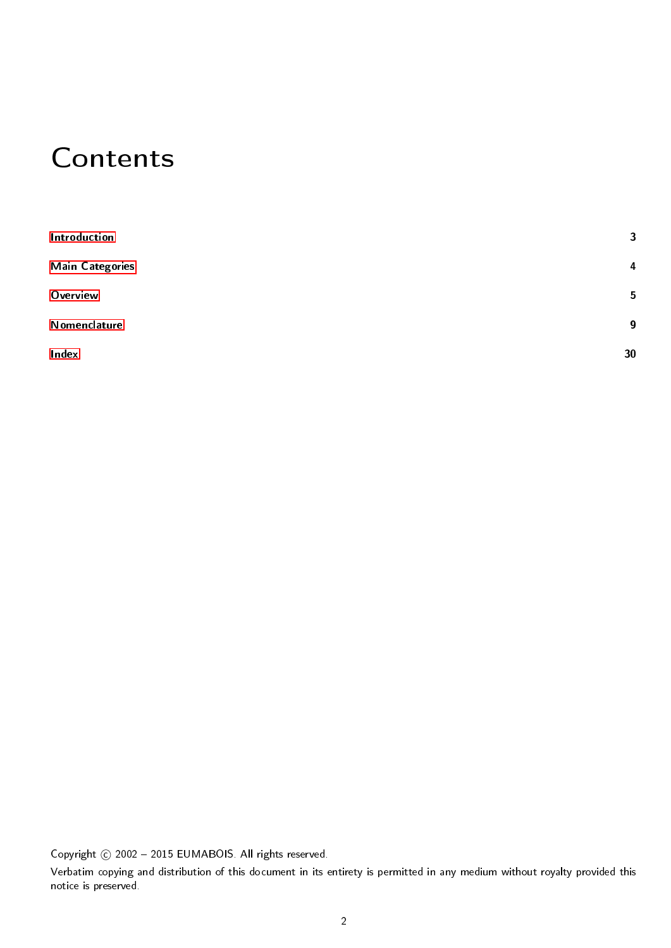## Contents

| Introduction           | 3                |
|------------------------|------------------|
| <b>Main Categories</b> | 4                |
| Overview               | 5                |
| Nomenclature           | $\boldsymbol{9}$ |
| Index                  | 30               |

Copyright © 2002 - 2015 EUMABOIS. All rights reserved.

Verbatim copying and distribution of this document in its entirety is permitted in any medium without royalty provided this notice is preserved.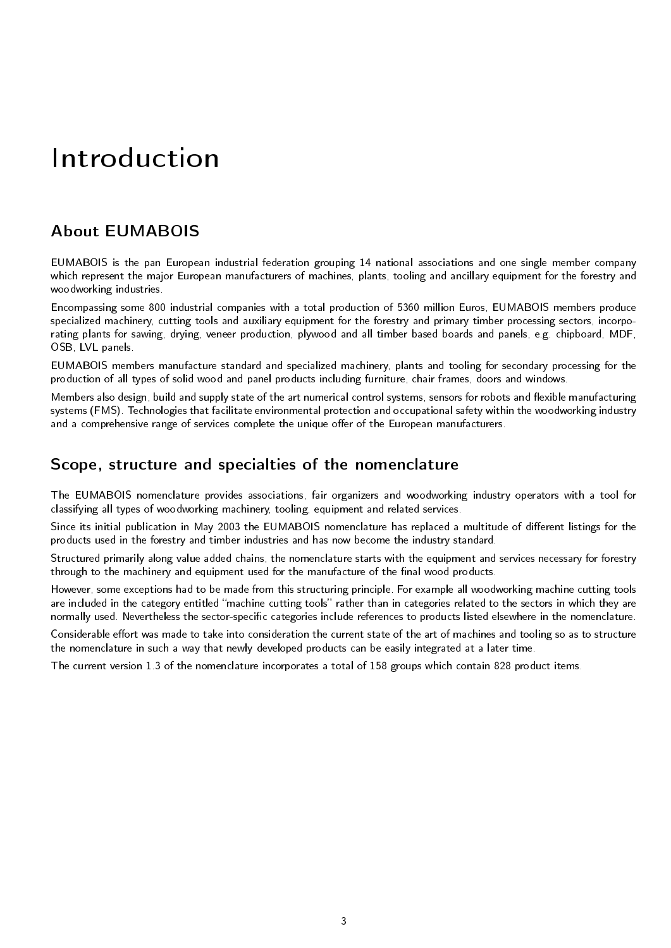# <span id="page-2-0"></span>Introduction

## About EUMABOIS

EUMABOIS is the pan European industrial federation grouping 14 national associations and one single member company which represent the major European manufacturers of machines, plants, tooling and ancillary equipment for the forestry and woodworking industries.

Encompassing some 800 industrial companies with a total production of 5360 million Euros, EUMABOIS members produce specialized machinery, cutting tools and auxiliary equipment for the forestry and primary timber processing sectors, incorporating plants for sawing, drying, veneer production, plywood and all timber based boards and panels, e.g. chipboard, MDF, OSB, LVL panels.

EUMABOIS members manufacture standard and specialized machinery, plants and tooling for secondary processing for the production of all types of solid wood and panel products including furniture, chair frames, doors and windows.

Members also design, build and supply state of the art numerical control systems, sensors for robots and flexible manufacturing systems (FMS). Technologies that facilitate environmental protection and occupational safety within the woodworking industry and a comprehensive range of services complete the unique offer of the European manufacturers.

## Scope, structure and specialties of the nomenclature

The EUMABOIS nomenclature provides associations, fair organizers and woodworking industry operators with a tool for classifying all types of woodworking machinery, tooling, equipment and related services.

Since its initial publication in May 2003 the EUMABOIS nomenclature has replaced a multitude of different listings for the products used in the forestry and timber industries and has now become the industry standard.

Structured primarily along value added chains, the nomenclature starts with the equipment and services necessary for forestry through to the machinery and equipment used for the manufacture of the final wood products.

However, some exceptions had to be made from this structuring principle. For example all woodworking machine cutting tools are included in the category entitled "machine cutting tools" rather than in categories related to the sectors in which they are normally used. Nevertheless the sector-specific categories include references to products listed elsewhere in the nomenclature.

Considerable effort was made to take into consideration the current state of the art of machines and tooling so as to structure the nomenclature in such a way that newly developed products can be easily integrated at a later time.

The current version 1.3 of the nomenclature incorporates a total of 158 groups which contain 828 product items.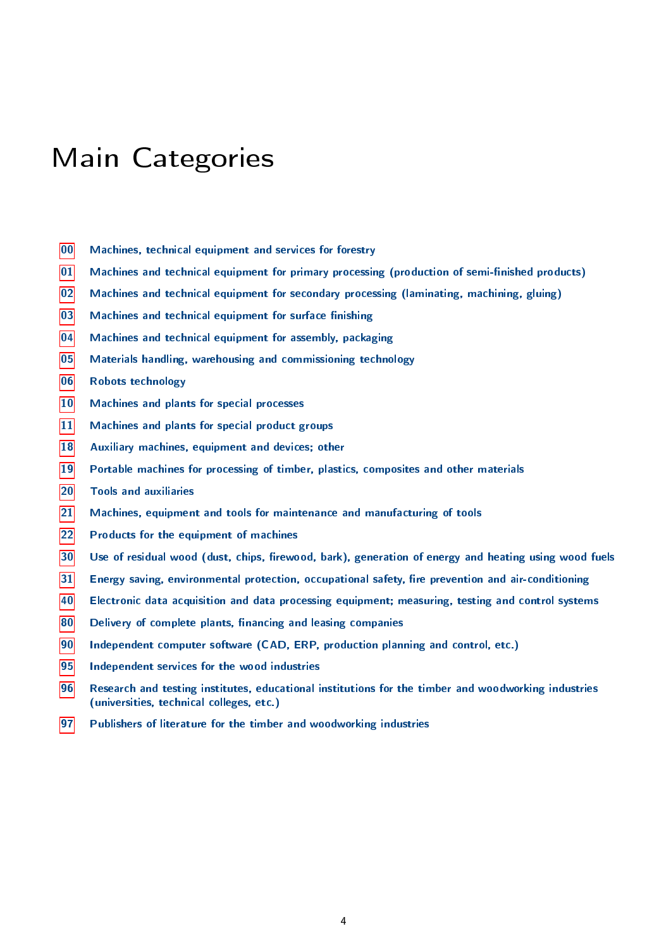## <span id="page-3-0"></span>Main Categories

- Machines, technical equipment and services for forestry
- Machines and technical equipment for primary processing (production of semi-finished products)
- Machines and technical equipment for secondary processing (laminating, machining, gluing)
- Machines and technical equipment for surface finishing
- Machines and technical equipment for assembly, packaging
- Materials handling, warehousing and commissioning technology
- Robots technology
- Machines and plants for special processes
- Machines and plants for special product groups
- Auxiliary machines, equipment and devices; other
- Portable machines for processing of timber, plastics, composites and other materials
- Tools and auxiliaries
- Machines, equipment and tools for maintenance and manufacturing of tools
- Products for the equipment of machines
- Use of residual wood (dust, chips, firewood, bark), generation of energy and heating using wood fuels
- Energy saving, environmental protection, occupational safety, fire prevention and air-conditioning
- Electronic data acquisition and data processing equipment; measuring, testing and control systems
- Delivery of complete plants, financing and leasing companies
- Independent computer software (CAD, ERP, production planning and control, etc.)
- Independent services for the wood industries
- Research and testing institutes, educational institutions for the timber and woodworking industries (universities, technical colleges, etc.)
- Publishers of literature for the timber and woodworking industries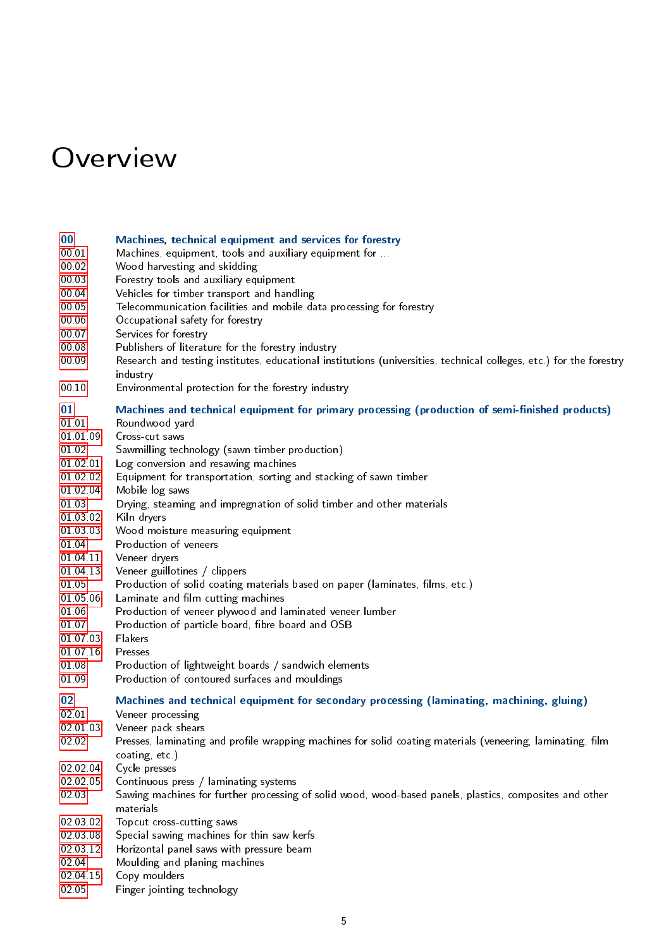## <span id="page-4-0"></span>Overview

#### [00](#page-8-1) Machines, technical equipment and services for forestry

- [00.01](#page-8-2) Machines, equipment, tools and auxiliary equipment for ...
- [00.02](#page-8-3) Wood harvesting and skidding
- [00.03](#page-8-4) Forestry tools and auxiliary equipment
- [00.04](#page-9-1) Vehicles for timber transport and handling
- [00.05](#page-9-2) Telecommunication facilities and mobile data processing for forestry
- [00.06](#page-9-3) Occupational safety for forestry
- [00.07](#page-9-4) Services for forestry
- [00.08](#page-9-5) Publishers of literature for the forestry industry
- [00.09](#page-9-6) Research and testing institutes, educational institutions (universities, technical colleges, etc.) for the forestry industry
- [00.10](#page-9-7) Environmental protection for the forestry industry

#### [01](#page-9-0) Machines and technical equipment for primary processing (production of semi-finished products)

- [01.01](#page-9-8) Roundwood yard
- [01.01.09](#page-10-0) Cross-cut saws
- [01.02](#page-10-1) Sawmilling technology (sawn timber production)
- [01.02.01](#page-10-2) Log conversion and resawing machines
- [01.02.02](#page-10-3) Equipment for transportation, sorting and stacking of sawn timber
- [01.02.04](#page-10-4) Mobile log saws
- [01.03](#page-10-5) Drying, steaming and impregnation of solid timber and other materials
- [01.03.02](#page-10-6) Kiln dryers
- [01.03.03](#page-10-7) Wood moisture measuring equipment
- [01.04](#page-11-0) Production of veneers
- [01.04.11](#page-11-1) Veneer dryers
- [01.04.13](#page-11-2) Veneer guillotines / clippers
- [01.05](#page-11-3) Production of solid coating materials based on paper (laminates, films, etc.)
- [01.05.06](#page-11-4) Laminate and film cutting machines
- [01.06](#page-11-5) Production of veneer plywood and laminated veneer lumber
- [01.07](#page-12-0) Production of particle board, fibre board and OSB
- [01.07.03](#page-12-1) Flakers
- [01.07.16](#page-12-2) Presses
- [01.08](#page-13-1) Production of lightweight boards / sandwich elements
- [01.09](#page-13-2) Production of contoured surfaces and mouldings

### [02](#page-13-0) Machines and technical equipment for secondary processing (laminating, machining, gluing)

- [02.01](#page-13-3) Veneer processing
- [02.01.03](#page-13-4) Veneer pack shears
- [02.02](#page-13-5) Presses, laminating and profile wrapping machines for solid coating materials (veneering, laminating, film coating, etc.)
- [02.02.04](#page-14-0) Cycle presses
- [02.02.05](#page-14-1) Continuous press / laminating systems
- [02.03](#page-14-2) Sawing machines for further processing of solid wood, wood-based panels, plastics, composites and other materials
- [02.03.02](#page-14-3) Topcut cross-cutting saws
- [02.03.08](#page-14-4) Special sawing machines for thin saw kerfs
- [02.03.12](#page-14-5) Horizontal panel saws with pressure beam
- [02.04](#page-14-6) Moulding and planing machines
- [02.04.15](#page-15-0) Copy moulders
- [02.05](#page-15-1) Finger jointing technology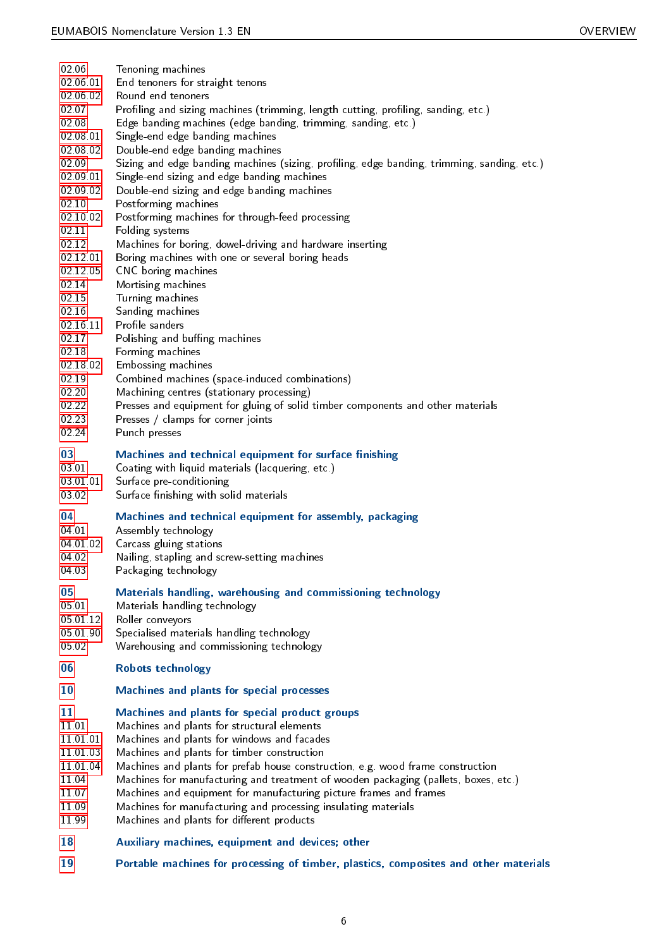- [02.06](#page-15-2) Tenoning machines [02.06.01](#page-15-3) End tenoners for straight tenons [02.06.02](#page-15-4) Round end tenoners [02.07](#page-15-5) Profiling and sizing machines (trimming, length cutting, profiling, sanding, etc.) [02.08](#page-15-6) Edge banding machines (edge banding, trimming, sanding, etc.) [02.08.01](#page-15-7) Single-end edge banding machines [02.08.02](#page-15-8) Double-end edge banding machines [02.09](#page-16-0) Sizing and edge banding machines (sizing, profiling, edge banding, trimming, sanding, etc.) [02.09.01](#page-16-1) Single-end sizing and edge banding machines [02.09.02](#page-16-2) Double-end sizing and edge banding machines [02.10](#page-16-3) Postforming machines [02.10.02](#page-16-4) Postforming machines for through-feed processing [02.11](#page-16-5) Folding systems [02.12](#page-16-6) Machines for boring, dowel-driving and hardware inserting [02.12.01](#page-16-7) Boring machines with one or several boring heads [02.12.05](#page-16-8) CNC boring machines [02.14](#page-16-9) Mortising machines [02.15](#page-16-10) Turning machines [02.16](#page-17-0) Sanding machines [02.16.11](#page-17-1) Profile sanders [02.17](#page-17-2) Polishing and buffing machines [02.18](#page-17-3) Forming machines [02.18.02](#page-17-4) Embossing machines [02.19](#page-17-5) Combined machines (space-induced combinations) [02.20](#page-17-6) Machining centres (stationary processing)<br>02.22 Presses and equipment for gluing of solid Presses and equipment for gluing of solid timber components and other materials [02.23](#page-17-8) Presses / clamps for corner joints [02.24](#page-18-2) Punch presses [03](#page-18-0) Machines and technical equipment for surface finishing [03.01](#page-18-3) Coating with liquid materials (lacquering, etc.) [03.01.01](#page-18-4) Surface pre-conditioning [03.02](#page-18-5) Surface finishing with solid materials [04](#page-18-1) Machines and technical equipment for assembly, packaging [04.01](#page-18-6) Assembly technology [04.01.02](#page-18-7) Carcass gluing stations [04.02](#page-18-8) Nailing, stapling and screw-setting machines [04.03](#page-18-9) Packaging technology [05](#page-19-0) Materials handling, warehousing and commissioning technology [05.01](#page-19-3) Materials handling technology [05.01.12](#page-19-4) Roller conveyors [05.01.90](#page-19-5) Specialised materials handling technology [05.02](#page-19-6) Warehousing and commissioning technology [06](#page-19-1) Robots technology [10](#page-19-2) Machines and plants for special processes [11](#page-20-0) Machines and plants for special product groups [11.01](#page-20-1) Machines and plants for structural elements [11.01.01](#page-20-2) Machines and plants for windows and facades [11.01.03](#page-20-3) Machines and plants for timber construction [11.01.04](#page-20-4) Machines and plants for prefab house construction, e.g. wood frame construction [11.04](#page-20-5) Machines for manufacturing and treatment of wooden packaging (pallets, boxes, etc.) [11.07](#page-20-6) Machines and equipment for manufacturing picture frames and frames [11.09](#page-20-7) Machines for manufacturing and processing insulating materials [11.99](#page-20-8) Machines and plants for different products [18](#page-21-0) Auxiliary machines, equipment and devices; other
- [19](#page-21-1) Portable machines for processing of timber, plastics, composites and other materials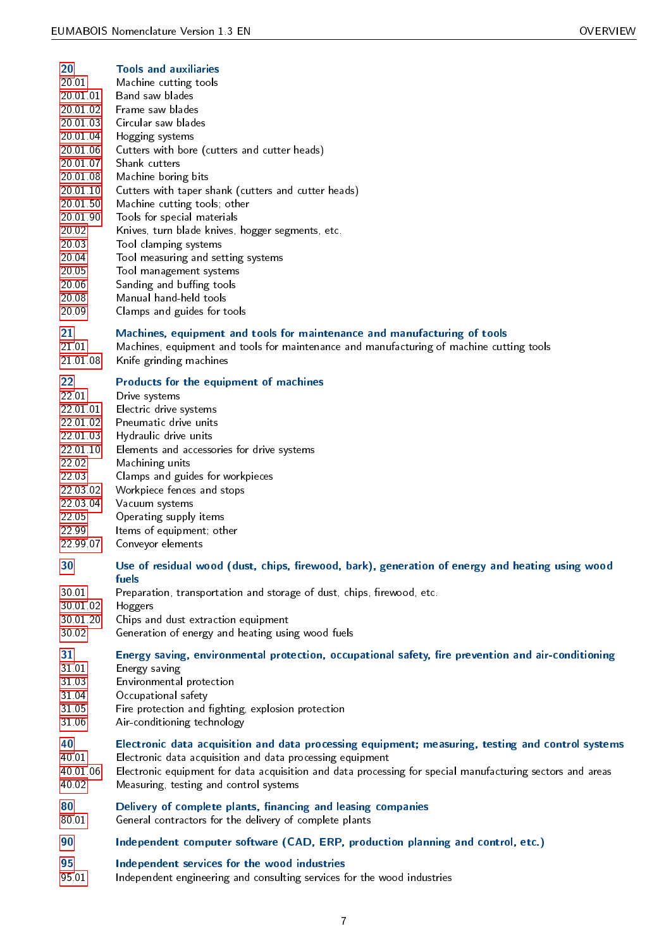## [20](#page-21-2) Tools and auxiliaries

- [20.01](#page-21-3) Machine cutting tools
- [20.01.01](#page-21-4) Band saw blades
- [20.01.02](#page-21-5) Frame saw blades
- [20.01.03](#page-22-0) Circular saw blades
- [20.01.04](#page-22-1) Hogging systems
- [20.01.06](#page-22-2) Cutters with bore (cutters and cutter heads)
- [20.01.07](#page-22-3) Shank cutters
- [20.01.08](#page-22-4) Machine boring bits
- [20.01.10](#page-22-5) Cutters with taper shank (cutters and cutter heads)
- [20.01.50](#page-22-6) Machine cutting tools; other
- [20.01.90](#page-22-7) Tools for special materials
- [20.02](#page-22-8) Knives, turn blade knives, hogger segments, etc.
- [20.03](#page-23-1) Tool clamping systems
- [20.04](#page-23-2) Tool measuring and setting systems
- [20.05](#page-23-3) Tool management systems
- [20.06](#page-23-4) Sanding and buffing tools
- [20.08](#page-23-5) Manual hand-held tools
- [20.09](#page-23-6) Clamps and guides for tools

## [21](#page-23-0) Machines, equipment and tools for maintenance and manufacturing of tools

- [21.01](#page-23-7) Machines, equipment and tools for maintenance and manufacturing of machine cutting tools
- [21.01.08](#page-23-8) Knife grinding machines

## [22](#page-24-0) Products for the equipment of machines

- [22.01](#page-24-1) Drive systems
- [22.01.01](#page-24-2) Electric drive systems
- [22.01.02](#page-24-3) Pneumatic drive units
- [22.01.03](#page-24-4) Hydraulic drive units
- [22.01.10](#page-24-5) Elements and accessories for drive systems
- [22.02](#page-24-6) Machining units
- [22.03](#page-24-7) Clamps and guides for workpieces
- [22.03.02](#page-24-8) Workpiece fences and stops
- [22.03.04](#page-24-9) Vacuum systems
- [22.05](#page-25-1) Operating supply items
- [22.99](#page-25-2) Items of equipment; other
- [22.99.07](#page-25-3) Conveyor elements

## [30](#page-25-0) Use of residual wood (dust, chips, firewood, bark), generation of energy and heating using wood fuels

- [30.01](#page-25-4) Preparation, transportation and storage of dust, chips, firewood, etc.
- [30.01.02](#page-25-5) Hoggers
- [30.01.20](#page-25-6) Chips and dust extraction equipment
- [30.02](#page-26-2) Generation of energy and heating using wood fuels

## [31](#page-26-0) Energy saving, environmental protection, occupational safety, fire prevention and air-conditioning

- [31.01](#page-26-3) Energy saving
- [31.03](#page-26-4) Environmental protection
- [31.04](#page-26-5) Occupational safety
- [31.05](#page-26-6) Fire protection and fighting, explosion protection
- [31.06](#page-26-7) Air-conditioning technology

## [40](#page-26-1) Electronic data acquisition and data processing equipment; measuring, testing and control systems

- [40.01](#page-26-8) Electronic data acquisition and data processing equipment
- [40.01.06](#page-27-3) Electronic equipment for data acquisition and data processing for special manufacturing sectors and areas [40.02](#page-27-4) Measuring, testing and control systems
- [80](#page-27-0) Delivery of complete plants, financing and leasing companies
- [80.01](#page-27-5) General contractors for the delivery of complete plants
- [90](#page-27-1) Independent computer software (CAD, ERP, production planning and control, etc.)

### [95](#page-27-2) Independent services for the wood industries

[95.01](#page-27-6) Independent engineering and consulting services for the wood industries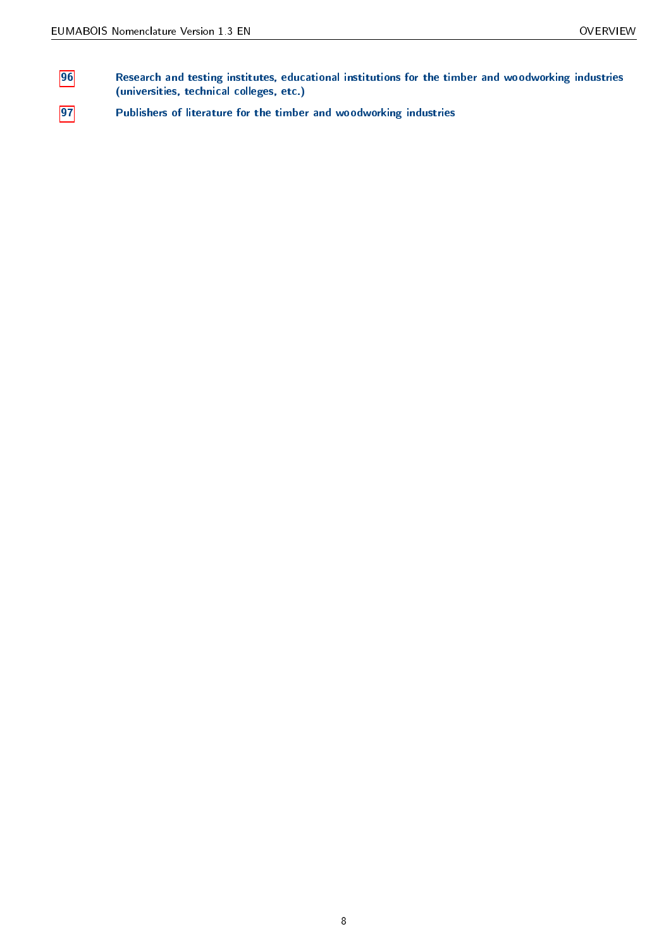- [96](#page-28-0) Research and testing institutes, educational institutions for the timber and woodworking industries (universities, technical colleges, etc.)
- [97](#page-28-1) Publishers of literature for the timber and woodworking industries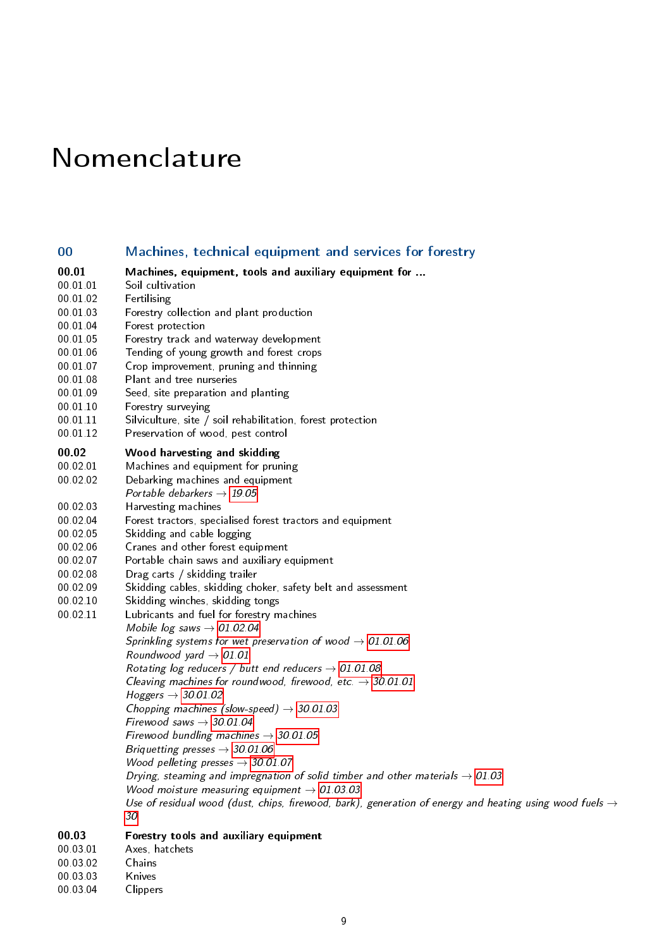# <span id="page-8-0"></span>Nomenclature

<span id="page-8-31"></span><span id="page-8-30"></span><span id="page-8-27"></span><span id="page-8-26"></span><span id="page-8-25"></span><span id="page-8-24"></span><span id="page-8-23"></span><span id="page-8-22"></span><span id="page-8-19"></span><span id="page-8-18"></span><span id="page-8-17"></span><span id="page-8-16"></span><span id="page-8-15"></span><span id="page-8-14"></span><span id="page-8-13"></span><span id="page-8-11"></span><span id="page-8-10"></span><span id="page-8-6"></span><span id="page-8-3"></span><span id="page-8-2"></span><span id="page-8-1"></span>

| 00                                                                                                                                        | Machines, technical equipment and services for forestry                                                                                                                                                                                                                                                                                                                                                                                                                                                                                                                                                                                                                                                                                                                                                                                                                                                                                                                                                                                                                                                                                                                                                                                                                                                                                                                                                                  |
|-------------------------------------------------------------------------------------------------------------------------------------------|--------------------------------------------------------------------------------------------------------------------------------------------------------------------------------------------------------------------------------------------------------------------------------------------------------------------------------------------------------------------------------------------------------------------------------------------------------------------------------------------------------------------------------------------------------------------------------------------------------------------------------------------------------------------------------------------------------------------------------------------------------------------------------------------------------------------------------------------------------------------------------------------------------------------------------------------------------------------------------------------------------------------------------------------------------------------------------------------------------------------------------------------------------------------------------------------------------------------------------------------------------------------------------------------------------------------------------------------------------------------------------------------------------------------------|
| 00.01                                                                                                                                     | Machines, equipment, tools and auxiliary equipment for                                                                                                                                                                                                                                                                                                                                                                                                                                                                                                                                                                                                                                                                                                                                                                                                                                                                                                                                                                                                                                                                                                                                                                                                                                                                                                                                                                   |
| 00 01 01                                                                                                                                  | Soil cultivation                                                                                                                                                                                                                                                                                                                                                                                                                                                                                                                                                                                                                                                                                                                                                                                                                                                                                                                                                                                                                                                                                                                                                                                                                                                                                                                                                                                                         |
| 00 01 02                                                                                                                                  | Fertilising                                                                                                                                                                                                                                                                                                                                                                                                                                                                                                                                                                                                                                                                                                                                                                                                                                                                                                                                                                                                                                                                                                                                                                                                                                                                                                                                                                                                              |
| 00.01.03                                                                                                                                  | Forestry collection and plant production                                                                                                                                                                                                                                                                                                                                                                                                                                                                                                                                                                                                                                                                                                                                                                                                                                                                                                                                                                                                                                                                                                                                                                                                                                                                                                                                                                                 |
| 00 01 04                                                                                                                                  | Forest protection                                                                                                                                                                                                                                                                                                                                                                                                                                                                                                                                                                                                                                                                                                                                                                                                                                                                                                                                                                                                                                                                                                                                                                                                                                                                                                                                                                                                        |
| 00 01 05                                                                                                                                  | Forestry track and waterway development                                                                                                                                                                                                                                                                                                                                                                                                                                                                                                                                                                                                                                                                                                                                                                                                                                                                                                                                                                                                                                                                                                                                                                                                                                                                                                                                                                                  |
| 00 01 06                                                                                                                                  | Tending of young growth and forest crops                                                                                                                                                                                                                                                                                                                                                                                                                                                                                                                                                                                                                                                                                                                                                                                                                                                                                                                                                                                                                                                                                                                                                                                                                                                                                                                                                                                 |
| 00 01 07                                                                                                                                  | Crop improvement, pruning and thinning                                                                                                                                                                                                                                                                                                                                                                                                                                                                                                                                                                                                                                                                                                                                                                                                                                                                                                                                                                                                                                                                                                                                                                                                                                                                                                                                                                                   |
| 00 01 08                                                                                                                                  | Plant and tree nurseries                                                                                                                                                                                                                                                                                                                                                                                                                                                                                                                                                                                                                                                                                                                                                                                                                                                                                                                                                                                                                                                                                                                                                                                                                                                                                                                                                                                                 |
| 00 01 09                                                                                                                                  | Seed, site preparation and planting                                                                                                                                                                                                                                                                                                                                                                                                                                                                                                                                                                                                                                                                                                                                                                                                                                                                                                                                                                                                                                                                                                                                                                                                                                                                                                                                                                                      |
| 00 01 10                                                                                                                                  | Forestry surveying                                                                                                                                                                                                                                                                                                                                                                                                                                                                                                                                                                                                                                                                                                                                                                                                                                                                                                                                                                                                                                                                                                                                                                                                                                                                                                                                                                                                       |
| 00 01 11                                                                                                                                  | Silviculture, site / soil rehabilitation, forest protection                                                                                                                                                                                                                                                                                                                                                                                                                                                                                                                                                                                                                                                                                                                                                                                                                                                                                                                                                                                                                                                                                                                                                                                                                                                                                                                                                              |
| 00 01 12                                                                                                                                  | Preservation of wood, pest control                                                                                                                                                                                                                                                                                                                                                                                                                                                                                                                                                                                                                                                                                                                                                                                                                                                                                                                                                                                                                                                                                                                                                                                                                                                                                                                                                                                       |
| 00.02<br>00 02 01<br>00.02.02<br>00 02 03<br>00 02 04<br>00 02 05<br>00 02 06<br>00.02.07<br>00 02 08<br>00 02 09<br>00.02.10<br>00 02 11 | Wood harvesting and skidding<br>Machines and equipment for pruning<br>Debarking machines and equipment<br>Portable debarkers $\rightarrow$ 19.05<br>Harvesting machines<br>Forest tractors, specialised forest tractors and equipment<br>Skidding and cable logging<br>Cranes and other forest equipment<br>Portable chain saws and auxiliary equipment<br>Drag carts / skidding trailer<br>Skidding cables, skidding choker, safety belt and assessment<br>Skidding winches, skidding tongs<br>Lubricants and fuel for forestry machines<br>Mobile log saws $\rightarrow$ 01.02.04<br>Sprinkling systems for wet preservation of wood $\rightarrow$ 01.01.06<br>Roundwood yard $\rightarrow$ 01.01<br>Rotating log reducers / butt end reducers $\rightarrow$ 01.01.08<br>Cleaving machines for roundwood, firewood, etc. $\rightarrow$ 30.01.01<br>Hoggers $\rightarrow$ 30.01.02<br>Chopping machines (slow-speed) $\rightarrow$ 30.01.03<br>Firewood saws $\rightarrow$ 30.01.04<br>Firewood bundling machines $\rightarrow$ 30.01.05<br>Briquetting presses $\rightarrow$ 30 01 06<br>Wood pelleting presses $\rightarrow$ 30.01.07<br>Drying, steaming and impregnation of solid timber and other materials $\rightarrow$ 01.03<br>Wood moisture measuring equipment $\rightarrow$ 01.03.03<br>Use of residual wood (dust, chips, firewood, bark), generation of energy and heating using wood fuels $\rightarrow$ |
| 00.03                                                                                                                                     | 30                                                                                                                                                                                                                                                                                                                                                                                                                                                                                                                                                                                                                                                                                                                                                                                                                                                                                                                                                                                                                                                                                                                                                                                                                                                                                                                                                                                                                       |
| 00 03 01                                                                                                                                  | Forestry tools and auxiliary equipment                                                                                                                                                                                                                                                                                                                                                                                                                                                                                                                                                                                                                                                                                                                                                                                                                                                                                                                                                                                                                                                                                                                                                                                                                                                                                                                                                                                   |
| 00.02.02                                                                                                                                  | Axes, hatchets                                                                                                                                                                                                                                                                                                                                                                                                                                                                                                                                                                                                                                                                                                                                                                                                                                                                                                                                                                                                                                                                                                                                                                                                                                                                                                                                                                                                           |

<span id="page-8-29"></span><span id="page-8-28"></span><span id="page-8-21"></span><span id="page-8-12"></span><span id="page-8-7"></span><span id="page-8-5"></span><span id="page-8-4"></span>00.03.02 Chains

<span id="page-8-20"></span><span id="page-8-9"></span><span id="page-8-8"></span>00.03.03 Knives<br>00.03.04 Clipper Clippers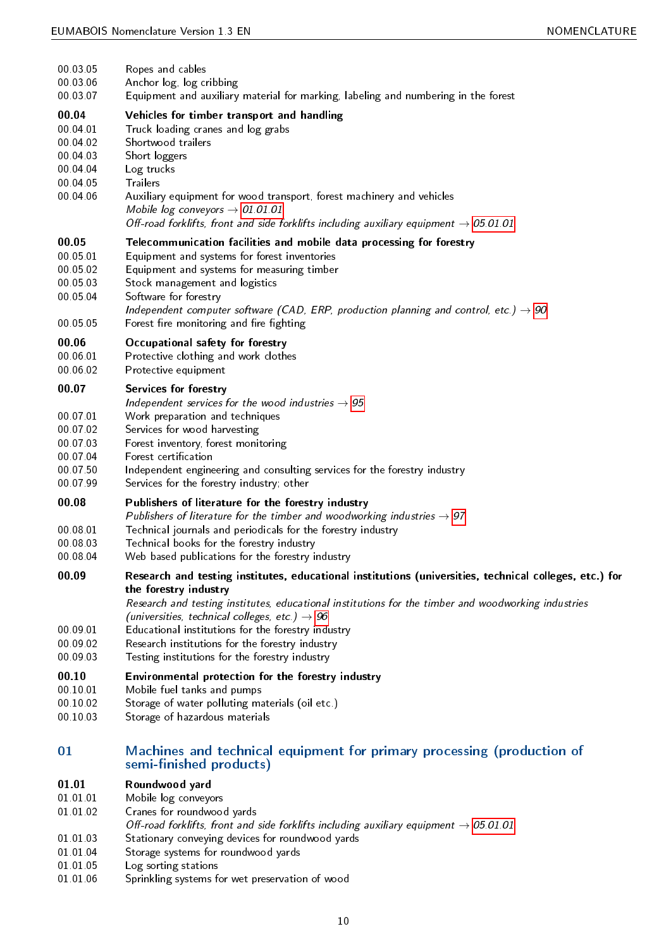<span id="page-9-45"></span><span id="page-9-43"></span><span id="page-9-42"></span><span id="page-9-35"></span><span id="page-9-33"></span><span id="page-9-32"></span><span id="page-9-31"></span><span id="page-9-29"></span><span id="page-9-27"></span><span id="page-9-26"></span><span id="page-9-24"></span><span id="page-9-21"></span><span id="page-9-20"></span><span id="page-9-18"></span><span id="page-9-17"></span><span id="page-9-16"></span><span id="page-9-13"></span><span id="page-9-12"></span><span id="page-9-11"></span><span id="page-9-4"></span><span id="page-9-3"></span><span id="page-9-2"></span><span id="page-9-1"></span>

| 00 03 05<br>00 03 06<br>00 03 07                                              | Ropes and cables<br>Anchor log, log cribbing<br>Equipment and auxiliary material for marking, labeling and numbering in the forest                                                                                                                                                                                                                                                                                                                             |
|-------------------------------------------------------------------------------|----------------------------------------------------------------------------------------------------------------------------------------------------------------------------------------------------------------------------------------------------------------------------------------------------------------------------------------------------------------------------------------------------------------------------------------------------------------|
| 00.04<br>00 04 01<br>00 04 02<br>00 04 03<br>00 04 04<br>00 04 05<br>00 04 06 | Vehicles for timber transport and handling<br>Truck loading cranes and log grabs<br>Shortwood trailers<br>Short loggers<br>Log trucks<br><b>Trailers</b><br>Auxiliary equipment for wood transport, forest machinery and vehicles<br>Mobile log conveyors $\rightarrow$ 01.01.01<br>Off-road forklifts, front and side forklifts including auxiliary equipment $\rightarrow$ 05.01.01                                                                          |
| 00.05<br>00 05 01<br>00 05 02<br>00 05 03<br>00 05 04<br>00 05 05             | Telecommunication facilities and mobile data processing for forestry<br>Equipment and systems for forest inventories<br>Equipment and systems for measuring timber<br>Stock management and logistics<br>Software for forestry<br>Independent computer software (CAD, ERP, production planning and control, etc.) $\rightarrow$ 90<br>Forest fire monitoring and fire fighting                                                                                  |
| 00.06<br>00 06 01<br>00 06 02                                                 | Occupational safety for forestry<br>Protective clothing and work clothes<br>Protective equipment                                                                                                                                                                                                                                                                                                                                                               |
| 00.07<br>00 07 01<br>00 07 02<br>00 07 03<br>00 07 04<br>00 07 50<br>00 07 99 | Services for forestry<br>Independent services for the wood industries $\rightarrow$ 95<br>Work preparation and techniques<br>Services for wood harvesting<br>Forest inventory, forest monitoring<br>Forest certification<br>Independent engineering and consulting services for the forestry industry<br>Services for the forestry industry, other                                                                                                             |
| 00.08<br>00 08 01<br>00 08 03<br>00 08 04                                     | Publishers of literature for the forestry industry<br>Publishers of literature for the timber and woodworking industries $\rightarrow$ 97<br>Technical journals and periodicals for the forestry industry<br>Technical books for the forestry industry<br>Web based publications for the forestry industry                                                                                                                                                     |
| 00.09<br>00 09 01<br>00 09 02<br>00 09 03                                     | Research and testing institutes, educational institutions (universities, technical colleges, etc.) for<br>the forestry industry<br>Research and testing institutes, educational institutions for the timber and woodworking industries<br>(universities, technical colleges, etc.) $\rightarrow$ 96<br>Educational institutions for the forestry industry<br>Research institutions for the forestry industry<br>Testing institutions for the forestry industry |
| 00.10<br>00 10 01<br>00 10 02<br>00 10 03                                     | Environmental protection for the forestry industry<br>Mobile fuel tanks and pumps<br>Storage of water polluting materials (oil etc.)<br>Storage of hazardous materials                                                                                                                                                                                                                                                                                         |
| 01                                                                            | Machines and technical equipment for primary processing (production of<br>semi-finished products)                                                                                                                                                                                                                                                                                                                                                              |
| 01.01<br>01 01 01<br>01 01 02<br>01 01 03                                     | Roundwood yard<br>Mobile log conveyors<br>Cranes for roundwood yards<br>Off-road forklifts, front and side forklifts including auxiliary equipment $\rightarrow 05.01.01$<br>Stationary conveying devices for roundwood vards                                                                                                                                                                                                                                  |

- <span id="page-9-44"></span><span id="page-9-41"></span><span id="page-9-40"></span><span id="page-9-39"></span><span id="page-9-37"></span><span id="page-9-36"></span><span id="page-9-30"></span><span id="page-9-28"></span><span id="page-9-25"></span><span id="page-9-22"></span><span id="page-9-19"></span><span id="page-9-15"></span><span id="page-9-14"></span><span id="page-9-10"></span><span id="page-9-8"></span><span id="page-9-7"></span><span id="page-9-6"></span><span id="page-9-5"></span><span id="page-9-0"></span>01.01.03 Stationary conveying devices for roundwood yards
- <span id="page-9-34"></span>01.01.04 Storage systems for roundwood yards
- <span id="page-9-38"></span>01.01.05 Log sorting stations
- <span id="page-9-23"></span><span id="page-9-9"></span>01.01.06 Sprinkling systems for wet preservation of wood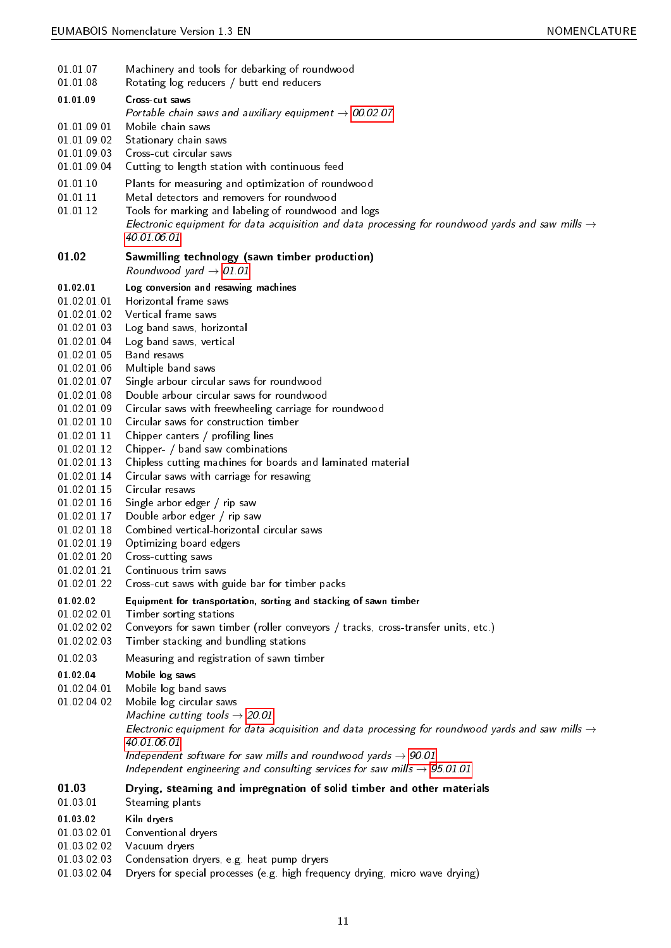<span id="page-10-49"></span><span id="page-10-47"></span><span id="page-10-43"></span><span id="page-10-42"></span><span id="page-10-40"></span><span id="page-10-38"></span><span id="page-10-35"></span><span id="page-10-34"></span><span id="page-10-32"></span><span id="page-10-31"></span><span id="page-10-30"></span><span id="page-10-28"></span><span id="page-10-26"></span><span id="page-10-23"></span><span id="page-10-17"></span><span id="page-10-15"></span><span id="page-10-13"></span><span id="page-10-12"></span><span id="page-10-10"></span><span id="page-10-9"></span><span id="page-10-8"></span><span id="page-10-2"></span><span id="page-10-1"></span><span id="page-10-0"></span>

| 01 01 07<br>01 01 08                                                                                                                                                                                                                                                                                                                               | Machinery and tools for debarking of roundwood<br>Rotating log reducers / butt end reducers                                                                                                                                                                                                                                                                                                                                                                                                                                                                                                                                                                                                                                                                                                                                    |
|----------------------------------------------------------------------------------------------------------------------------------------------------------------------------------------------------------------------------------------------------------------------------------------------------------------------------------------------------|--------------------------------------------------------------------------------------------------------------------------------------------------------------------------------------------------------------------------------------------------------------------------------------------------------------------------------------------------------------------------------------------------------------------------------------------------------------------------------------------------------------------------------------------------------------------------------------------------------------------------------------------------------------------------------------------------------------------------------------------------------------------------------------------------------------------------------|
| 01.01.09<br>01 01 09 01<br>01.01.09.02<br>01 01 09 03                                                                                                                                                                                                                                                                                              | Cross-cut saws<br>Portable chain saws and auxiliary equipment $\rightarrow$ 00.02.07<br>Mobile chain saws<br>Stationary chain saws<br>Cross-cut circular saws                                                                                                                                                                                                                                                                                                                                                                                                                                                                                                                                                                                                                                                                  |
| 01 01 09 04                                                                                                                                                                                                                                                                                                                                        | Cutting to length station with continuous feed                                                                                                                                                                                                                                                                                                                                                                                                                                                                                                                                                                                                                                                                                                                                                                                 |
| 01 01 10<br>01 01 11<br>01 01 12                                                                                                                                                                                                                                                                                                                   | Plants for measuring and optimization of roundwood<br>Metal detectors and removers for roundwood<br>Tools for marking and labeling of roundwood and logs<br>Electronic equipment for data acquisition and data processing for roundwood yards and saw mills $\rightarrow$<br>40.01.06.01                                                                                                                                                                                                                                                                                                                                                                                                                                                                                                                                       |
| 01.02                                                                                                                                                                                                                                                                                                                                              | Sawmilling technology (sawn timber production)<br>Roundwood yard $\rightarrow$ 01.01                                                                                                                                                                                                                                                                                                                                                                                                                                                                                                                                                                                                                                                                                                                                           |
| 01 02 01<br>01 02 01 01<br>01 02 01 02<br>01 02 01 03<br>01 02 01 04<br>01 02 01 05<br>01 02 01 06<br>01 02 01 07<br>01 02 01 08<br>01 02 01 09<br>01 02 01 10<br>01.02.01.11<br>01 02 01 12<br>01 02 01 13<br>01 02 01 14<br>01.02.01.15<br>01 02 01 16<br>01.02.01.17<br>01 02 01 18<br>01 02 01 19<br>01 02 01 20<br>01 02 01 21<br>01.02.01.22 | Log conversion and resawing machines<br>Horizontal frame saws<br>Vertical frame saws<br>Log band saws, horizontal<br>Log band saws, vertical<br>Band resaws<br>Multiple band saws<br>Single arbour circular saws for roundwood<br>Double arbour circular saws for roundwood<br>Circular saws with freewheeling carriage for roundwood<br>Circular saws for construction timber<br>Chipper canters / profiling lines<br>Chipper- / band saw combinations<br>Chipless cutting machines for boards and laminated material<br>Circular saws with carriage for resawing<br>Circular resaws<br>Single arbor edger / rip saw<br>Double arbor edger / rip saw<br>Combined vertical-horizontal circular saws<br>Optimizing board edgers<br>Cross-cutting saws<br>Continuous trim saws<br>Cross-cut saws with guide bar for timber packs |
| 01 02 02<br>01 02 02 01<br>01 02 02 02<br>01 02 02 03                                                                                                                                                                                                                                                                                              | Equipment for transportation, sorting and stacking of sawn timber<br>Timber sorting stations<br>Conveyors for sawn timber (roller conveyors / tracks, cross-transfer units, etc.)<br>Timber stacking and bundling stations                                                                                                                                                                                                                                                                                                                                                                                                                                                                                                                                                                                                     |
| 01 02 03                                                                                                                                                                                                                                                                                                                                           | Measuring and registration of sawn timber                                                                                                                                                                                                                                                                                                                                                                                                                                                                                                                                                                                                                                                                                                                                                                                      |
| 01 02 04<br>01 02 04 01<br>01 02 04 02                                                                                                                                                                                                                                                                                                             | Mobile log saws<br>Mobile log band saws<br>Mobile log circular saws<br>Machine cutting tools $\rightarrow$ 20.01<br>Electronic equipment for data acquisition and data processing for roundwood yards and saw mills $\rightarrow$<br>40 01 06 01<br>Independent software for saw mills and roundwood yards $\rightarrow$ 90.01<br>Independent engineering and consulting services for saw mills $\rightarrow$ 95 01 01                                                                                                                                                                                                                                                                                                                                                                                                         |
| 01.03<br>01 03 01                                                                                                                                                                                                                                                                                                                                  | Drying, steaming and impregnation of solid timber and other materials<br>Steaming plants                                                                                                                                                                                                                                                                                                                                                                                                                                                                                                                                                                                                                                                                                                                                       |
| 01 03 02<br>01 03 02 01<br>01 03 02 02<br>01.02.02.02                                                                                                                                                                                                                                                                                              | Kiln dryers<br>Conventional dryers<br>Vacuum dryers<br>Condoncation drugse og host numn drugse                                                                                                                                                                                                                                                                                                                                                                                                                                                                                                                                                                                                                                                                                                                                 |

- <span id="page-10-48"></span><span id="page-10-46"></span><span id="page-10-45"></span><span id="page-10-44"></span><span id="page-10-41"></span><span id="page-10-39"></span><span id="page-10-37"></span><span id="page-10-36"></span><span id="page-10-33"></span><span id="page-10-27"></span><span id="page-10-25"></span><span id="page-10-24"></span><span id="page-10-22"></span><span id="page-10-21"></span><span id="page-10-20"></span><span id="page-10-18"></span><span id="page-10-16"></span><span id="page-10-14"></span><span id="page-10-11"></span><span id="page-10-6"></span><span id="page-10-5"></span><span id="page-10-4"></span><span id="page-10-3"></span>01.03.02.03 Condensation dryers, e.g. heat pump dryers
- <span id="page-10-29"></span><span id="page-10-19"></span><span id="page-10-7"></span>01.03.02.04 Dryers for special processes (e.g. high frequency drying, micro wave drying)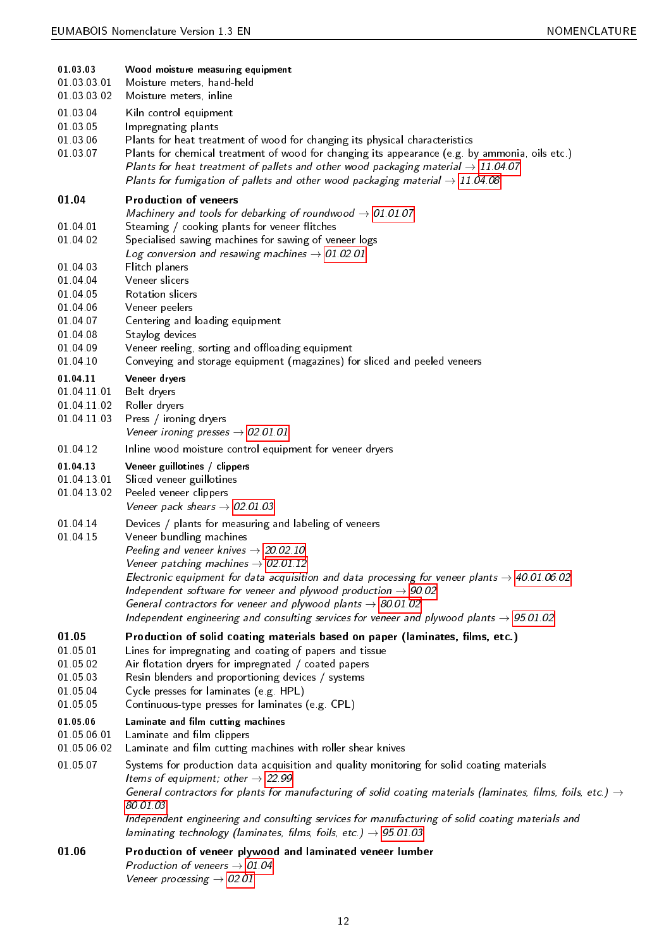<span id="page-11-37"></span><span id="page-11-36"></span><span id="page-11-35"></span><span id="page-11-34"></span><span id="page-11-33"></span><span id="page-11-32"></span><span id="page-11-31"></span><span id="page-11-30"></span><span id="page-11-29"></span><span id="page-11-28"></span><span id="page-11-27"></span><span id="page-11-26"></span><span id="page-11-25"></span><span id="page-11-24"></span><span id="page-11-23"></span><span id="page-11-22"></span><span id="page-11-21"></span><span id="page-11-20"></span><span id="page-11-19"></span><span id="page-11-18"></span><span id="page-11-17"></span><span id="page-11-16"></span><span id="page-11-15"></span><span id="page-11-14"></span><span id="page-11-13"></span><span id="page-11-12"></span><span id="page-11-11"></span><span id="page-11-10"></span><span id="page-11-9"></span><span id="page-11-8"></span><span id="page-11-7"></span><span id="page-11-6"></span><span id="page-11-5"></span><span id="page-11-4"></span><span id="page-11-3"></span><span id="page-11-2"></span><span id="page-11-1"></span><span id="page-11-0"></span>

| 01 03 03<br>01 03 03 01<br>01 03 03 02                                                       | Wood moisture measuring equipment<br>Moisture meters, hand-held<br>Moisture meters, inline                                                                                                                                                                                                                                                                                                                                                                                                                                                                               |
|----------------------------------------------------------------------------------------------|--------------------------------------------------------------------------------------------------------------------------------------------------------------------------------------------------------------------------------------------------------------------------------------------------------------------------------------------------------------------------------------------------------------------------------------------------------------------------------------------------------------------------------------------------------------------------|
| 01 03 04<br>01 03 05<br>01 03 06<br>01 03 07                                                 | Kiln control equipment<br>Impregnating plants<br>Plants for heat treatment of wood for changing its physical characteristics<br>Plants for chemical treatment of wood for changing its appearance (e.g. by ammonia, oils etc.)<br>Plants for heat treatment of pallets and other wood packaging material $\rightarrow$ 11.04.07<br>Plants for fumigation of pallets and other wood packaging material $\rightarrow$ 11.04.08                                                                                                                                             |
| 01.04                                                                                        | <b>Production of veneers</b><br>Machinery and tools for debarking of roundwood $\rightarrow$ 01.01.07                                                                                                                                                                                                                                                                                                                                                                                                                                                                    |
| 01 04 01<br>01 04 02<br>01 04 03<br>01 04 04<br>01 04 05<br>01 04 06<br>01 04 07<br>01 04 08 | Steaming / cooking plants for veneer flitches<br>Specialised sawing machines for sawing of veneer logs<br>Log conversion and resawing machines $\rightarrow$ 01.02.01<br>Flitch planers<br>Veneer slicers<br>Rotation slicers<br>Veneer peelers<br>Centering and loading equipment<br>Staylog devices                                                                                                                                                                                                                                                                    |
| 01 04 09<br>01 04 10                                                                         | Veneer reeling, sorting and offloading equipment<br>Conveying and storage equipment (magazines) for sliced and peeled veneers                                                                                                                                                                                                                                                                                                                                                                                                                                            |
| 01 04 11<br>01 04 11 01<br>01.04.11.02<br>01 04 11 03                                        | Veneer dryers<br>Belt dryers<br>Roller dryers<br>Press / ironing dryers<br>Veneer ironing presses $\rightarrow$ 02 01 01                                                                                                                                                                                                                                                                                                                                                                                                                                                 |
| 01 04 12                                                                                     | Inline wood moisture control equipment for veneer dryers                                                                                                                                                                                                                                                                                                                                                                                                                                                                                                                 |
| 01 04 13<br>01 04 13 01<br>01.04.13.02                                                       | Veneer guillotines / clippers<br>Sliced veneer guillotines<br>Peeled veneer clippers<br>Veneer pack shears $\rightarrow$ 02.01.03                                                                                                                                                                                                                                                                                                                                                                                                                                        |
| 01 04 14<br>01 04 15                                                                         | Devices / plants for measuring and labeling of veneers<br>Veneer bundling machines<br>Peeling and veneer knives $\rightarrow$ 20.02.10<br>Veneer patching machines $\rightarrow$ 02.01.12<br>Electronic equipment for data acquisition and data processing for veneer plants $\rightarrow$ 40.01.06.02<br>Independent software for veneer and plywood production $\rightarrow$ 90.02<br>General contractors for veneer and plywood plants $\rightarrow$ 80.01.02<br>Independent engineering and consulting services for veneer and plywood plants $\rightarrow$ 95.01.02 |
| 01.05<br>01 05 01<br>01 05 02<br>01 05 03<br>01 05 04<br>01 05 05                            | Production of solid coating materials based on paper (laminates, films, etc.)<br>Lines for impregnating and coating of papers and tissue<br>Air flotation dryers for impregnated / coated papers<br>Resin blenders and proportioning devices / systems<br>Cycle presses for laminates (e.g. HPL)<br>Continuous-type presses for laminates (e.g. CPL)                                                                                                                                                                                                                     |
| 01 05 06<br>01 05 06 01<br>01.05.06.02                                                       | Laminate and film cutting machines<br>Laminate and film clippers<br>Laminate and film cutting machines with roller shear knives                                                                                                                                                                                                                                                                                                                                                                                                                                          |
| 01 05 07                                                                                     | Systems for production data acquisition and quality monitoring for solid coating materials<br>Items of equipment; other $\rightarrow$ 22.99<br>General contractors for plants for manufacturing of solid coating materials (laminates, films, foils, etc.) $\rightarrow$<br>80.01.03<br>Independent engineering and consulting services for manufacturing of solid coating materials and<br>laminating technology (laminates, films, foils, etc.) $\rightarrow$ 95.01.03                                                                                                 |
| 01.06                                                                                        | Production of veneer plywood and laminated veneer lumber<br>Production of veneers $\rightarrow$ 01.04<br>Veneer processing $\rightarrow$ 02.01                                                                                                                                                                                                                                                                                                                                                                                                                           |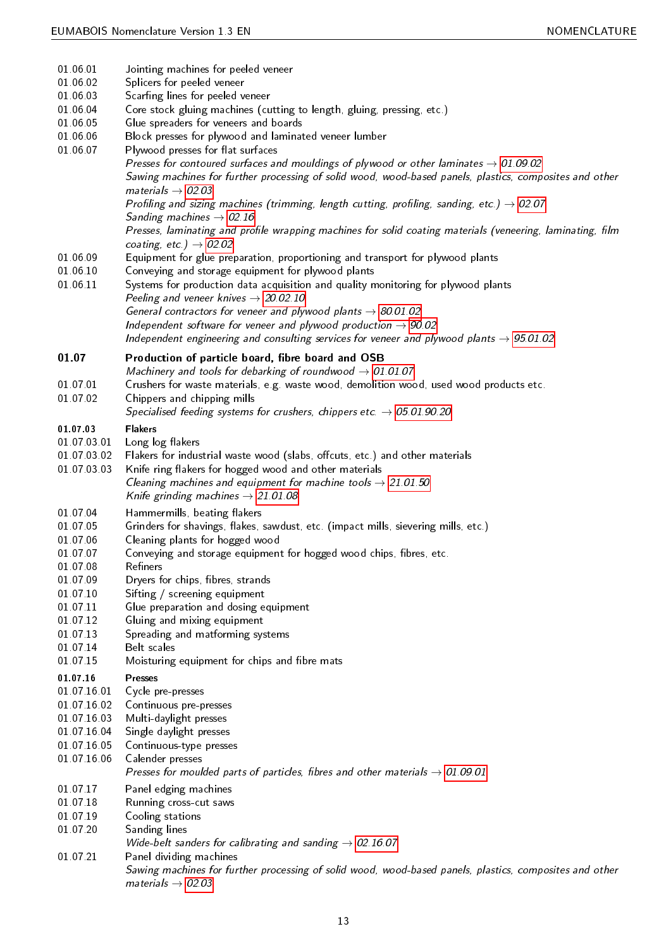<span id="page-12-40"></span><span id="page-12-39"></span><span id="page-12-38"></span><span id="page-12-37"></span><span id="page-12-36"></span><span id="page-12-35"></span><span id="page-12-34"></span><span id="page-12-33"></span><span id="page-12-32"></span><span id="page-12-31"></span><span id="page-12-30"></span><span id="page-12-29"></span><span id="page-12-28"></span><span id="page-12-27"></span><span id="page-12-26"></span><span id="page-12-25"></span><span id="page-12-24"></span><span id="page-12-23"></span><span id="page-12-22"></span><span id="page-12-21"></span><span id="page-12-20"></span><span id="page-12-19"></span><span id="page-12-18"></span><span id="page-12-17"></span><span id="page-12-16"></span><span id="page-12-15"></span><span id="page-12-14"></span><span id="page-12-13"></span><span id="page-12-12"></span><span id="page-12-11"></span><span id="page-12-10"></span><span id="page-12-9"></span><span id="page-12-8"></span><span id="page-12-7"></span><span id="page-12-6"></span><span id="page-12-5"></span><span id="page-12-4"></span><span id="page-12-3"></span><span id="page-12-2"></span><span id="page-12-1"></span><span id="page-12-0"></span>

| 01 06 01             | Jointing machines for peeled veneer                                                                                                                                                                                                           |
|----------------------|-----------------------------------------------------------------------------------------------------------------------------------------------------------------------------------------------------------------------------------------------|
| 01 06 02             | Splicers for peeled veneer                                                                                                                                                                                                                    |
| 01 06 03             | Scarfing lines for peeled veneer                                                                                                                                                                                                              |
| 01 06 04             | Core stock gluing machines (cutting to length, gluing, pressing, etc.)                                                                                                                                                                        |
| 01 06 05             | Glue spreaders for veneers and boards                                                                                                                                                                                                         |
| 01 06 06             | Block presses for plywood and laminated veneer lumber                                                                                                                                                                                         |
| 01 06 07             | Plywood presses for flat surfaces                                                                                                                                                                                                             |
|                      | Presses for contoured surfaces and mouldings of plywood or other laminates $\rightarrow$ 01.09.02<br>Sawing machines for further processing of solid wood, wood-based panels, plastics, composites and other<br>materials $\rightarrow$ 02.03 |
|                      | Profiling and sizing machines (trimming, length cutting, profiling, sanding, etc.) $\rightarrow$ 02.07<br>Sanding machines $\rightarrow$ 02.16                                                                                                |
|                      | Presses, laminating and profile wrapping machines for solid coating materials (veneering, laminating, film<br>coating, etc.) $\rightarrow$ 02.02                                                                                              |
| 01 06 09<br>01 06 10 | Equipment for glue preparation, proportioning and transport for plywood plants<br>Conveying and storage equipment for plywood plants                                                                                                          |
| 01 06 11             | Systems for production data acquisition and quality monitoring for plywood plants<br>Peeling and veneer knives $\rightarrow$ 20.02.10                                                                                                         |
|                      | General contractors for veneer and plywood plants $\rightarrow$ 80.01.02<br>Independent software for veneer and plywood production $\rightarrow$ 90.02                                                                                        |
|                      | Independent engineering and consulting services for veneer and plywood plants $\rightarrow$ 95.01.02                                                                                                                                          |
| 01.07                | Production of particle board, fibre board and OSB                                                                                                                                                                                             |
| 01 07 01             | Machinery and tools for debarking of roundwood $\rightarrow$ 01.01.07<br>Crushers for waste materials, e.g. waste wood, demolition wood, used wood products etc.                                                                              |
| 01 07 02             | Chippers and chipping mills                                                                                                                                                                                                                   |
|                      | Specialised feeding systems for crushers, chippers etc. $\rightarrow$ 05.01.90.20                                                                                                                                                             |
| 01 07 03             | <b>Flakers</b>                                                                                                                                                                                                                                |
| 01 07 03 01          | Long log flakers                                                                                                                                                                                                                              |
| 01 07 03 02          | Flakers for industrial waste wood (slabs, offcuts, etc.) and other materials                                                                                                                                                                  |
| 01 07 03 03          | Knife ring flakers for hogged wood and other materials                                                                                                                                                                                        |
|                      | Cleaning machines and equipment for machine tools $\rightarrow$ 21.01.50                                                                                                                                                                      |
|                      | Knife grinding machines $\rightarrow$ 21.01.08                                                                                                                                                                                                |
| 01 07 04             | Hammermills, beating flakers                                                                                                                                                                                                                  |
| 01 07 05             | Grinders for shavings, flakes, sawdust, etc. (impact mills, sievering mills, etc.)                                                                                                                                                            |
| 01 07 06             | Cleaning plants for hogged wood                                                                                                                                                                                                               |
| 01 07 07             | Conveying and storage equipment for hogged wood chips, fibres, etc.                                                                                                                                                                           |
| 01 07 08             | Refiners                                                                                                                                                                                                                                      |
| 01 07 09             | Dryers for chips, fibres, strands                                                                                                                                                                                                             |
| 01 07 10             | Sifting / screening equipment                                                                                                                                                                                                                 |
| 01 07 11             | Glue preparation and dosing equipment                                                                                                                                                                                                         |
| 01 07 12             | Gluing and mixing equipment                                                                                                                                                                                                                   |
| 01 07 13             | Spreading and matforming systems                                                                                                                                                                                                              |
| 01 07 14<br>01 07 15 | Belt scales<br>Moisturing equipment for chips and fibre mats                                                                                                                                                                                  |
| 01.07.16             | <b>Presses</b>                                                                                                                                                                                                                                |
| 01 07 16 01          | Cycle pre-presses                                                                                                                                                                                                                             |
| 01 07 16 02          | Continuous pre-presses                                                                                                                                                                                                                        |
| 01 07 16 03          | Multi-daylight presses                                                                                                                                                                                                                        |
| 01 07 16 04          | Single daylight presses                                                                                                                                                                                                                       |
| 01 07 16 05          | Continuous-type presses                                                                                                                                                                                                                       |
| 01 07 16 06          | Calender presses                                                                                                                                                                                                                              |
|                      | Presses for moulded parts of particles, fibres and other materials $\rightarrow$ 01.09.01                                                                                                                                                     |
| 01 07 17             | Panel edging machines                                                                                                                                                                                                                         |
| 01 07 18             | Running cross-cut saws                                                                                                                                                                                                                        |
| 01 07 19             | Cooling stations                                                                                                                                                                                                                              |
| 01 07 20             | Sanding lines                                                                                                                                                                                                                                 |
|                      | Wide-belt sanders for calibrating and sanding $\rightarrow$ 02.16.07                                                                                                                                                                          |
| 01 07 21             | Panel dividing machines                                                                                                                                                                                                                       |
|                      | Sawing machines for further processing of solid wood, wood-based panels, plastics, composites and other<br>materials $\rightarrow$ 02.03                                                                                                      |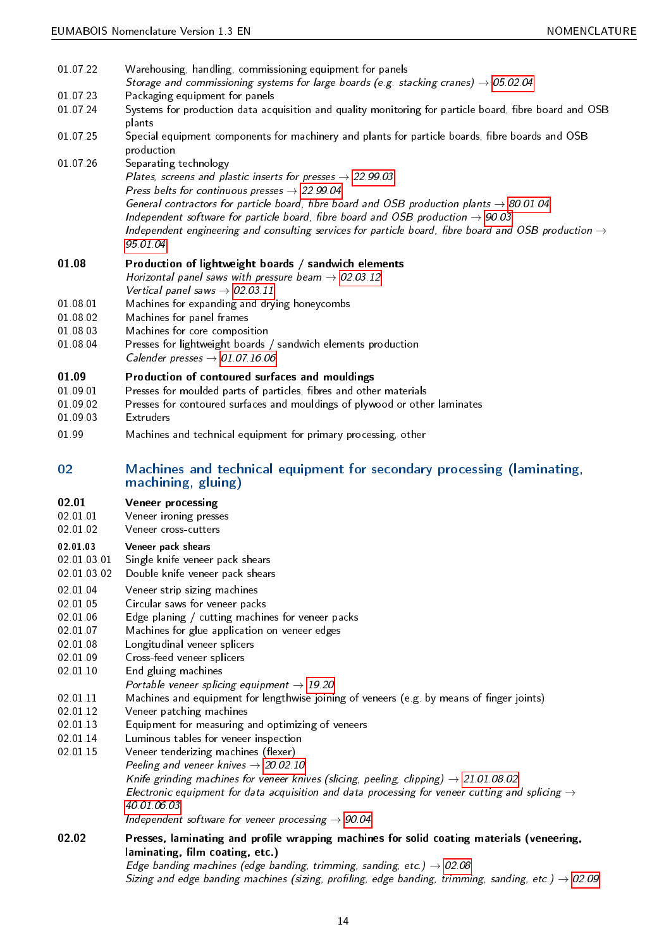<span id="page-13-34"></span><span id="page-13-33"></span><span id="page-13-32"></span><span id="page-13-31"></span><span id="page-13-30"></span><span id="page-13-29"></span><span id="page-13-28"></span><span id="page-13-27"></span><span id="page-13-26"></span><span id="page-13-25"></span><span id="page-13-24"></span><span id="page-13-23"></span><span id="page-13-22"></span><span id="page-13-21"></span><span id="page-13-20"></span><span id="page-13-19"></span><span id="page-13-18"></span><span id="page-13-17"></span><span id="page-13-16"></span><span id="page-13-15"></span><span id="page-13-14"></span><span id="page-13-13"></span><span id="page-13-12"></span><span id="page-13-11"></span><span id="page-13-10"></span><span id="page-13-9"></span><span id="page-13-8"></span><span id="page-13-7"></span><span id="page-13-6"></span><span id="page-13-5"></span><span id="page-13-4"></span><span id="page-13-3"></span><span id="page-13-2"></span><span id="page-13-1"></span><span id="page-13-0"></span>

| 01 07 22<br>01 07 23<br>01 07 24                                                                                                             | Warehousing, handling, commissioning equipment for panels<br>Storage and commissioning systems for large boards (e.g. stacking cranes) $\rightarrow$ 05.02.04<br>Packaging equipment for panels<br>Systems for production data acquisition and quality monitoring for particle board, fibre board and OSB                                                                                                                                                                                                                                                                                                                                                                                                                                                                                                                                                                                                                                 |
|----------------------------------------------------------------------------------------------------------------------------------------------|-------------------------------------------------------------------------------------------------------------------------------------------------------------------------------------------------------------------------------------------------------------------------------------------------------------------------------------------------------------------------------------------------------------------------------------------------------------------------------------------------------------------------------------------------------------------------------------------------------------------------------------------------------------------------------------------------------------------------------------------------------------------------------------------------------------------------------------------------------------------------------------------------------------------------------------------|
| 01 07 25                                                                                                                                     | plants<br>Special equipment components for machinery and plants for particle boards, fibre boards and OSB                                                                                                                                                                                                                                                                                                                                                                                                                                                                                                                                                                                                                                                                                                                                                                                                                                 |
| 01 07 26                                                                                                                                     | production<br>Separating technology<br>Plates, screens and plastic inserts for presses $\rightarrow$ 22.99.03<br>Press belts for continuous presses $\rightarrow$ 22.99.04<br>General contractors for particle board, fibre board and OSB production plants $\rightarrow$ 80.01.04<br>Independent software for particle board, fibre board and OSB production $\rightarrow$ 90.03<br>Independent engineering and consulting services for particle board, fibre board and OSB production $\rightarrow$<br>95.01.04                                                                                                                                                                                                                                                                                                                                                                                                                         |
| 01.08<br>01 08 01<br>01 08 02<br>01 08 03                                                                                                    | Production of lightweight boards / sandwich elements<br>Horizontal panel saws with pressure beam $\rightarrow$ 02.03.12<br>Vertical panel saws $\rightarrow$ 02.03.11<br>Machines for expanding and drying honeycombs<br>Machines for panel frames<br>Machines for core composition                                                                                                                                                                                                                                                                                                                                                                                                                                                                                                                                                                                                                                                       |
| 01 08 04                                                                                                                                     | Presses for lightweight boards / sandwich elements production<br>Calender presses $\rightarrow$ 01.07.16.06                                                                                                                                                                                                                                                                                                                                                                                                                                                                                                                                                                                                                                                                                                                                                                                                                               |
| 01.09<br>01 09 01<br>01 09 02<br>01 09 03                                                                                                    | Production of contoured surfaces and mouldings<br>Presses for moulded parts of particles, fibres and other materials<br>Presses for contoured surfaces and mouldings of plywood or other laminates<br>Extruders                                                                                                                                                                                                                                                                                                                                                                                                                                                                                                                                                                                                                                                                                                                           |
| 01 99                                                                                                                                        | Machines and technical equipment for primary processing, other                                                                                                                                                                                                                                                                                                                                                                                                                                                                                                                                                                                                                                                                                                                                                                                                                                                                            |
| 02                                                                                                                                           | Machines and technical equipment for secondary processing (laminating,<br>machining, gluing)                                                                                                                                                                                                                                                                                                                                                                                                                                                                                                                                                                                                                                                                                                                                                                                                                                              |
| 02.01<br>02 01 01<br>02 01 02                                                                                                                | Veneer processing<br>Veneer ironing presses<br>Veneer cross-cutters                                                                                                                                                                                                                                                                                                                                                                                                                                                                                                                                                                                                                                                                                                                                                                                                                                                                       |
| 02.01.03<br>02 01 03 01<br>02.01.03.02                                                                                                       | Veneer pack shears<br>Single knife veneer pack shears<br>Double knife veneer pack shears                                                                                                                                                                                                                                                                                                                                                                                                                                                                                                                                                                                                                                                                                                                                                                                                                                                  |
| 02 01 04<br>02 01 05<br>02 01 06<br>02 01 07<br>02 01 08<br>02 01 09<br>02 01 10<br>02 01 11<br>02 01 12<br>02 01 13<br>02 01 14<br>02 01 15 | Veneer strip sizing machines<br>Circular saws for veneer packs<br>Edge planing / cutting machines for veneer packs<br>Machines for glue application on veneer edges<br>Longitudinal veneer splicers<br>Cross-feed veneer splicers<br>End gluing machines<br>Portable veneer splicing equipment $\rightarrow$ 19.20<br>Machines and equipment for lengthwise joining of veneers (e.g. by means of finger joints)<br>Veneer patching machines<br>Equipment for measuring and optimizing of veneers<br>Luminous tables for veneer inspection<br>Veneer tenderizing machines (flexer)<br>Peeling and veneer knives $\rightarrow$ 20.02.10<br>Knife grinding machines for veneer knives (slicing, peeling, clipping) $\rightarrow$ 21.01.08.02<br>Electronic equipment for data acquisition and data processing for veneer cutting and splicing $\rightarrow$<br>40 01 06 03<br>Independent software for veneer processing $\rightarrow$ 90.04 |
| 02.02                                                                                                                                        | Presses, laminating and profile wrapping machines for solid coating materials (veneering,<br>laminating, film coating, etc.)<br>Edge banding machines (edge banding, trimming, sanding, etc.) $\rightarrow$ 02.08<br>Sizing and edge banding machines (sizing, profiling, edge banding, trimming, sanding, etc.) $\rightarrow$ 02.09                                                                                                                                                                                                                                                                                                                                                                                                                                                                                                                                                                                                      |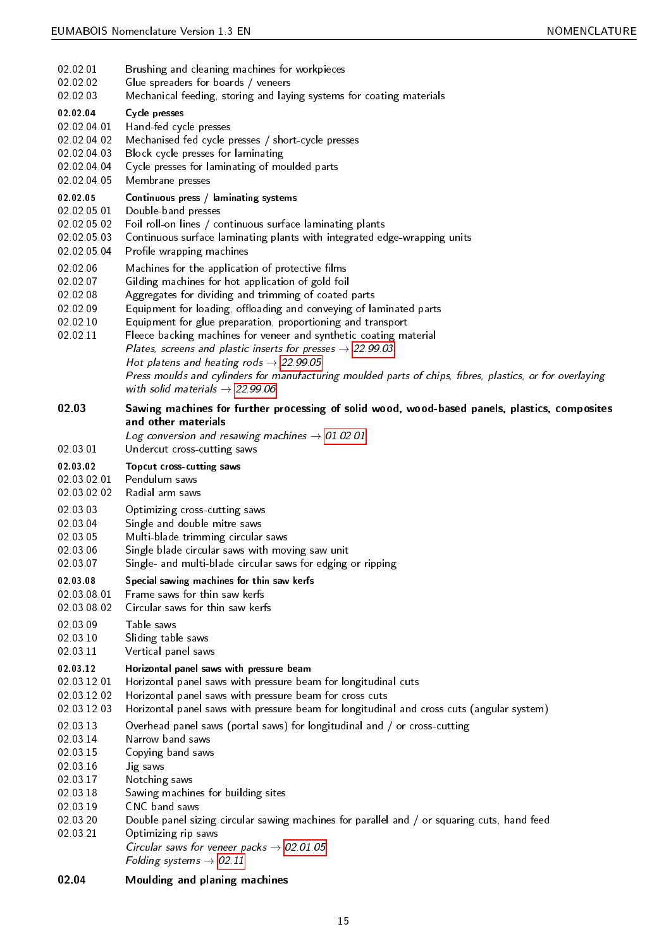<span id="page-14-49"></span><span id="page-14-48"></span><span id="page-14-47"></span><span id="page-14-46"></span><span id="page-14-45"></span><span id="page-14-44"></span><span id="page-14-43"></span><span id="page-14-42"></span><span id="page-14-41"></span><span id="page-14-40"></span><span id="page-14-39"></span><span id="page-14-38"></span><span id="page-14-37"></span><span id="page-14-36"></span><span id="page-14-35"></span><span id="page-14-34"></span><span id="page-14-33"></span><span id="page-14-32"></span><span id="page-14-31"></span><span id="page-14-30"></span><span id="page-14-29"></span><span id="page-14-28"></span><span id="page-14-27"></span><span id="page-14-26"></span><span id="page-14-25"></span><span id="page-14-24"></span><span id="page-14-23"></span><span id="page-14-22"></span><span id="page-14-21"></span><span id="page-14-20"></span><span id="page-14-19"></span><span id="page-14-18"></span><span id="page-14-17"></span><span id="page-14-16"></span><span id="page-14-15"></span><span id="page-14-14"></span><span id="page-14-13"></span><span id="page-14-12"></span><span id="page-14-11"></span><span id="page-14-10"></span><span id="page-14-9"></span><span id="page-14-8"></span><span id="page-14-7"></span><span id="page-14-6"></span><span id="page-14-5"></span><span id="page-14-4"></span><span id="page-14-3"></span><span id="page-14-2"></span><span id="page-14-1"></span><span id="page-14-0"></span>

| 02 02 01                                                                                                 | Brushing and cleaning machines for workpieces                                                                                                                                                                                                                                                                                                                                                                                                                                                                                                                                                                                                                       |
|----------------------------------------------------------------------------------------------------------|---------------------------------------------------------------------------------------------------------------------------------------------------------------------------------------------------------------------------------------------------------------------------------------------------------------------------------------------------------------------------------------------------------------------------------------------------------------------------------------------------------------------------------------------------------------------------------------------------------------------------------------------------------------------|
| 02 02 02                                                                                                 | Glue spreaders for boards / veneers                                                                                                                                                                                                                                                                                                                                                                                                                                                                                                                                                                                                                                 |
| 02.02.03                                                                                                 | Mechanical feeding, storing and laying systems for coating materials                                                                                                                                                                                                                                                                                                                                                                                                                                                                                                                                                                                                |
| 02.02.04                                                                                                 | Cycle presses                                                                                                                                                                                                                                                                                                                                                                                                                                                                                                                                                                                                                                                       |
| 02 02 04 01                                                                                              | Hand-fed cycle presses                                                                                                                                                                                                                                                                                                                                                                                                                                                                                                                                                                                                                                              |
| 02.02.04.02                                                                                              | Mechanised fed cycle presses / short-cycle presses                                                                                                                                                                                                                                                                                                                                                                                                                                                                                                                                                                                                                  |
| 02 02 04 03                                                                                              | Block cycle presses for laminating                                                                                                                                                                                                                                                                                                                                                                                                                                                                                                                                                                                                                                  |
| 02 02 04 04                                                                                              | Cycle presses for laminating of moulded parts                                                                                                                                                                                                                                                                                                                                                                                                                                                                                                                                                                                                                       |
| 02 02 04 05                                                                                              | Membrane presses                                                                                                                                                                                                                                                                                                                                                                                                                                                                                                                                                                                                                                                    |
| 02.02.05                                                                                                 | Continuous press / laminating systems                                                                                                                                                                                                                                                                                                                                                                                                                                                                                                                                                                                                                               |
| 02 02 05 01                                                                                              | Double-band presses                                                                                                                                                                                                                                                                                                                                                                                                                                                                                                                                                                                                                                                 |
| 02 02 05 02                                                                                              | Foil roll-on lines / continuous surface laminating plants                                                                                                                                                                                                                                                                                                                                                                                                                                                                                                                                                                                                           |
| 02.02.05.03                                                                                              | Continuous surface laminating plants with integrated edge-wrapping units                                                                                                                                                                                                                                                                                                                                                                                                                                                                                                                                                                                            |
| 02.02.05.04                                                                                              | Profile wrapping machines                                                                                                                                                                                                                                                                                                                                                                                                                                                                                                                                                                                                                                           |
| 02 02 06<br>02.02.07<br>02 02 08<br>02.02.09<br>02 02 10<br>02.02.11                                     | Machines for the application of protective films<br>Gilding machines for hot application of gold foil<br>Aggregates for dividing and trimming of coated parts<br>Equipment for loading, offloading and conveying of laminated parts<br>Equipment for glue preparation, proportioning and transport<br>Fleece backing machines for veneer and synthetic coating material<br>Plates, screens and plastic inserts for presses $\rightarrow$ 22.99.03<br>Hot platens and heating rods $\rightarrow$ 22.99.05<br>Press moulds and cylinders for manufacturing moulded parts of chips, fibres, plastics, or for overlaying<br>with solid materials $\rightarrow$ 22.99.06 |
| 02.03                                                                                                    | Sawing machines for further processing of solid wood, wood-based panels, plastics, composites<br>and other materials                                                                                                                                                                                                                                                                                                                                                                                                                                                                                                                                                |
| 02 03 01                                                                                                 | Log conversion and resawing machines $\rightarrow$ 01.02.01<br>Undercut cross-cutting saws                                                                                                                                                                                                                                                                                                                                                                                                                                                                                                                                                                          |
| 02 03 02                                                                                                 | Topcut cross-cutting saws                                                                                                                                                                                                                                                                                                                                                                                                                                                                                                                                                                                                                                           |
| 02 03 02 01                                                                                              | Pendulum saws                                                                                                                                                                                                                                                                                                                                                                                                                                                                                                                                                                                                                                                       |
| 02.03.02.02                                                                                              | Radial arm saws                                                                                                                                                                                                                                                                                                                                                                                                                                                                                                                                                                                                                                                     |
| 02 03 03                                                                                                 | Optimizing cross-cutting saws                                                                                                                                                                                                                                                                                                                                                                                                                                                                                                                                                                                                                                       |
| 02.03.04                                                                                                 | Single and double mitre saws                                                                                                                                                                                                                                                                                                                                                                                                                                                                                                                                                                                                                                        |
| 02.03.05                                                                                                 | Multi-blade trimming circular saws                                                                                                                                                                                                                                                                                                                                                                                                                                                                                                                                                                                                                                  |
| 02 03 06                                                                                                 | Single blade circular saws with moving saw unit                                                                                                                                                                                                                                                                                                                                                                                                                                                                                                                                                                                                                     |
| 02 03 07                                                                                                 | Single- and multi-blade circular saws for edging or ripping                                                                                                                                                                                                                                                                                                                                                                                                                                                                                                                                                                                                         |
| 02 03 08                                                                                                 | Special sawing machines for thin saw kerfs                                                                                                                                                                                                                                                                                                                                                                                                                                                                                                                                                                                                                          |
| 02 03 08 01                                                                                              | Frame saws for thin saw kerfs                                                                                                                                                                                                                                                                                                                                                                                                                                                                                                                                                                                                                                       |
| 02.03.08.02                                                                                              | Circular saws for thin saw kerfs                                                                                                                                                                                                                                                                                                                                                                                                                                                                                                                                                                                                                                    |
| 02 03 09                                                                                                 | Table saws                                                                                                                                                                                                                                                                                                                                                                                                                                                                                                                                                                                                                                                          |
| 02 03 10                                                                                                 | Sliding table saws                                                                                                                                                                                                                                                                                                                                                                                                                                                                                                                                                                                                                                                  |
| 02 03 11                                                                                                 | Vertical panel saws                                                                                                                                                                                                                                                                                                                                                                                                                                                                                                                                                                                                                                                 |
| 02 03 12                                                                                                 | Horizontal panel saws with pressure beam                                                                                                                                                                                                                                                                                                                                                                                                                                                                                                                                                                                                                            |
| 02.03.12.01                                                                                              | Horizontal panel saws with pressure beam for longitudinal cuts                                                                                                                                                                                                                                                                                                                                                                                                                                                                                                                                                                                                      |
| 02 03 12 02                                                                                              | Horizontal panel saws with pressure beam for cross cuts                                                                                                                                                                                                                                                                                                                                                                                                                                                                                                                                                                                                             |
| 02 03 12 03                                                                                              | Horizontal panel saws with pressure beam for longitudinal and cross cuts (angular system)                                                                                                                                                                                                                                                                                                                                                                                                                                                                                                                                                                           |
| 02.03.13<br>02 03 14<br>02 03 15<br>02.03.16<br>02.03.17<br>02.03.18<br>02.03.19<br>02 03 20<br>02 03 21 | Overhead panel saws (portal saws) for longitudinal and / or cross-cutting<br>Narrow band saws<br>Copying band saws<br>Jig saws<br>Notching saws<br>Sawing machines for building sites<br>CNC band saws<br>Double panel sizing circular sawing machines for parallel and / or squaring cuts, hand feed<br>Optimizing rip saws<br>Circular saws for veneer packs $\rightarrow$ 02.01.05<br>Folding systems $\rightarrow$ 02.11                                                                                                                                                                                                                                        |
| 02.04                                                                                                    | Moulding and planing machines                                                                                                                                                                                                                                                                                                                                                                                                                                                                                                                                                                                                                                       |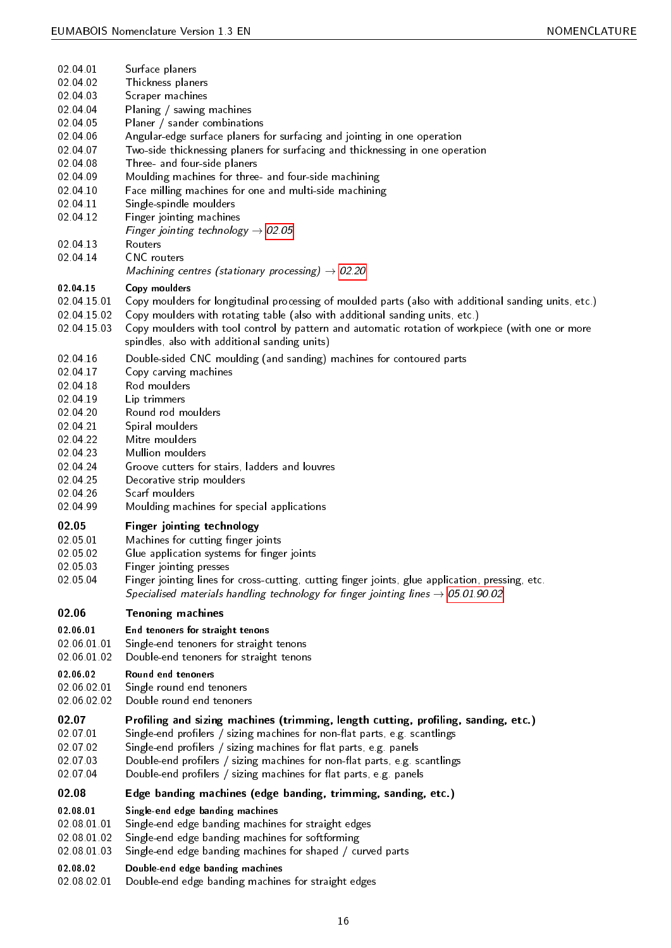<span id="page-15-53"></span><span id="page-15-52"></span><span id="page-15-51"></span><span id="page-15-50"></span><span id="page-15-49"></span><span id="page-15-48"></span><span id="page-15-47"></span><span id="page-15-46"></span><span id="page-15-45"></span><span id="page-15-44"></span><span id="page-15-43"></span><span id="page-15-42"></span><span id="page-15-41"></span><span id="page-15-40"></span><span id="page-15-39"></span><span id="page-15-38"></span><span id="page-15-37"></span><span id="page-15-36"></span><span id="page-15-35"></span><span id="page-15-34"></span><span id="page-15-33"></span><span id="page-15-32"></span><span id="page-15-31"></span><span id="page-15-30"></span><span id="page-15-29"></span><span id="page-15-28"></span><span id="page-15-27"></span><span id="page-15-26"></span><span id="page-15-25"></span><span id="page-15-24"></span><span id="page-15-23"></span><span id="page-15-22"></span><span id="page-15-21"></span><span id="page-15-20"></span><span id="page-15-19"></span><span id="page-15-18"></span><span id="page-15-17"></span><span id="page-15-16"></span><span id="page-15-15"></span><span id="page-15-14"></span><span id="page-15-13"></span><span id="page-15-12"></span><span id="page-15-11"></span><span id="page-15-10"></span><span id="page-15-9"></span><span id="page-15-8"></span><span id="page-15-7"></span><span id="page-15-6"></span><span id="page-15-5"></span><span id="page-15-4"></span><span id="page-15-3"></span><span id="page-15-2"></span><span id="page-15-1"></span><span id="page-15-0"></span>

| 02 04 01             | Surface planers                                                                                       |
|----------------------|-------------------------------------------------------------------------------------------------------|
| 02 04 02             | Thickness planers                                                                                     |
| 02 04 03             | Scraper machines                                                                                      |
| 02 04 04             | Planing / sawing machines                                                                             |
| 02 04 05             | Planer / sander combinations                                                                          |
| 02 04 06             | Angular-edge surface planers for surfacing and jointing in one operation                              |
| 02 04 07             | Two-side thicknessing planers for surfacing and thicknessing in one operation                         |
| 02 04 08             | Three- and four-side planers                                                                          |
| 02 04 09             | Moulding machines for three- and four-side machining                                                  |
| 02 04 10<br>02 04 11 | Face milling machines for one and multi-side machining<br>Single-spindle moulders                     |
| 02 04 12             | Finger jointing machines                                                                              |
|                      | Finger jointing technology $\rightarrow$ 02.05                                                        |
| 02 04 13             | Routers                                                                                               |
| 02 04 14             | <b>CNC</b> routers                                                                                    |
|                      | Machining centres (stationary processing) $\rightarrow$ 02.20                                         |
| 02 04 15             | Copy moulders                                                                                         |
| 02 04 15 01          | Copy moulders for longitudinal processing of moulded parts (also with additional sanding units, etc.) |
| 02.04.15.02          | Copy moulders with rotating table (also with additional sanding units, etc.)                          |
| 02 04 15 03          | Copy moulders with tool control by pattern and automatic rotation of workpiece (with one or more      |
|                      | spindles, also with additional sanding units)                                                         |
| 02 04 16             | Double-sided CNC moulding (and sanding) machines for contoured parts                                  |
| 02 04 17             | Copy carving machines                                                                                 |
| 02 04 18             | Rod moulders                                                                                          |
| 02 04 19             | Lip trimmers                                                                                          |
| 02.04.20             | Round rod moulders                                                                                    |
| 02 04 21             | Spiral moulders                                                                                       |
| 02 04 22             | Mitre moulders                                                                                        |
| 02 04 23             | Mullion moulders                                                                                      |
| 02 04 24             | Groove cutters for stairs, ladders and louvres                                                        |
| 02 04 25             | Decorative strip moulders                                                                             |
| 02 04 26             | Scarf moulders                                                                                        |
| 02 04 99             | Moulding machines for special applications                                                            |
| 02.05                | Finger jointing technology                                                                            |
| 02 05 01             | Machines for cutting finger joints                                                                    |
| 02 05 02             | Glue application systems for finger joints                                                            |
| 02 05 03             | Finger jointing presses                                                                               |
| 02 05 04             | Finger jointing lines for cross-cutting, cutting finger joints, glue application, pressing, etc.      |
|                      | Specialised materials handling technology for finger jointing lines $\rightarrow$ 05.01.90.02         |
| 02.06                | <b>Tenoning machines</b>                                                                              |
| 02 06 01             |                                                                                                       |
| 02 06 01 01          | End tenoners for straight tenons<br>Single-end tenoners for straight tenons                           |
| 02 06 01 02          | Double-end tenoners for straight tenons                                                               |
|                      |                                                                                                       |
| 02.06.02             | Round end tenoners                                                                                    |
| 02 06 02 01          | Single round end tenoners                                                                             |
| 02.06.02.02          | Double round end tenoners                                                                             |
| 02.07                | Profiling and sizing machines (trimming, length cutting, profiling, sanding, etc.)                    |
| 02 07 01             | Single-end profilers / sizing machines for non-flat parts, e.g. scantlings                            |
| 02 07 02             | Single-end profilers / sizing machines for flat parts, e.g. panels                                    |
| 02.07.03             | Double-end profilers / sizing machines for non-flat parts, e.g. scantlings                            |
| 02.07.04             | Double-end profilers / sizing machines for flat parts, e.g. panels                                    |
| 02.08                | Edge banding machines (edge banding, trimming, sanding, etc.)                                         |
| 02.08.01             | Single-end edge banding machines                                                                      |
| 02 08 01 01          | Single-end edge banding machines for straight edges                                                   |
| 02 08 01 02          | Single-end edge banding machines for softforming                                                      |
| 02.08.01.03          | Single-end edge banding machines for shaped / curved parts                                            |
| 02.08.02             | Double-end edge banding machines                                                                      |
|                      |                                                                                                       |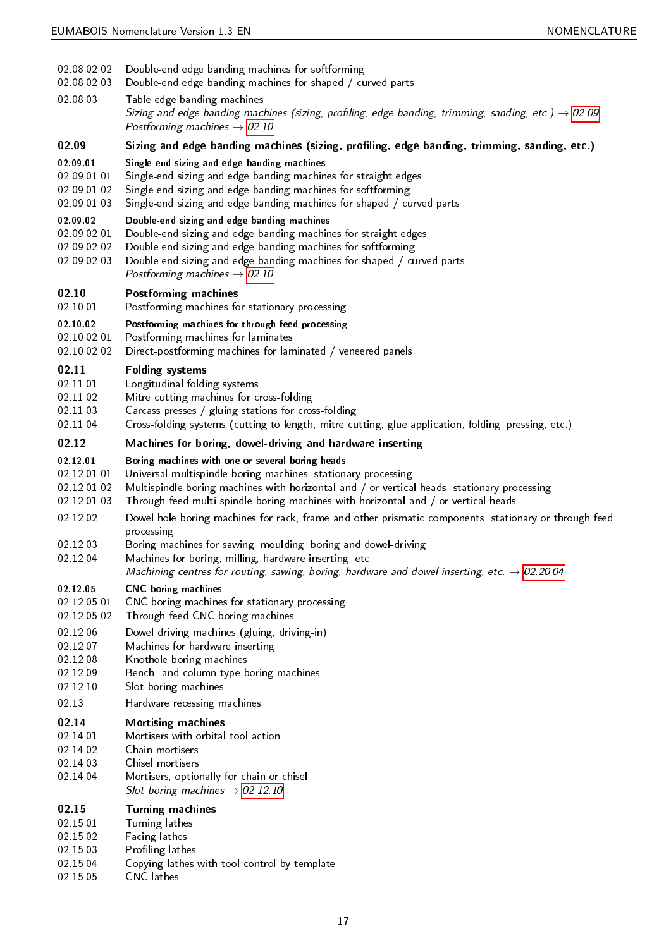- 02.08.02.02 Double-end edge banding machines for softforming
- <span id="page-16-23"></span>02.08.02.03 Double-end edge banding machines for shaped / curved parts
- <span id="page-16-45"></span><span id="page-16-22"></span>02.08.03 Table edge banding machines Sizing and edge banding machines (sizing, profiling, edge banding, trimming, sanding, etc.)  $\rightarrow$  [02.09](#page-16-0) Postforming machines  $\rightarrow$  [02.10](#page-16-3)

## <span id="page-16-0"></span>02.09 Sizing and edge banding machines (sizing, profiling, edge banding, trimming, sanding, etc.)

#### <span id="page-16-1"></span>02.09.01 Single-end sizing and edge banding machines

- 02.09.01.01 Single-end sizing and edge banding machines for straight edges
- <span id="page-16-44"></span>02.09.01.02 Single-end sizing and edge banding machines for softforming
- <span id="page-16-43"></span>02.09.01.03 Single-end sizing and edge banding machines for shaped / curved parts

#### <span id="page-16-42"></span><span id="page-16-2"></span>02.09.02 Double-end sizing and edge banding machines

- 02.09.02.01 Double-end sizing and edge banding machines for straight edges
- <span id="page-16-26"></span>02.09.02.02 Double-end sizing and edge banding machines for softforming
- <span id="page-16-25"></span>02.09.02.03 Double-end sizing and edge banding machines for shaped / curved parts
- <span id="page-16-24"></span>Postforming machines  $\rightarrow$  [02.10](#page-16-3)

#### <span id="page-16-3"></span>02.10 Postforming machines

02.10.01 Postforming machines for stationary processing

### <span id="page-16-40"></span><span id="page-16-4"></span>02.10.02 Postforming machines for through-feed processing

- 02.10.02.01 Postforming machines for laminates
- <span id="page-16-39"></span><span id="page-16-21"></span>02.10.02.02 Direct-postforming machines for laminated / veneered panels

#### <span id="page-16-5"></span>02.11 Folding systems

- 02.11.01 Longitudinal folding systems
- <span id="page-16-32"></span>02.11.02 Mitre cutting machines for cross-folding
- <span id="page-16-35"></span>02.11.03 Carcass presses / gluing stations for cross-folding
- <span id="page-16-20"></span><span id="page-16-14"></span>02.11.04 Cross-folding systems (cutting to length, mitre cutting, glue application, folding, pressing, etc.)

#### <span id="page-16-6"></span>02.12 Machines for boring, dowel-driving and hardware inserting

#### <span id="page-16-7"></span>02.12.01 Boring machines with one or several boring heads

- 02.12.01.01 Universal multispindle boring machines, stationary processing
- <span id="page-16-49"></span>02.12.01.02 Multispindle boring machines with horizontal and / or vertical heads, stationary processing
- <span id="page-16-47"></span><span id="page-16-38"></span>02.12.01.03 Through feed multi-spindle boring machines with horizontal and / or vertical heads
- <span id="page-16-28"></span>02.12.02 Dowel hole boring machines for rack, frame and other prismatic components, stationary or through feed processing
- 02.12.03 Boring machines for sawing, moulding, boring and dowel-driving
- <span id="page-16-33"></span><span id="page-16-13"></span>02.12.04 Machines for boring, milling, hardware inserting, etc.
- Machining centres for routing, sawing, boring, hardware and dowel inserting, etc.  $\rightarrow$  [02.20.04](#page-17-10)

#### <span id="page-16-8"></span>02.12.05 CNC boring machines

- 02.12.05.01 CNC boring machines for stationary processing
- <span id="page-16-17"></span>02.12.05.02 Through feed CNC boring machines
- <span id="page-16-46"></span>02.12.06 Dowel driving machines (gluing, driving-in)
- <span id="page-16-27"></span>02.12.07 Machines for hardware inserting
- <span id="page-16-34"></span>02.12.08 Knothole boring machines
- <span id="page-16-31"></span>02.12.09 Bench- and column-type boring machines
- <span id="page-16-12"></span>02.12.10 Slot boring machines
- <span id="page-16-30"></span><span id="page-16-11"></span>02.13 Hardware recessing machines

#### <span id="page-16-9"></span>02.14 Mortising machines

- 02.14.01 Mortisers with orbital tool action
- <span id="page-16-36"></span>02.14.02 Chain mortisers
- <span id="page-16-15"></span>02.14.03 Chisel mortisers
- <span id="page-16-37"></span><span id="page-16-16"></span>02.14.04 Mortisers, optionally for chain or chisel
	- Slot boring machines  $\rightarrow$  [02.12.10](#page-16-11)

<span id="page-16-10"></span>

| 02.15 |  | <b>Turning machines</b> |
|-------|--|-------------------------|
|-------|--|-------------------------|

- 02.15.01 Turning lathes
- <span id="page-16-48"></span>02.15.02 Facing lathes
- <span id="page-16-29"></span>02.15.03 Profiling lathes
- <span id="page-16-41"></span>02.15.04 Copying lathes with tool control by template
- <span id="page-16-19"></span><span id="page-16-18"></span>02.15.05 CNC lathes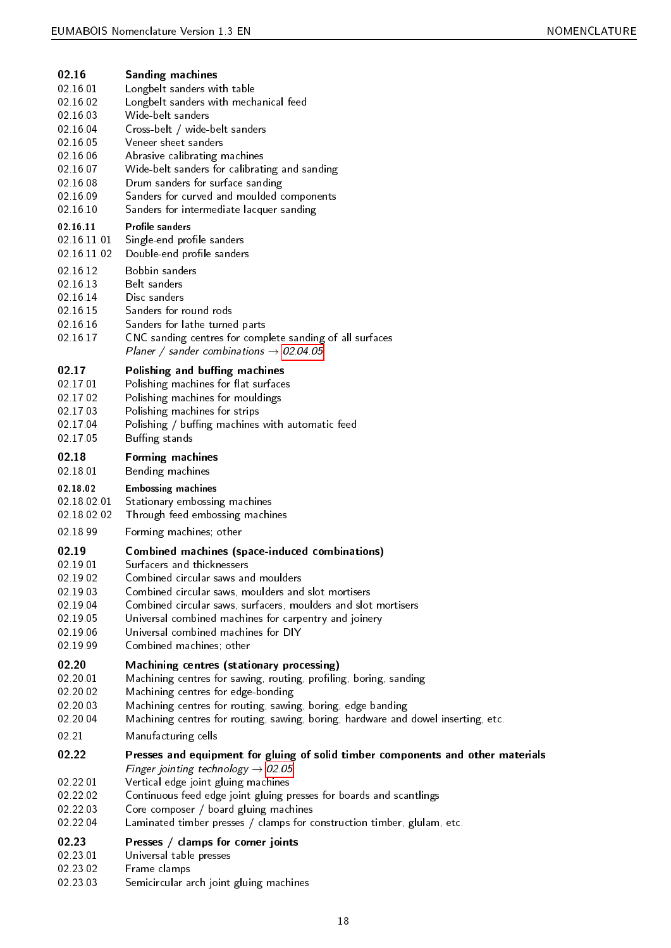<span id="page-17-54"></span><span id="page-17-53"></span><span id="page-17-52"></span><span id="page-17-51"></span><span id="page-17-50"></span><span id="page-17-49"></span><span id="page-17-48"></span><span id="page-17-47"></span><span id="page-17-46"></span><span id="page-17-45"></span><span id="page-17-44"></span><span id="page-17-43"></span><span id="page-17-42"></span><span id="page-17-41"></span><span id="page-17-40"></span><span id="page-17-39"></span><span id="page-17-38"></span><span id="page-17-37"></span><span id="page-17-36"></span><span id="page-17-35"></span><span id="page-17-34"></span><span id="page-17-33"></span><span id="page-17-32"></span><span id="page-17-31"></span><span id="page-17-30"></span><span id="page-17-29"></span><span id="page-17-28"></span><span id="page-17-27"></span><span id="page-17-26"></span><span id="page-17-25"></span><span id="page-17-24"></span><span id="page-17-23"></span><span id="page-17-22"></span><span id="page-17-21"></span><span id="page-17-20"></span><span id="page-17-19"></span><span id="page-17-18"></span><span id="page-17-17"></span><span id="page-17-16"></span><span id="page-17-15"></span><span id="page-17-14"></span><span id="page-17-13"></span><span id="page-17-12"></span><span id="page-17-11"></span><span id="page-17-10"></span><span id="page-17-9"></span><span id="page-17-8"></span><span id="page-17-7"></span><span id="page-17-6"></span><span id="page-17-5"></span><span id="page-17-4"></span><span id="page-17-3"></span><span id="page-17-2"></span><span id="page-17-1"></span><span id="page-17-0"></span>

| 02.16       | <b>Sanding machines</b>                                                           |
|-------------|-----------------------------------------------------------------------------------|
| 02 16 01    | Longbelt sanders with table                                                       |
| 02 16 02    | Longbelt sanders with mechanical feed                                             |
| 02 16 03    | Wide-belt sanders                                                                 |
| 02 16 04    | Cross-belt / wide-belt sanders                                                    |
| 02 16 05    | Veneer sheet sanders                                                              |
| 02 16 06    | Abrasive calibrating machines                                                     |
| 02 16 07    | Wide-belt sanders for calibrating and sanding                                     |
| 02 16 08    | Drum sanders for surface sanding                                                  |
| 02 16 09    | Sanders for curved and moulded components                                         |
| 02 16 10    | Sanders for intermediate lacquer sanding                                          |
| 02 16 11    | <b>Profile sanders</b>                                                            |
| 02.16.11.01 | Single-end profile sanders                                                        |
| 02.16.11.02 | Double-end profile sanders                                                        |
| 02 16 12    | Bobbin sanders                                                                    |
| 02 16 13    | Belt sanders                                                                      |
| 02 16 14    | Disc sanders                                                                      |
| 02 16 15    | Sanders for round rods                                                            |
| 02 16 16    | Sanders for lathe turned parts                                                    |
| 02 16 17    | CNC sanding centres for complete sanding of all surfaces                          |
|             | Planer / sander combinations $\rightarrow$ 02.04.05                               |
| 02.17       | Polishing and buffing machines                                                    |
| 02 17 01    | Polishing machines for flat surfaces                                              |
| 02 17 02    | Polishing machines for mouldings                                                  |
| 02 17 03    | Polishing machines for strips                                                     |
| 02 17 04    | Polishing / buffing machines with automatic feed                                  |
| 02 17 05    | Buffing stands                                                                    |
| 02.18       | Forming machines                                                                  |
| 02 18 01    | Bending machines                                                                  |
| 02.18.02    | <b>Embossing machines</b>                                                         |
| 02 18 02 01 | Stationary embossing machines                                                     |
| 02 18 02 02 | Through feed embossing machines                                                   |
| 02 18 99    | Forming machines, other                                                           |
| 02.19       | <b>Combined machines (space-induced combinations)</b>                             |
| 02 19 01    | Surfacers and thicknessers                                                        |
| 02 19 02    | Combined circular saws and moulders                                               |
| 02 19 03    | Combined circular saws, moulders and slot mortisers                               |
| 02 19 04    | Combined circular saws, surfacers, moulders and slot mortisers                    |
| 02 19 05    | Universal combined machines for carpentry and joinery                             |
| 02 19 06    | Universal combined machines for DIY                                               |
| 02 19 99    | Combined machines; other                                                          |
| 02.20       | Machining centres (stationary processing)                                         |
| 02 20 01    | Machining centres for sawing, routing, profiling, boring, sanding                 |
| 02 20 02    | Machining centres for edge-bonding                                                |
| 02.20.03    | Machining centres for routing, sawing, boring, edge banding                       |
| 02 20 04    | Machining centres for routing, sawing, boring, hardware and dowel inserting, etc. |
| 02.21       | Manufacturing cells                                                               |
| 02.22       | Presses and equipment for gluing of solid timber components and other materials   |
|             | Finger jointing technology $\rightarrow$ 02.05                                    |
| 02 22 01    | Vertical edge joint gluing machines                                               |
| 02.22.02    | Continuous feed edge joint gluing presses for boards and scantlings               |
| 02.22.03    | Core composer / board gluing machines                                             |
| 02.22.04    | Laminated timber presses / clamps for construction timber, glulam, etc.           |
| 02.23       | Presses / clamps for corner joints                                                |
| 02 23 01    | Universal table presses                                                           |
| 02.23.02    | Frame clamps                                                                      |
| 02 23 03    | Semicircular arch joint gluing machines                                           |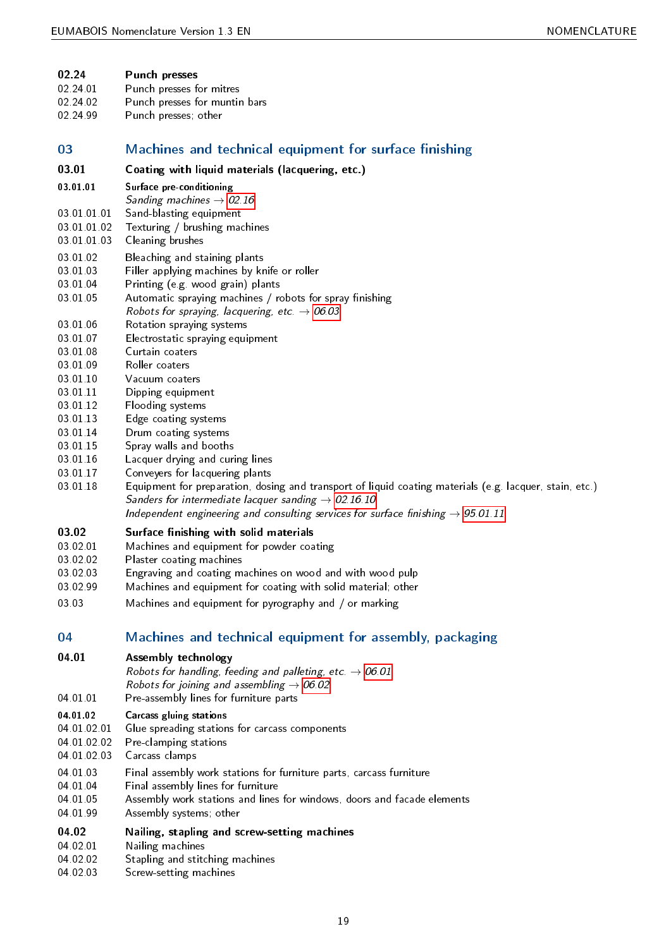#### <span id="page-18-2"></span>02.24 Punch presses

- 02.24.01 Punch presses for mitres
- <span id="page-18-38"></span>02.24.02 Punch presses for muntin bars
- <span id="page-18-40"></span><span id="page-18-39"></span>02.24.99 Punch presses; other

## <span id="page-18-0"></span>03 Machines and technical equipment for surface finishing

- <span id="page-18-3"></span>03.01 Coating with liquid materials (lacquering, etc.)
- <span id="page-18-4"></span>03.01.01 Surface pre-conditioning
- Sanding machines  $\rightarrow$  [02.16](#page-17-0)
- 03.01.01.01 Sand-blasting equipment
- <span id="page-18-43"></span>03.01.01.02 Texturing / brushing machines
- <span id="page-18-47"></span>03.01.01.03 Cleaning brushes
- <span id="page-18-15"></span>03.01.02 Bleaching and staining plants
- <span id="page-18-13"></span>03.01.03 Filler applying machines by knife or roller
- <span id="page-18-24"></span>03.01.04 Printing (e.g. wood grain) plants
- <span id="page-18-37"></span>03.01.05 Automatic spraying machines / robots for spray finishing
- <span id="page-18-12"></span>Robots for spraying, lacquering, etc.  $\rightarrow$  [06.03](#page-19-11)
- 03.01.06 Rotation spraying systems
- <span id="page-18-42"></span>03.01.07 Electrostatic spraying equipment
- <span id="page-18-21"></span>03.01.08 Curtain coaters
- <span id="page-18-17"></span>03.01.09 Roller coaters
- <span id="page-18-41"></span>03.01.10 Vacuum coaters
- <span id="page-18-48"></span>03.01.11 Dipping equipment
- <span id="page-18-18"></span>03.01.12 Flooding systems
- <span id="page-18-27"></span>03.01.13 Edge coating systems
- <span id="page-18-20"></span>03.01.14 Drum coating systems
- <span id="page-18-19"></span>03.01.15 Spray walls and booths
- <span id="page-18-45"></span>03.01.16 Lacquer drying and curing lines
- <span id="page-18-29"></span>03.01.17 Conveyers for lacquering plants
- <span id="page-18-23"></span><span id="page-18-16"></span>03.01.18 Equipment for preparation, dosing and transport of liquid coating materials (e.g. lacquer, stain, etc.) Sanders for intermediate lacquer sanding  $\rightarrow$  [02.16.10](#page-17-11) Independent engineering and consulting services for surface finishing  $\rightarrow$  [95.01.11](#page-28-4)
- <span id="page-18-5"></span>03.02 Surface finishing with solid materials
- 03.02.01 Machines and equipment for powder coating
- <span id="page-18-31"></span>03.02.02 Plaster coating machines
- <span id="page-18-34"></span>03.02.03 Engraving and coating machines on wood and with wood pulp
- <span id="page-18-22"></span>03.02.99 Machines and equipment for coating with solid material; other
- <span id="page-18-32"></span><span id="page-18-30"></span>03.03 Machines and equipment for pyrography and / or marking

## <span id="page-18-1"></span>04 Machines and technical equipment for assembly, packaging

## <span id="page-18-6"></span>04.01 Assembly technology

Robots for handling, feeding and palleting, etc.  $\rightarrow$  [06.01](#page-19-12) Robots for joining and assembling  $\rightarrow$  [06.02](#page-19-13) 04.01.01 Pre-assembly lines for furniture parts

## <span id="page-18-35"></span><span id="page-18-7"></span>04.01.02 Carcass gluing stations

- 04.01.02.01 Glue spreading stations for carcass components
- <span id="page-18-28"></span>04.01.02.02 Pre-clamping stations
- <span id="page-18-36"></span>04.01.02.03 Carcass clamps
- <span id="page-18-14"></span>04.01.03 Final assembly work stations for furniture parts, carcass furniture
- <span id="page-18-26"></span>04.01.04 Final assembly lines for furniture
- <span id="page-18-25"></span>04.01.05 Assembly work stations and lines for windows, doors and facade elements
- <span id="page-18-11"></span><span id="page-18-10"></span>04.01.99 Assembly systems; other

## <span id="page-18-8"></span>04.02 Nailing, stapling and screw-setting machines

- 04.02.01 Nailing machines
- <span id="page-18-33"></span>04.02.02 Stapling and stitching machines
- <span id="page-18-46"></span><span id="page-18-44"></span><span id="page-18-9"></span>04.02.03 Screw-setting machines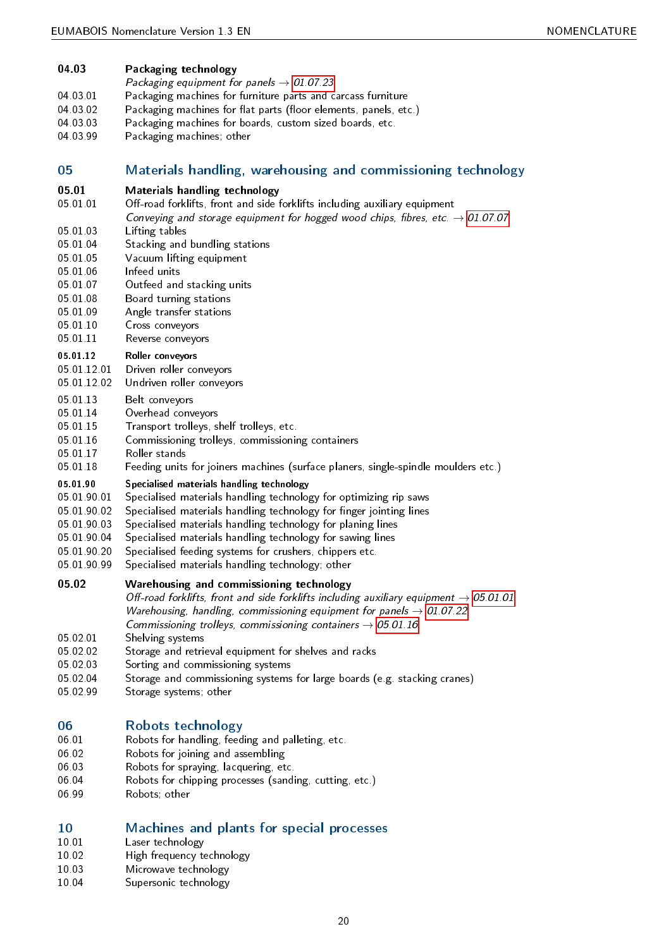<span id="page-19-48"></span><span id="page-19-47"></span><span id="page-19-42"></span><span id="page-19-32"></span><span id="page-19-31"></span><span id="page-19-30"></span><span id="page-19-29"></span><span id="page-19-28"></span><span id="page-19-27"></span><span id="page-19-26"></span><span id="page-19-24"></span><span id="page-19-22"></span><span id="page-19-19"></span><span id="page-19-18"></span><span id="page-19-17"></span><span id="page-19-16"></span><span id="page-19-15"></span><span id="page-19-7"></span><span id="page-19-4"></span><span id="page-19-3"></span><span id="page-19-0"></span>

| 04.03                   | Packaging technology                                                                                                                                                                                                                                                                                         |
|-------------------------|--------------------------------------------------------------------------------------------------------------------------------------------------------------------------------------------------------------------------------------------------------------------------------------------------------------|
|                         | Packaging equipment for panels $\rightarrow$ 01.07.23                                                                                                                                                                                                                                                        |
| 04 03 01                | Packaging machines for furniture parts and carcass furniture                                                                                                                                                                                                                                                 |
| 04 03 02                | Packaging machines for flat parts (floor elements, panels, etc.)                                                                                                                                                                                                                                             |
| 04 03 03                | Packaging machines for boards, custom sized boards, etc.                                                                                                                                                                                                                                                     |
| 04 03 99                | Packaging machines, other                                                                                                                                                                                                                                                                                    |
| 05                      | Materials handling, warehousing and commissioning technology                                                                                                                                                                                                                                                 |
| 05.01<br>05 01 01       | <b>Materials handling technology</b><br>Off-road forklifts, front and side forklifts including auxiliary equipment<br>Conveying and storage equipment for hogged wood chips, fibres, etc. $\rightarrow$ 01.07.07                                                                                             |
| 05 01 03                | Lifting tables                                                                                                                                                                                                                                                                                               |
| 05 01 04                | Stacking and bundling stations                                                                                                                                                                                                                                                                               |
| 05 01 05                | Vacuum lifting equipment                                                                                                                                                                                                                                                                                     |
| 05 01 06                | Infeed units                                                                                                                                                                                                                                                                                                 |
| 05 01 07                | Outfeed and stacking units                                                                                                                                                                                                                                                                                   |
| 05 01 08                | Board turning stations                                                                                                                                                                                                                                                                                       |
| 05 01 09                | Angle transfer stations                                                                                                                                                                                                                                                                                      |
| 05 01 10<br>05 01 11    | Cross conveyors<br>Reverse conveyors                                                                                                                                                                                                                                                                         |
| 05 01 12                | <b>Roller conveyors</b>                                                                                                                                                                                                                                                                                      |
| 05 01 12 01             | Driven roller conveyors                                                                                                                                                                                                                                                                                      |
| 05 01 12 02             | Undriven roller conveyors                                                                                                                                                                                                                                                                                    |
| 05 01 13                | Belt conveyors                                                                                                                                                                                                                                                                                               |
| 05 01 14                | Overhead conveyors                                                                                                                                                                                                                                                                                           |
| 05 01 15                | Transport trolleys, shelf trolleys, etc.                                                                                                                                                                                                                                                                     |
| 05 01 16                | Commissioning trolleys, commissioning containers                                                                                                                                                                                                                                                             |
| 05 01 17                | Roller stands                                                                                                                                                                                                                                                                                                |
| 05 01 18                | Feeding units for joiners machines (surface planers, single-spindle moulders etc.)                                                                                                                                                                                                                           |
| 05.01.90<br>05 01 90 01 | Specialised materials handling technology<br>Specialised materials handling technology for optimizing rip saws                                                                                                                                                                                               |
| 05 01 90 02             | Specialised materials handling technology for finger jointing lines                                                                                                                                                                                                                                          |
| 05 01 90 03             | Specialised materials handling technology for planing lines                                                                                                                                                                                                                                                  |
| 05 01 90 04             | Specialised materials handling technology for sawing lines                                                                                                                                                                                                                                                   |
| 05 01 90 20             | Specialised feeding systems for crushers, chippers etc.                                                                                                                                                                                                                                                      |
| 05 01 90 99             | Specialised materials handling technology; other                                                                                                                                                                                                                                                             |
| 0502                    | Warehousing and commissioning technology<br>Off-road forklifts, front and side forklifts including auxiliary equipment $\rightarrow 05.01.01$<br>Warehousing, handling, commissioning equipment for panels $\rightarrow$ 01.07.22<br>Commissioning trolleys, commissioning containers $\rightarrow$ 05.01.16 |
| 05 02 01                | Shelving systems                                                                                                                                                                                                                                                                                             |
| 05 02 02                | Storage and retrieval equipment for shelves and racks                                                                                                                                                                                                                                                        |
| 05 02 03                | Sorting and commissioning systems                                                                                                                                                                                                                                                                            |
| 05 02 04                | Storage and commissioning systems for large boards (e.g. stacking cranes)                                                                                                                                                                                                                                    |
| 05.02.99                | Storage systems; other                                                                                                                                                                                                                                                                                       |
|                         |                                                                                                                                                                                                                                                                                                              |
| 06                      | Robots technology                                                                                                                                                                                                                                                                                            |
| 06 01<br>06 02          | Robots for handling, feeding and palleting, etc.<br>Robots for joining and assembling                                                                                                                                                                                                                        |
| 06 03                   | Robots for spraying, lacquering, etc.                                                                                                                                                                                                                                                                        |
| 06 04                   | Robots for chipping processes (sanding, cutting, etc.)                                                                                                                                                                                                                                                       |
| 06.00                   | $D \circ h \circ \cdots \circ h \circ h$                                                                                                                                                                                                                                                                     |

<span id="page-19-46"></span><span id="page-19-44"></span><span id="page-19-43"></span><span id="page-19-41"></span><span id="page-19-40"></span><span id="page-19-39"></span><span id="page-19-38"></span><span id="page-19-37"></span><span id="page-19-36"></span><span id="page-19-35"></span><span id="page-19-34"></span><span id="page-19-33"></span><span id="page-19-20"></span><span id="page-19-14"></span><span id="page-19-13"></span><span id="page-19-12"></span><span id="page-19-11"></span><span id="page-19-10"></span><span id="page-19-9"></span><span id="page-19-8"></span><span id="page-19-6"></span><span id="page-19-5"></span><span id="page-19-1"></span>06.99 Robots; other

# <span id="page-19-2"></span>10 Machines and plants for special processes<br>10.01 Laser technology

- 10.01 Laser technology<br>10.02 High frequency to
- <span id="page-19-23"></span>10.02 High frequency technology<br>10.03 Microwave technology
- <span id="page-19-21"></span>10.03 Microwave technology<br>10.04 Supersonic technology
- <span id="page-19-45"></span><span id="page-19-25"></span>Supersonic technology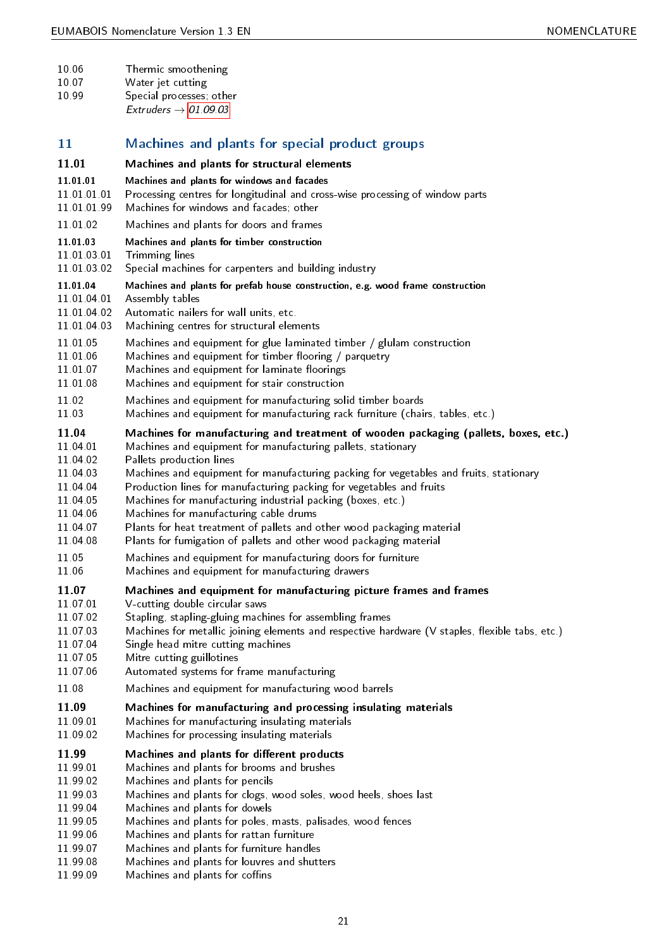<span id="page-20-53"></span><span id="page-20-51"></span><span id="page-20-50"></span><span id="page-20-48"></span><span id="page-20-47"></span><span id="page-20-44"></span><span id="page-20-41"></span><span id="page-20-40"></span><span id="page-20-28"></span><span id="page-20-24"></span><span id="page-20-23"></span><span id="page-20-21"></span><span id="page-20-20"></span><span id="page-20-19"></span><span id="page-20-15"></span><span id="page-20-14"></span><span id="page-20-13"></span><span id="page-20-11"></span><span id="page-20-5"></span><span id="page-20-4"></span><span id="page-20-3"></span><span id="page-20-2"></span><span id="page-20-1"></span><span id="page-20-0"></span>

| Machines and plants for special product groups<br>Machines and plants for structural elements<br>Machines and plants for windows and facades<br>Processing centres for longitudinal and cross-wise processing of window parts<br>Machines for windows and facades; other<br>Machines and plants for doors and frames<br>Machines and plants for timber construction<br>Trimming lines<br>Special machines for carpenters and building industry<br>Machines and plants for prefab house construction, e.g. wood frame construction<br>Assembly tables<br>Automatic nailers for wall units, etc.<br>Machining centres for structural elements<br>Machines and equipment for glue laminated timber $/$ glulam construction<br>Machines and equipment for timber flooring / parquetry<br>Machines and equipment for laminate floorings<br>Machines and equipment for stair construction<br>Machines and equipment for manufacturing solid timber boards |
|-----------------------------------------------------------------------------------------------------------------------------------------------------------------------------------------------------------------------------------------------------------------------------------------------------------------------------------------------------------------------------------------------------------------------------------------------------------------------------------------------------------------------------------------------------------------------------------------------------------------------------------------------------------------------------------------------------------------------------------------------------------------------------------------------------------------------------------------------------------------------------------------------------------------------------------------------------|
|                                                                                                                                                                                                                                                                                                                                                                                                                                                                                                                                                                                                                                                                                                                                                                                                                                                                                                                                                     |
|                                                                                                                                                                                                                                                                                                                                                                                                                                                                                                                                                                                                                                                                                                                                                                                                                                                                                                                                                     |
|                                                                                                                                                                                                                                                                                                                                                                                                                                                                                                                                                                                                                                                                                                                                                                                                                                                                                                                                                     |
|                                                                                                                                                                                                                                                                                                                                                                                                                                                                                                                                                                                                                                                                                                                                                                                                                                                                                                                                                     |
|                                                                                                                                                                                                                                                                                                                                                                                                                                                                                                                                                                                                                                                                                                                                                                                                                                                                                                                                                     |
|                                                                                                                                                                                                                                                                                                                                                                                                                                                                                                                                                                                                                                                                                                                                                                                                                                                                                                                                                     |
|                                                                                                                                                                                                                                                                                                                                                                                                                                                                                                                                                                                                                                                                                                                                                                                                                                                                                                                                                     |
| Machines and equipment for manufacturing rack furniture (chairs, tables, etc.)                                                                                                                                                                                                                                                                                                                                                                                                                                                                                                                                                                                                                                                                                                                                                                                                                                                                      |
| Machines for manufacturing and treatment of wooden packaging (pallets, boxes, etc.)<br>Machines and equipment for manufacturing pallets, stationary<br>Pallets production lines<br>Machines and equipment for manufacturing packing for vegetables and fruits, stationary<br>Production lines for manufacturing packing for vegetables and fruits<br>Machines for manufacturing industrial packing (boxes, etc.)<br>Machines for manufacturing cable drums<br>Plants for heat treatment of pallets and other wood packaging material                                                                                                                                                                                                                                                                                                                                                                                                                |
| Plants for fumigation of pallets and other wood packaging material<br>Machines and equipment for manufacturing doors for furniture<br>Machines and equipment for manufacturing drawers                                                                                                                                                                                                                                                                                                                                                                                                                                                                                                                                                                                                                                                                                                                                                              |
|                                                                                                                                                                                                                                                                                                                                                                                                                                                                                                                                                                                                                                                                                                                                                                                                                                                                                                                                                     |
| Machines and equipment for manufacturing picture frames and frames<br>V-cutting double circular saws<br>Stapling, stapling-gluing machines for assembling frames<br>Machines for metallic joining elements and respective hardware (V staples, flexible tabs, etc.)<br>Single head mitre cutting machines<br>Mitre cutting guillotines<br>Automated systems for frame manufacturing                                                                                                                                                                                                                                                                                                                                                                                                                                                                                                                                                                 |
| Machines and equipment for manufacturing wood barrels                                                                                                                                                                                                                                                                                                                                                                                                                                                                                                                                                                                                                                                                                                                                                                                                                                                                                               |
| Machines for manufacturing and processing insulating materials<br>Machines for manufacturing insulating materials<br>Machines for processing insulating materials                                                                                                                                                                                                                                                                                                                                                                                                                                                                                                                                                                                                                                                                                                                                                                                   |
| Machines and plants for different products<br>Machines and plants for brooms and brushes<br>Machines and plants for pencils<br>Machines and plants for clogs, wood soles, wood heels, shoes last<br>Machines and plants for dowels<br>Machines and plants for poles, masts, palisades, wood fences<br>Machines and plants for rattan furniture<br>Machines and plants for furniture handles                                                                                                                                                                                                                                                                                                                                                                                                                                                                                                                                                         |
|                                                                                                                                                                                                                                                                                                                                                                                                                                                                                                                                                                                                                                                                                                                                                                                                                                                                                                                                                     |

<span id="page-20-52"></span><span id="page-20-49"></span><span id="page-20-46"></span><span id="page-20-45"></span><span id="page-20-43"></span><span id="page-20-42"></span><span id="page-20-39"></span><span id="page-20-38"></span><span id="page-20-37"></span><span id="page-20-36"></span><span id="page-20-35"></span><span id="page-20-34"></span><span id="page-20-33"></span><span id="page-20-32"></span><span id="page-20-31"></span><span id="page-20-30"></span><span id="page-20-29"></span><span id="page-20-27"></span><span id="page-20-26"></span><span id="page-20-25"></span><span id="page-20-22"></span><span id="page-20-18"></span><span id="page-20-17"></span><span id="page-20-16"></span><span id="page-20-12"></span><span id="page-20-10"></span><span id="page-20-9"></span><span id="page-20-8"></span><span id="page-20-7"></span><span id="page-20-6"></span>11.99.09 Machines and plants for coffins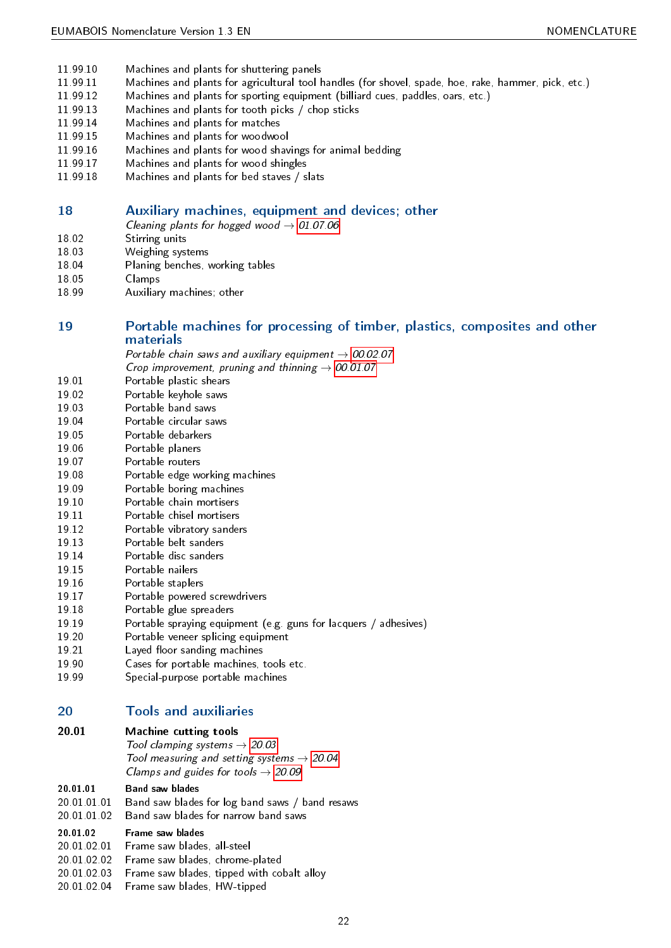- 11.99.10 Machines and plants for shuttering panels
- <span id="page-21-21"></span>11.99.11 Machines and plants for agricultural tool handles (for shovel, spade, hoe, rake, hammer, pick, etc.)
- <span id="page-21-18"></span>11.99.12 Machines and plants for sporting equipment (billiard cues, paddles, oars, etc.)
- <span id="page-21-22"></span>11.99.13 Machines and plants for tooth picks / chop sticks
- <span id="page-21-23"></span>11.99.14 Machines and plants for matches
- <span id="page-21-20"></span>11.99.15 Machines and plants for woodwool
- <span id="page-21-26"></span>11.99.16 Machines and plants for wood shavings for animal bedding
- <span id="page-21-24"></span>11.99.17 Machines and plants for wood shingles
- <span id="page-21-25"></span><span id="page-21-19"></span>11.99.18 Machines and plants for bed staves / slats

## <span id="page-21-0"></span>18 Auxiliary machines, equipment and devices; other

- Cleaning plants for hogged wood  $\rightarrow$  [01.07.06](#page-12-5)
- 18.02 Stirring units
- <span id="page-21-47"></span>18.03 Weighing systems
- <span id="page-21-48"></span>18.04 Planing benches, working tables
- <span id="page-21-27"></span>18.05 Clamps
- <span id="page-21-12"></span><span id="page-21-8"></span>18.99 Auxiliary machines; other

## <span id="page-21-1"></span>19 Portable machines for processing of timber, plastics, composites and other materials

Portable chain saws and auxiliary equipment  $\rightarrow$  [00.02.07](#page-8-5)

- Crop improvement, pruning and thinning  $\rightarrow$  [00.01.07](#page-8-6)
- 19.01 Portable plastic shears
- <span id="page-21-40"></span>19.02 Portable keyhole saws
- <span id="page-21-37"></span>19.03 Portable band saws
- <span id="page-21-28"></span>19.04 Portable circular saws
- <span id="page-21-33"></span>19.05 Portable debarkers
- <span id="page-21-6"></span>19.06 Portable planers
- <span id="page-21-39"></span>19.07 Portable routers
- <span id="page-21-42"></span>19.08 Portable edge working machines
- <span id="page-21-35"></span>19.09 Portable boring machines
- <span id="page-21-30"></span>19.10 Portable chain mortisers
- <span id="page-21-31"></span>19.11 Portable chisel mortisers
- <span id="page-21-32"></span>19.12 Portable vibratory sanders
- <span id="page-21-45"></span>19.13 Portable belt sanders
- <span id="page-21-29"></span>19.14 Portable disc sanders
- <span id="page-21-34"></span>19.15 Portable nailers
- <span id="page-21-38"></span>19.16 Portable staplers
- <span id="page-21-44"></span>19.17 Portable powered screwdrivers
- <span id="page-21-41"></span>19.18 Portable glue spreaders
- <span id="page-21-36"></span>19.19 Portable spraying equipment (e.g. guns for lacquers / adhesives)
- <span id="page-21-43"></span>19.20 Portable veneer splicing equipment
- <span id="page-21-7"></span>19.21 Layed floor sanding machines
- <span id="page-21-17"></span>19.90 Cases for portable machines, tools etc.
- <span id="page-21-46"></span><span id="page-21-11"></span>19.99 Special-purpose portable machines

## <span id="page-21-2"></span>20 Tools and auxiliaries

### <span id="page-21-3"></span>20.01 Machine cutting tools

Tool clamping systems  $\rightarrow$  [20.03](#page-23-1) Tool measuring and setting systems  $\rightarrow$  [20.04](#page-23-2) Clamps and guides for tools  $\rightarrow$  [20.09](#page-23-6)

#### <span id="page-21-4"></span>20.01.01 Band saw blades

- 20.01.01.01 Band saw blades for log band saws / band resaws
- <span id="page-21-9"></span>20.01.01.02 Band saw blades for narrow band saws

#### <span id="page-21-10"></span><span id="page-21-5"></span>20.01.02 Frame saw blades

- 20.01.02.01 Frame saw blades, all-steel
- <span id="page-21-13"></span>20.01.02.02 Frame saw blades, chrome-plated
- <span id="page-21-14"></span>20.01.02.03 Frame saw blades, tipped with cobalt alloy
- <span id="page-21-16"></span><span id="page-21-15"></span>20.01.02.04 Frame saw blades, HW-tipped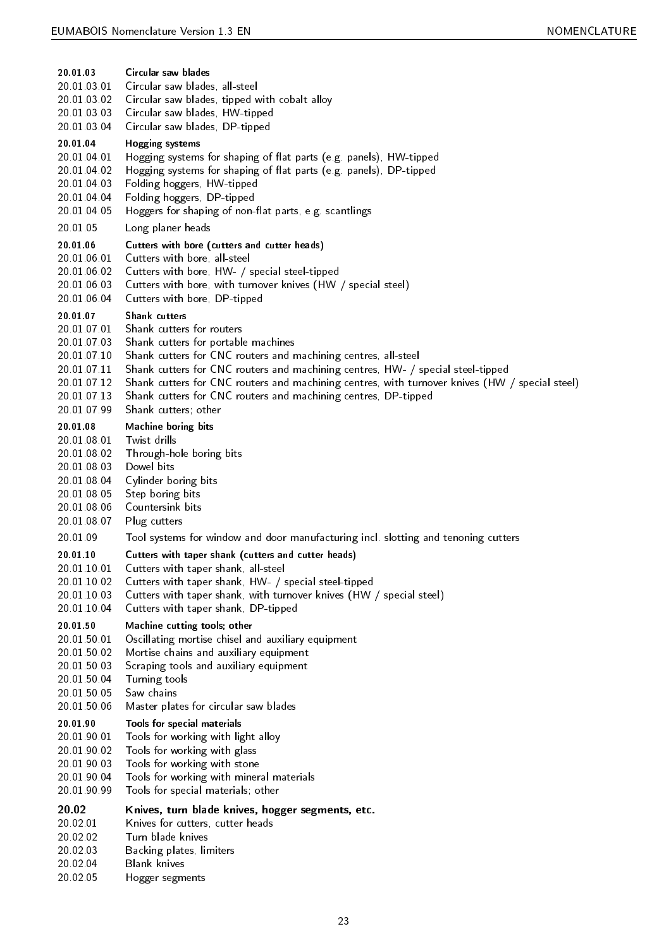<span id="page-22-57"></span><span id="page-22-56"></span><span id="page-22-55"></span><span id="page-22-54"></span><span id="page-22-53"></span><span id="page-22-52"></span><span id="page-22-51"></span><span id="page-22-50"></span><span id="page-22-49"></span><span id="page-22-48"></span><span id="page-22-47"></span><span id="page-22-46"></span><span id="page-22-45"></span><span id="page-22-44"></span><span id="page-22-43"></span><span id="page-22-42"></span><span id="page-22-41"></span><span id="page-22-40"></span><span id="page-22-39"></span><span id="page-22-38"></span><span id="page-22-37"></span><span id="page-22-36"></span><span id="page-22-35"></span><span id="page-22-34"></span><span id="page-22-33"></span><span id="page-22-32"></span><span id="page-22-31"></span><span id="page-22-30"></span><span id="page-22-29"></span><span id="page-22-28"></span><span id="page-22-27"></span><span id="page-22-26"></span><span id="page-22-25"></span><span id="page-22-24"></span><span id="page-22-23"></span><span id="page-22-22"></span><span id="page-22-21"></span><span id="page-22-20"></span><span id="page-22-19"></span><span id="page-22-18"></span><span id="page-22-17"></span><span id="page-22-16"></span><span id="page-22-15"></span><span id="page-22-14"></span><span id="page-22-13"></span><span id="page-22-12"></span><span id="page-22-11"></span><span id="page-22-10"></span><span id="page-22-9"></span><span id="page-22-8"></span><span id="page-22-7"></span><span id="page-22-6"></span><span id="page-22-5"></span><span id="page-22-4"></span><span id="page-22-3"></span><span id="page-22-2"></span><span id="page-22-1"></span><span id="page-22-0"></span>

| 20 01 03                   | Circular saw blades                                                                                           |
|----------------------------|---------------------------------------------------------------------------------------------------------------|
| 20 01 03 01                | Circular saw blades, all-steel                                                                                |
| 20 01 03 02                | Circular saw blades, tipped with cobalt alloy                                                                 |
| 20 01 03 03                | Circular saw blades, HW-tipped                                                                                |
| 20 01 03 04                | Circular saw blades, DP-tipped                                                                                |
| 20 01 04                   | Hogging systems                                                                                               |
| 20 01 04 01                | Hogging systems for shaping of flat parts (e.g. panels), HW-tipped                                            |
| 20 01 04 02                | Hogging systems for shaping of flat parts (e.g. panels), DP-tipped                                            |
| 20 01 04 03<br>20 01 04 04 | Folding hoggers, HW-tipped<br>Folding hoggers, DP-tipped                                                      |
| 20 01 04 05                | Hoggers for shaping of non-flat parts, e.g. scantlings                                                        |
|                            |                                                                                                               |
| 20 01 05                   | Long planer heads                                                                                             |
| 20 01 06                   | Cutters with bore (cutters and cutter heads)                                                                  |
| 20 01 06 01                | Cutters with bore, all-steel                                                                                  |
| 20 01 06 02<br>20 01 06 03 | Cutters with bore, HW- / special steel-tipped<br>Cutters with bore, with turnover knives (HW / special steel) |
| 20.01.06.04                | Cutters with bore, DP-tipped                                                                                  |
| 20 01 07                   | Shank cutters                                                                                                 |
| 20 01 07 01                | Shank cutters for routers                                                                                     |
| 20 01 07 03                | Shank cutters for portable machines                                                                           |
| 20 01 07 10                | Shank cutters for CNC routers and machining centres, all-steel                                                |
| 20 01 07 11                | Shank cutters for CNC routers and machining centres, HW- / special steel-tipped                               |
| 20.01.07.12                | Shank cutters for CNC routers and machining centres, with turnover knives (HW / special steel)                |
| 20 01 07 13                | Shank cutters for CNC routers and machining centres, DP-tipped                                                |
| 20 01 07 99                | Shank cutters; other                                                                                          |
| 20 01 08                   | Machine boring bits                                                                                           |
| 20 01 08 01                | Twist drills                                                                                                  |
| 20 01 08 02                | Through-hole boring bits                                                                                      |
| 20 01 08 03                | Dowel bits                                                                                                    |
| 20.01.08.04                | Cylinder boring bits                                                                                          |
| 20 01 08 05                | Step boring bits                                                                                              |
| 20 01 08 06                | Countersink bits                                                                                              |
| 20 01 08 07                | Plug cutters                                                                                                  |
| 20 01 09                   | Tool systems for window and door manufacturing incl. slotting and tenoning cutters                            |
| 20 01 10                   | Cutters with taper shank (cutters and cutter heads)                                                           |
| 20 01 10 01                | Cutters with taper shank, all-steel                                                                           |
| 20 01 10 02                | Cutters with taper shank, HW- / special steel-tipped                                                          |
| 20 01 10 03<br>20 01 10 04 | Cutters with taper shank, with turnover knives (HW / special steel)<br>Cutters with taper shank, DP-tipped    |
|                            |                                                                                                               |
| 20 01 50<br>20 01 50 01    | Machine cutting tools; other                                                                                  |
| 20 01 50 02                | Oscillating mortise chisel and auxiliary equipment<br>Mortise chains and auxiliary equipment                  |
| 20.01 50.03                | Scraping tools and auxiliary equipment                                                                        |
| 20.01 50.04                | Turning tools                                                                                                 |
| 20 01 50 05                | Saw chains                                                                                                    |
| 20 01 50 06                | Master plates for circular saw blades                                                                         |
| 20 01 90                   | Tools for special materials                                                                                   |
| 20 01 90 01                | Tools for working with light alloy                                                                            |
| 20 01 90 02                | Tools for working with glass                                                                                  |
| 20 01 90 03                | Tools for working with stone                                                                                  |
| 20 01 90 04                | Tools for working with mineral materials                                                                      |
| 20 01 90 99                | Tools for special materials; other                                                                            |
| 20.02                      | Knives, turn blade knives, hogger segments, etc.                                                              |
| 20 02 01                   | Knives for cutters, cutter heads                                                                              |
| 20.02.02                   | Turn blade knives                                                                                             |
| 20.02.03                   | Backing plates, limiters                                                                                      |
| 20.02.04                   | <b>Blank knives</b>                                                                                           |
| 20 02 05                   | Hogger segments                                                                                               |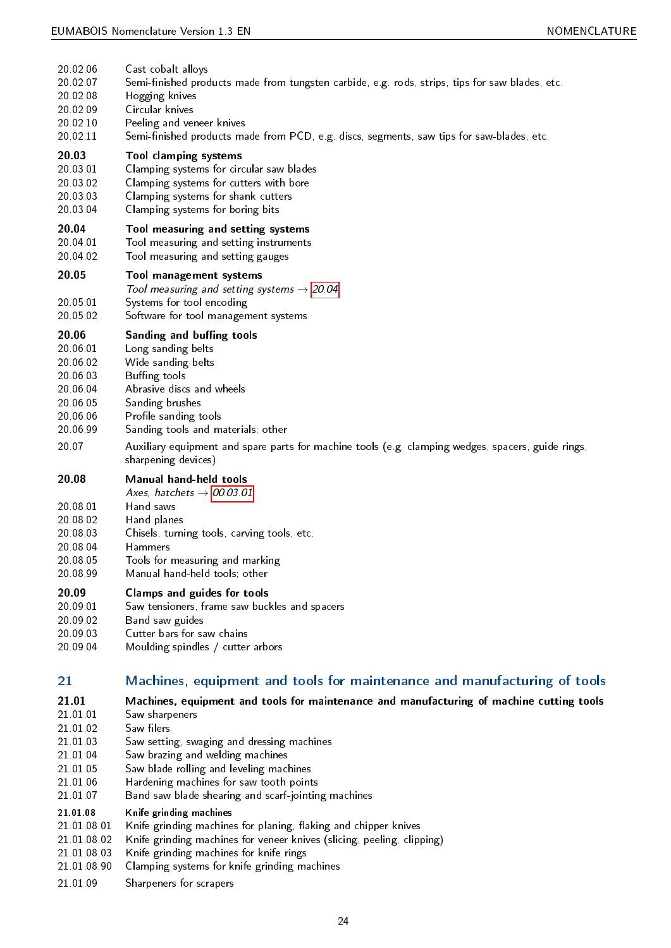<span id="page-23-52"></span><span id="page-23-50"></span><span id="page-23-49"></span><span id="page-23-48"></span><span id="page-23-47"></span><span id="page-23-45"></span><span id="page-23-44"></span><span id="page-23-37"></span><span id="page-23-36"></span><span id="page-23-35"></span><span id="page-23-32"></span><span id="page-23-29"></span><span id="page-23-23"></span><span id="page-23-21"></span><span id="page-23-20"></span><span id="page-23-19"></span><span id="page-23-18"></span><span id="page-23-16"></span><span id="page-23-15"></span><span id="page-23-11"></span><span id="page-23-9"></span><span id="page-23-4"></span><span id="page-23-3"></span><span id="page-23-2"></span><span id="page-23-1"></span>

| 20 02 06                                                                      | Cast cobalt alloys                                                                                                                                                                                                        |
|-------------------------------------------------------------------------------|---------------------------------------------------------------------------------------------------------------------------------------------------------------------------------------------------------------------------|
| 20 02 07                                                                      | Semi-finished products made from tungsten carbide, e.g. rods, strips, tips for saw blades, etc.                                                                                                                           |
| 20 02 08                                                                      | Hogging knives                                                                                                                                                                                                            |
| 20 02 09                                                                      | Circular knives                                                                                                                                                                                                           |
| 20 02 10                                                                      | Peeling and veneer knives                                                                                                                                                                                                 |
| 20 02 11                                                                      | Semi-finished products made from PCD, e.g. discs, segments, saw tips for saw-blades, etc.                                                                                                                                 |
| 20.03                                                                         | Tool clamping systems                                                                                                                                                                                                     |
| 20 03 01                                                                      | Clamping systems for circular saw blades                                                                                                                                                                                  |
| 20.03.02                                                                      | Clamping systems for cutters with bore                                                                                                                                                                                    |
| 20 03 03                                                                      | Clamping systems for shank cutters                                                                                                                                                                                        |
| 20 03 04                                                                      | Clamping systems for boring bits                                                                                                                                                                                          |
| 20.04                                                                         | Tool measuring and setting systems                                                                                                                                                                                        |
| 20 04 01                                                                      | Tool measuring and setting instruments                                                                                                                                                                                    |
| 20 04 02                                                                      | Tool measuring and setting gauges                                                                                                                                                                                         |
| 20.05<br>20 05 01<br>20 05 02                                                 | Tool management systems<br>Tool measuring and setting systems $\rightarrow$ 20.04<br>Systems for tool encoding<br>Software for tool management systems                                                                    |
| 20.06                                                                         | Sanding and buffing tools                                                                                                                                                                                                 |
| 20 06 01                                                                      | Long sanding belts                                                                                                                                                                                                        |
| 20 06 02                                                                      | Wide sanding belts                                                                                                                                                                                                        |
| 20 06 03                                                                      | Buffing tools                                                                                                                                                                                                             |
| 20 06 04                                                                      | Abrasive discs and wheels                                                                                                                                                                                                 |
| 20 06 05                                                                      | Sanding brushes                                                                                                                                                                                                           |
| 20 06 06                                                                      | Profile sanding tools                                                                                                                                                                                                     |
| 20 06 99                                                                      | Sanding tools and materials; other                                                                                                                                                                                        |
| 20.07                                                                         | Auxiliary equipment and spare parts for machine tools (e.g. clamping wedges, spacers, guide rings,<br>sharpening devices)                                                                                                 |
| 20.08<br>20 08 01<br>20.08.02<br>20.08.03<br>20 08 04<br>20 08 05<br>20 08 99 | Manual hand-held tools<br>Axes, hatchets $\rightarrow$ 00.03.01<br>Hand saws<br>Hand planes<br>Chisels, turning tools, carving tools, etc.<br>Hammers<br>Tools for measuring and marking<br>Manual hand-held tools; other |
| 20.09                                                                         | <b>Clamps and guides for tools</b>                                                                                                                                                                                        |
| 20 09 01                                                                      | Saw tensioners, frame saw buckles and spacers                                                                                                                                                                             |
| 20 09 02                                                                      | Band saw guides                                                                                                                                                                                                           |
| 20 09 03                                                                      | Cutter bars for saw chains                                                                                                                                                                                                |
| 20 09 04                                                                      | Moulding spindles / cutter arbors                                                                                                                                                                                         |
| 21                                                                            | Machines, equipment and tools for maintenance and manufacturing of tools                                                                                                                                                  |
| 21.01                                                                         | Machines, equipment and tools for maintenance and manufacturing of machine cutting tools                                                                                                                                  |
| 21 01 01                                                                      | Saw sharpeners                                                                                                                                                                                                            |
| 21.01.02                                                                      | Saw filers                                                                                                                                                                                                                |
| 21.01.03                                                                      | Saw setting, swaging and dressing machines                                                                                                                                                                                |
| 21.01.04                                                                      | Saw brazing and welding machines                                                                                                                                                                                          |
| 21.01.05                                                                      | Saw blade rolling and leveling machines                                                                                                                                                                                   |
| 21 01 06                                                                      | Hardening machines for saw tooth points                                                                                                                                                                                   |
| 21.01.07                                                                      | Band saw blade shearing and scarf-jointing machines                                                                                                                                                                       |
| 21.01.08                                                                      | Knife grinding machines                                                                                                                                                                                                   |
| 21 01 08 01                                                                   | Knife grinding machines for planing, flaking and chipper knives                                                                                                                                                           |

- <span id="page-23-51"></span><span id="page-23-43"></span><span id="page-23-42"></span><span id="page-23-41"></span><span id="page-23-40"></span><span id="page-23-39"></span><span id="page-23-38"></span><span id="page-23-34"></span><span id="page-23-33"></span><span id="page-23-31"></span><span id="page-23-28"></span><span id="page-23-27"></span><span id="page-23-26"></span><span id="page-23-25"></span><span id="page-23-24"></span><span id="page-23-17"></span><span id="page-23-14"></span><span id="page-23-13"></span><span id="page-23-12"></span><span id="page-23-8"></span><span id="page-23-7"></span><span id="page-23-6"></span><span id="page-23-5"></span><span id="page-23-0"></span>21.01.08.02 Knife grinding machines for veneer knives (slicing, peeling, clipping)
- <span id="page-23-10"></span>21.01.08.03 Knife grinding machines for knife rings
- <span id="page-23-30"></span>21.01.08.90 Clamping systems for knife grinding machines
- <span id="page-23-46"></span><span id="page-23-22"></span>21.01.09 Sharpeners for scrapers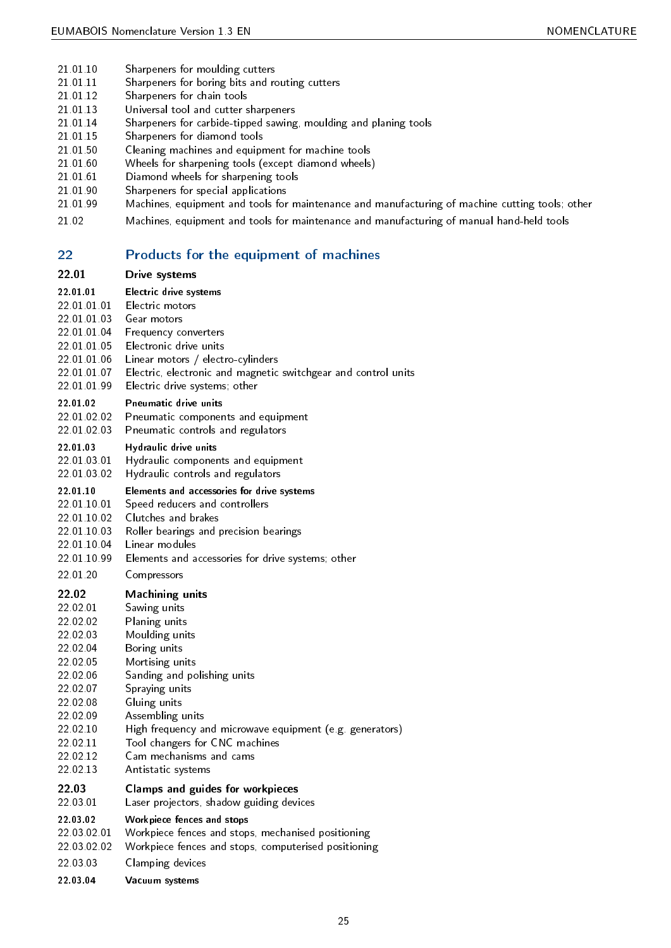- 21.01.10 Sharpeners for moulding cutters
- <span id="page-24-47"></span>21.01.11 Sharpeners for boring bits and routing cutters
- <span id="page-24-43"></span>21.01.12 Sharpeners for chain tools
- <span id="page-24-45"></span>21.01.13 Universal tool and cutter sharpeners
- <span id="page-24-52"></span>21.01.14 Sharpeners for carbide-tipped sawing, moulding and planing tools
- <span id="page-24-44"></span>21.01.15 Sharpeners for diamond tools
- <span id="page-24-46"></span>21.01.50 Cleaning machines and equipment for machine tools
- <span id="page-24-10"></span>21.01.60 Wheels for sharpening tools (except diamond wheels)
- <span id="page-24-53"></span>21.01.61 Diamond wheels for sharpening tools
- <span id="page-24-18"></span>21.01.90 Sharpeners for special applications
- <span id="page-24-48"></span>21.01.99 Machines, equipment and tools for maintenance and manufacturing of machine cutting tools; other
- <span id="page-24-34"></span><span id="page-24-33"></span>21.02 Machines, equipment and tools for maintenance and manufacturing of manual hand-held tools

## <span id="page-24-0"></span>22 Products for the equipment of machines

#### <span id="page-24-1"></span>22.01 Drive systems

- <span id="page-24-2"></span>22.01.01 Electric drive systems 22.01.01.01 Electric motors
- <span id="page-24-25"></span><span id="page-24-20"></span>22.01.01.03 Gear motors 22.01.01.04 Frequency converters
- <span id="page-24-24"></span>22.01.01.05 Electronic drive units
- <span id="page-24-22"></span>22.01.01.06 Linear motors / electro-cylinders
- <span id="page-24-32"></span>22.01.01.07 Electric, electronic and magnetic switchgear and control units
- <span id="page-24-21"></span><span id="page-24-19"></span>22.01.01.99 Electric drive systems; other

#### <span id="page-24-3"></span>22.01.02 Pneumatic drive units

- 22.01.02.02 Pneumatic components and equipment
- <span id="page-24-39"></span><span id="page-24-38"></span>22.01.02.03 Pneumatic controls and regulators

#### <span id="page-24-4"></span>22.01.03 Hydraulic drive units

- 22.01.03.01 Hydraulic components and equipment
- <span id="page-24-28"></span>22.01.03.02 Hydraulic controls and regulators

#### <span id="page-24-29"></span><span id="page-24-5"></span>22.01.10 Elements and accessories for drive systems

- 22.01.10.01 Speed reducers and controllers
- <span id="page-24-49"></span>22.01.10.02 Clutches and brakes
- <span id="page-24-16"></span>22.01.10.03 Roller bearings and precision bearings
- <span id="page-24-40"></span>22.01.10.04 Linear modules
- <span id="page-24-31"></span><span id="page-24-23"></span>22.01.10.99 Elements and accessories for drive systems; other
- <span id="page-24-17"></span>22.01.20 Compressors

### <span id="page-24-6"></span>22.02 Machining units

- <span id="page-24-42"></span><span id="page-24-37"></span><span id="page-24-36"></span>22.02.01 Sawing units 22.02.02 Planing units 22.02.03 Moulding units 22.02.04 Boring units 22.02.05 Mortising units 22.02.06 Sanding and polishing units
- <span id="page-24-41"></span><span id="page-24-35"></span><span id="page-24-13"></span>22.02.07 Spraying units
- <span id="page-24-50"></span>22.02.08 Gluing units
- <span id="page-24-26"></span>22.02.09 Assembling units
- <span id="page-24-12"></span>22.02.10 High frequency and microwave equipment (e.g. generators)
- <span id="page-24-27"></span>22.02.11 Tool changers for CNC machines
- <span id="page-24-51"></span>22.02.12 Cam mechanisms and cams
- <span id="page-24-14"></span><span id="page-24-11"></span>22.02.13 Antistatic systems

### <span id="page-24-7"></span>22.03 Clamps and guides for workpieces

#### 22.03.01 Laser projectors, shadow guiding devices

## <span id="page-24-30"></span><span id="page-24-8"></span>22.03.02 Workpiece fences and stops

- 22.03.02.01 Workpiece fences and stops, mechanised positioning
- <span id="page-24-55"></span>22.03.02.02 Workpiece fences and stops, computerised positioning
- <span id="page-24-54"></span>22.03.03 Clamping devices

### <span id="page-24-15"></span><span id="page-24-9"></span>22.03.04 Vacuum systems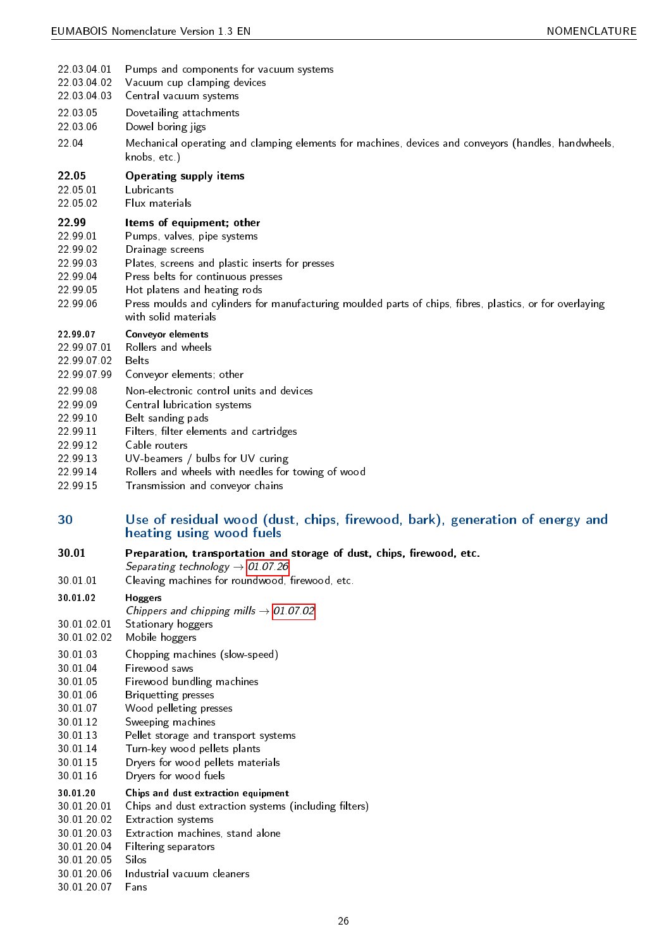<span id="page-25-51"></span><span id="page-25-42"></span><span id="page-25-41"></span><span id="page-25-37"></span><span id="page-25-36"></span><span id="page-25-34"></span><span id="page-25-26"></span><span id="page-25-25"></span><span id="page-25-24"></span><span id="page-25-22"></span><span id="page-25-15"></span><span id="page-25-14"></span><span id="page-25-13"></span><span id="page-25-2"></span><span id="page-25-1"></span>

| 22 03 04 01                                                                   | Pumps and components for vacuum systems                                                                                                                                                                                                                                                                                                   |
|-------------------------------------------------------------------------------|-------------------------------------------------------------------------------------------------------------------------------------------------------------------------------------------------------------------------------------------------------------------------------------------------------------------------------------------|
| 22 03 04 02                                                                   | Vacuum cup clamping devices                                                                                                                                                                                                                                                                                                               |
| 22 03 04 03                                                                   | Central vacuum systems                                                                                                                                                                                                                                                                                                                    |
| 22 03 05                                                                      | Dovetailing attachments                                                                                                                                                                                                                                                                                                                   |
| 22 03 06                                                                      | Dowel boring jigs                                                                                                                                                                                                                                                                                                                         |
| 22.04                                                                         | Mechanical operating and clamping elements for machines, devices and conveyors (handles, handwheels,<br>knobs, etc.)                                                                                                                                                                                                                      |
| 22.05                                                                         | <b>Operating supply items</b>                                                                                                                                                                                                                                                                                                             |
| 22 05 01                                                                      | Lubricants                                                                                                                                                                                                                                                                                                                                |
| 22 05 02                                                                      | Flux materials                                                                                                                                                                                                                                                                                                                            |
| 22.99<br>22 99 01<br>22 99 02<br>22 99 03<br>22 99 04<br>22 99 05<br>22 99 06 | Items of equipment; other<br>Pumps, valves, pipe systems<br>Drainage screens<br>Plates, screens and plastic inserts for presses<br>Press belts for continuous presses<br>Hot platens and heating rods<br>Press moulds and cylinders for manufacturing moulded parts of chips, fibres, plastics, or for overlaying<br>with solid materials |
| 22 99 07                                                                      | Conveyor elements                                                                                                                                                                                                                                                                                                                         |
| 22 99 07 01                                                                   | Rollers and wheels                                                                                                                                                                                                                                                                                                                        |
| 22 99 07 02                                                                   | <b>Belts</b>                                                                                                                                                                                                                                                                                                                              |
| 22 99 07 99                                                                   | Conveyor elements; other                                                                                                                                                                                                                                                                                                                  |
| 22 99 08                                                                      | Non-electronic control units and devices                                                                                                                                                                                                                                                                                                  |
| 22 99 09                                                                      | Central lubrication systems                                                                                                                                                                                                                                                                                                               |
| 22 99 10                                                                      | Belt sanding pads                                                                                                                                                                                                                                                                                                                         |
| 22 99 11                                                                      | Filters, filter elements and cartridges                                                                                                                                                                                                                                                                                                   |
| 22 99 12                                                                      | Cable routers                                                                                                                                                                                                                                                                                                                             |
| 22 99 13                                                                      | UV-beamers / bulbs for UV curing                                                                                                                                                                                                                                                                                                          |
| 22 99 14                                                                      | Rollers and wheels with needles for towing of wood                                                                                                                                                                                                                                                                                        |
| 22 99 15                                                                      | Transmission and conveyor chains                                                                                                                                                                                                                                                                                                          |
| 30                                                                            | Use of residual wood (dust, chips, firewood, bark), generation of energy and<br>heating using wood fuels                                                                                                                                                                                                                                  |

- <span id="page-25-50"></span><span id="page-25-48"></span><span id="page-25-44"></span><span id="page-25-43"></span><span id="page-25-39"></span><span id="page-25-33"></span><span id="page-25-23"></span><span id="page-25-21"></span><span id="page-25-20"></span><span id="page-25-19"></span><span id="page-25-18"></span><span id="page-25-16"></span><span id="page-25-4"></span><span id="page-25-3"></span><span id="page-25-0"></span>30.01 Preparation, transportation and storage of dust, chips, firewood, etc.
	- Separating technology  $\rightarrow$  [01.07.26](#page-13-14)
- 30.01.01 Cleaving machines for roundwood, firewood, etc.

### <span id="page-25-7"></span><span id="page-25-5"></span>30.01.02 Hoggers

- Chippers and chipping mills  $\rightarrow$  [01.07.02](#page-12-6)
- 30.01.02.01 Stationary hoggers
- <span id="page-25-46"></span>30.01.02.02 Mobile hoggers
- <span id="page-25-38"></span>30.01.03 Chopping machines (slow-speed)
- <span id="page-25-8"></span>30.01.04 Firewood saws
- <span id="page-25-9"></span>30.01.05 Firewood bundling machines
- <span id="page-25-10"></span>30.01.06 Briquetting presses
- <span id="page-25-11"></span>30.01.07 Wood pelleting presses
- <span id="page-25-12"></span>30.01.12 Sweeping machines
- <span id="page-25-47"></span>30.01.13 Pellet storage and transport systems
- <span id="page-25-40"></span>30.01.14 Turn-key wood pellets plants
- <span id="page-25-49"></span>30.01.15 Dryers for wood pellets materials
- <span id="page-25-28"></span><span id="page-25-27"></span>Dryers for wood fuels

<span id="page-25-6"></span>

| 30 01 20 | Chips and dust extraction equipment |  |
|----------|-------------------------------------|--|
| .        |                                     |  |

- 30.01.20.01 Chips and dust extraction systems (including filters)
- <span id="page-25-17"></span>30.01.20.02 Extraction systems
- <span id="page-25-30"></span>30.01.20.03 Extraction machines, stand alone
- <span id="page-25-29"></span>30.01.20.04 Filtering separators
- <span id="page-25-32"></span>30.01.20.05 Silos
- <span id="page-25-45"></span>30.01.20.06 Industrial vacuum cleaners
- <span id="page-25-35"></span><span id="page-25-31"></span>30.01.20.07 Fans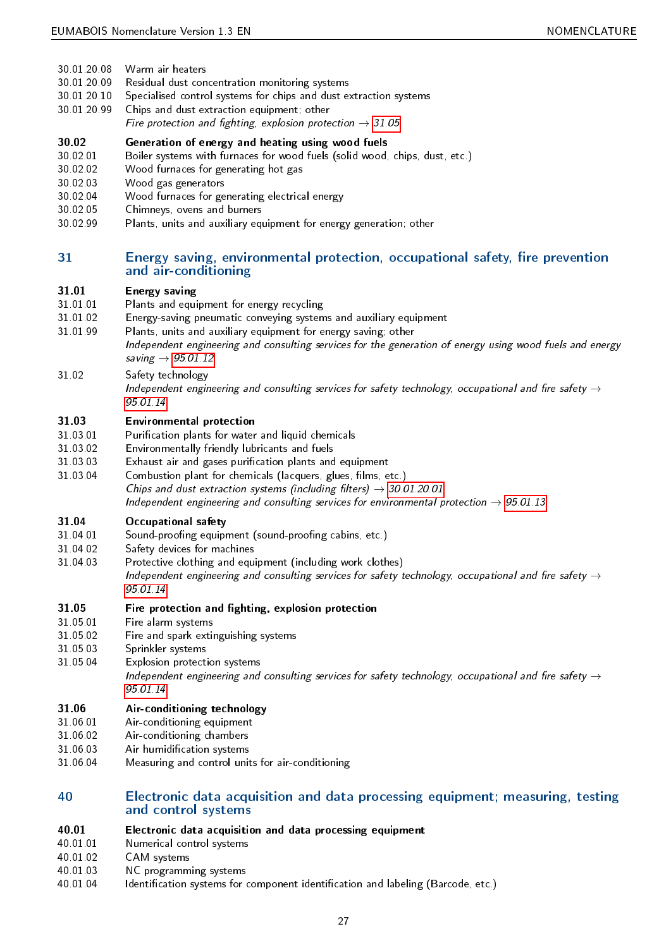- 30.01.20.08 Warm air heaters
- <span id="page-26-38"></span>30.01.20.09 Residual dust concentration monitoring systems
- <span id="page-26-32"></span>30.01.20.10 Specialised control systems for chips and dust extraction systems
- <span id="page-26-36"></span><span id="page-26-15"></span>30.01.20.99 Chips and dust extraction equipment; other
	- Fire protection and fighting, explosion protection  $\rightarrow$  [31.05](#page-26-6)

### <span id="page-26-2"></span>30.02 Generation of energy and heating using wood fuels

- 30.02.01 Boiler systems with furnaces for wood fuels (solid wood, chips, dust, etc.)
- <span id="page-26-12"></span>30.02.02 Wood furnaces for generating hot gas
- <span id="page-26-40"></span>30.02.03 Wood gas generators
- <span id="page-26-41"></span>30.02.04 Wood furnaces for generating electrical energy
- <span id="page-26-39"></span>30.02.05 Chimneys, ovens and burners
- <span id="page-26-28"></span><span id="page-26-14"></span>30.02.99 Plants, units and auxiliary equipment for energy generation; other

## <span id="page-26-0"></span>31 Energy saving, environmental protection, occupational safety, fire prevention and air-conditioning

#### <span id="page-26-3"></span>31.01 Energy saving

- 31.01.01 Plants and equipment for energy recycling
- <span id="page-26-27"></span>31.01.02 Energy-saving pneumatic conveying systems and auxiliary equipment
- <span id="page-26-29"></span><span id="page-26-17"></span>31.01.99 Plants, units and auxiliary equipment for energy saving; other

Independent engineering and consulting services for the generation of energy using wood fuels and energy saving  $\rightarrow$  [95.01.12](#page-28-5)

- <span id="page-26-34"></span>31.02 Safety technology
	- Independent engineering and consulting services for safety technology, occupational and fire safety  $\rightarrow$ [95.01.14](#page-28-6)

## <span id="page-26-4"></span>31.03 Environmental protection

- 31.03.01 Purication plants for water and liquid chemicals
- <span id="page-26-31"></span>31.03.02 Environmentally friendly lubricants and fuels
- <span id="page-26-18"></span>31.03.03 Exhaust air and gases purification plants and equipment
- <span id="page-26-19"></span><span id="page-26-16"></span>31.03.04 Combustion plant for chemicals (lacquers, glues, films, etc.) Chips and dust extraction systems (including filters)  $\rightarrow$  [30.01.20.01](#page-25-17) Independent engineering and consulting services for environmental protection  $\rightarrow$  [95.01.13](#page-28-7)

### <span id="page-26-5"></span>31.04 Occupational safety

- 31.04.01 Sound-proofing equipment (sound-proofing cabins, etc.)
- <span id="page-26-35"></span>31.04.02 Safety devices for machines
- <span id="page-26-33"></span><span id="page-26-30"></span>31.04.03 Protective clothing and equipment (including work clothes) Independent engineering and consulting services for safety technology, occupational and fire safety  $\rightarrow$ [95.01.14](#page-28-6)

## <span id="page-26-6"></span>31.05 Fire protection and fighting, explosion protection

- 31.05.01 Fire alarm systems
- <span id="page-26-21"></span>31.05.02 Fire and spark extinguishing systems
- <span id="page-26-22"></span>31.05.03 Sprinkler systems
- <span id="page-26-37"></span><span id="page-26-20"></span>31.05.04 Explosion protection systems
	- Independent engineering and consulting services for safety technology, occupational and fire safety  $\rightarrow$ [95.01.14](#page-28-6)

## <span id="page-26-7"></span>31.06 Air-conditioning technology

- 31.06.01 Air-conditioning equipment
- <span id="page-26-11"></span>31.06.02 Air-conditioning chambers
- <span id="page-26-10"></span>31.06.03 Air humidication systems
- <span id="page-26-24"></span><span id="page-26-9"></span>31.06.04 Measuring and control units for air-conditioning

## <span id="page-26-1"></span>40 Electronic data acquisition and data processing equipment; measuring, testing and control systems

- <span id="page-26-8"></span>40.01 Electronic data acquisition and data processing equipment
- 40.01.01 Numerical control systems
- <span id="page-26-26"></span>40.01.02 CAM systems
- <span id="page-26-13"></span>40.01.03 NC programming systems
- <span id="page-26-25"></span><span id="page-26-23"></span>40.01.04 Identification systems for component identification and labeling (Barcode, etc.)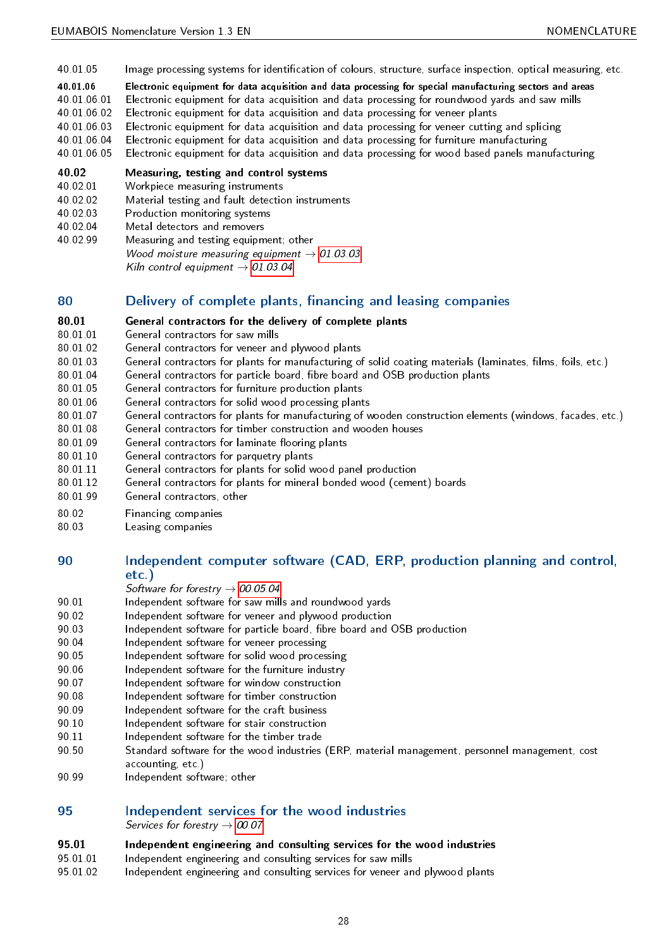- 40.01.05 Image processing systems for identification of colours, structure, surface inspection, optical measuring, etc.
- <span id="page-27-32"></span><span id="page-27-3"></span>40.01.06 Electronic equipment for data acquisition and data processing for special manufacturing sectors and areas
- 40.01.06.01 Electronic equipment for data acquisition and data processing for roundwood yards and saw mills
- <span id="page-27-7"></span>40.01.06.02 Electronic equipment for data acquisition and data processing for veneer plants
- <span id="page-27-10"></span>40.01.06.03 Electronic equipment for data acquisition and data processing for veneer cutting and splicing
- <span id="page-27-17"></span>40.01.06.04 Electronic equipment for data acquisition and data processing for furniture manufacturing
- <span id="page-27-20"></span><span id="page-27-19"></span>40.01.06.05 Electronic equipment for data acquisition and data processing for wood based panels manufacturing

#### <span id="page-27-4"></span>40.02 Measuring, testing and control systems

- 40.02.01 Workpiece measuring instruments
- <span id="page-27-47"></span>40.02.02 Material testing and fault detection instruments
- <span id="page-27-42"></span>40.02.03 Production monitoring systems
- <span id="page-27-45"></span>40.02.04 Metal detectors and removers
- <span id="page-27-44"></span><span id="page-27-43"></span>40.02.99 Measuring and testing equipment; other Wood moisture measuring equipment  $\rightarrow$  [01.03.03](#page-10-7) Kiln control equipment  $\rightarrow$  [01.03.04](#page-11-6)

## <span id="page-27-0"></span>80 **Delivery of complete plants, financing and leasing companies**

#### <span id="page-27-5"></span>80.01 General contractors for the delivery of complete plants

- 80.01.01 General contractors for saw mills
- <span id="page-27-28"></span>80.01.02 General contractors for veneer and plywood plants
- <span id="page-27-12"></span>80.01.03 General contractors for plants for manufacturing of solid coating materials (laminates, films, foils, etc.)
- <span id="page-27-14"></span>80.01.04 General contractors for particle board, fibre board and OSB production plants
- <span id="page-27-15"></span>80.01.05 General contractors for furniture production plants
- <span id="page-27-22"></span>80.01.06 General contractors for solid wood processing plants
- <span id="page-27-29"></span>80.01.07 General contractors for plants for manufacturing of wooden construction elements (windows, facades, etc.)
- <span id="page-27-25"></span>80.01.08 General contractors for timber construction and wooden houses
- <span id="page-27-30"></span>80.01.09 General contractors for laminate flooring plants
- <span id="page-27-23"></span>80.01.10 General contractors for parquetry plants
- <span id="page-27-24"></span>80.01.11 General contractors for plants for solid wood panel production
- <span id="page-27-27"></span>80.01.12 General contractors for plants for mineral bonded wood (cement) boards
- <span id="page-27-26"></span>80.01.99 General contractors, other
- <span id="page-27-31"></span>
- <span id="page-27-41"></span><span id="page-27-21"></span>80.02 Financing companies Leasing companies

## <span id="page-27-1"></span>90 Independent computer software (CAD, ERP, production planning and control, etc.)

- Software for forestry  $\rightarrow$  [00.05.04](#page-9-11)
- 90.01 Independent software for saw mills and roundwood yards
- <span id="page-27-8"></span>90.02 Independent software for veneer and plywood production
- <span id="page-27-11"></span>90.03 Independent software for particle board, fibre board and OSB production
- <span id="page-27-16"></span>90.04 Independent software for veneer processing
- <span id="page-27-18"></span>90.05 Independent software for solid wood processing
- <span id="page-27-33"></span>90.06 Independent software for the furniture industry
- <span id="page-27-36"></span>90.07 Independent software for window construction
- <span id="page-27-39"></span>90.08 Independent software for timber construction
- <span id="page-27-38"></span>90.09 Independent software for the craft business
- <span id="page-27-35"></span>90.10 Independent software for stair construction
- <span id="page-27-34"></span>90.11 Independent software for the timber trade
- <span id="page-27-46"></span><span id="page-27-37"></span>90.50 Standard software for the wood industries (ERP, material management, personnel management, cost accounting, etc.)
- <span id="page-27-40"></span>90.99 Independent software; other

## <span id="page-27-2"></span>95 Independent services for the wood industries

Services for forestry  $\rightarrow$  [00.07](#page-9-4)

## <span id="page-27-6"></span>95.01 Independent engineering and consulting services for the wood industries

- 95.01.01 Independent engineering and consulting services for saw mills
- <span id="page-27-13"></span><span id="page-27-9"></span>95.01.02 Independent engineering and consulting services for veneer and plywood plants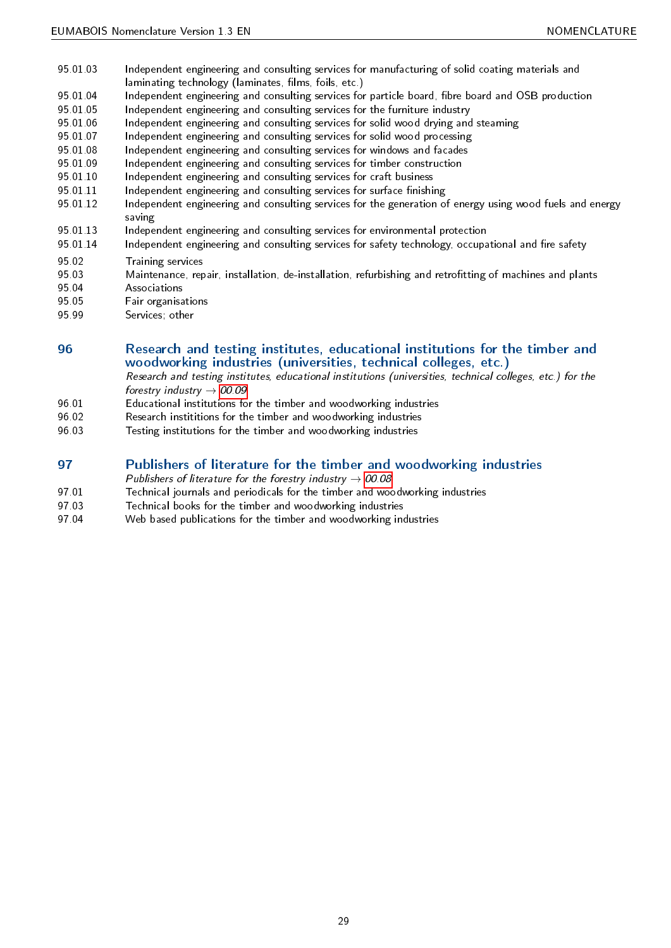- <span id="page-28-2"></span>95.01.03 Independent engineering and consulting services for manufacturing of solid coating materials and laminating technology (laminates, films, foils, etc.)
- 95.01.04 Independent engineering and consulting services for particle board, fibre board and OSB production
- <span id="page-28-3"></span>95.01.05 Independent engineering and consulting services for the furniture industry
- <span id="page-28-14"></span>95.01.06 Independent engineering and consulting services for solid wood drying and steaming
- <span id="page-28-12"></span>95.01.07 Independent engineering and consulting services for solid wood processing
- <span id="page-28-13"></span>95.01.08 Independent engineering and consulting services for windows and facades
- <span id="page-28-16"></span>95.01.09 Independent engineering and consulting services for timber construction
- <span id="page-28-15"></span>95.01.10 Independent engineering and consulting services for craft business
- <span id="page-28-11"></span>95.01.11 Independent engineering and consulting services for surface finishing
- <span id="page-28-5"></span><span id="page-28-4"></span>95.01.12 Independent engineering and consulting services for the generation of energy using wood fuels and energy saving
- 95.01.13 Independent engineering and consulting services for environmental protection
- <span id="page-28-7"></span><span id="page-28-6"></span>95.01.14 Independent engineering and consulting services for safety technology, occupational and fire safety
- 95.02 Training services
- <span id="page-28-23"></span><span id="page-28-17"></span>95.03 Maintenance, repair, installation, de-installation, refurbishing and retrofitting of machines and plants 95.04 Associations
- <span id="page-28-8"></span>95.05 Fair organisations
- <span id="page-28-10"></span>
- <span id="page-28-19"></span>95.99 Services; other

## <span id="page-28-0"></span>96 Research and testing institutes, educational institutions for the timber and woodworking industries (universities, technical colleges, etc.)

Research and testing institutes, educational institutions (universities, technical colleges, etc.) for the forestry industry  $\rightarrow$  [00.09](#page-9-6)

- 96.01 Educational institutions for the timber and woodworking industries
- <span id="page-28-9"></span>96.02 Research instititions for the timber and woodworking industries
- <span id="page-28-22"></span><span id="page-28-18"></span>96.03 Testing institutions for the timber and woodworking industries

## <span id="page-28-1"></span>97 Publishers of literature for the timber and woodworking industries

Publishers of literature for the forestry industry  $\rightarrow$  [00.08](#page-9-5)

- 97.01 Technical journals and periodicals for the timber and woodworking industries
- <span id="page-28-21"></span>97.03 Technical books for the timber and woodworking industries
- <span id="page-28-24"></span><span id="page-28-20"></span>97.04 Web based publications for the timber and woodworking industries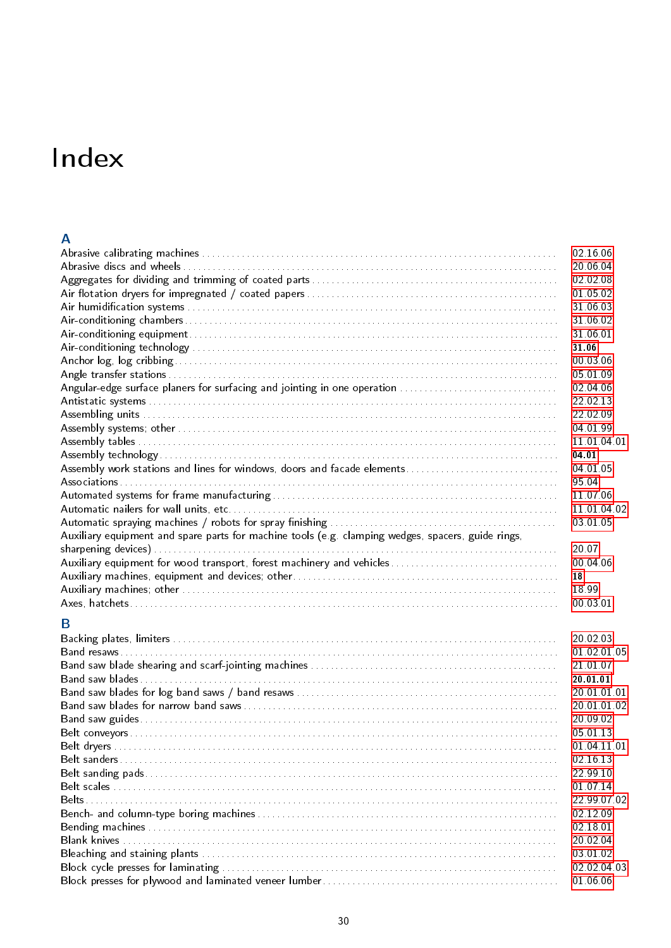## <span id="page-29-0"></span>Index

## A

| 20 06 04<br>02 02 08<br>01 05 02<br>31 06 03<br>31.06.02<br>31 06 01<br>31 06<br>00 03 06<br>05 01 09<br>Angular-edge surface planers for surfacing and jointing in one operation<br>02 04 06<br>22 02 13<br>22 02 09<br>04 01 99<br>11 01 04 01<br>04.01<br>Assembly work stations and lines for windows, doors and facade elements<br>04 01 05<br>95.04<br>11 07 06<br>11 01 04 02<br>03 01 05 |  |
|--------------------------------------------------------------------------------------------------------------------------------------------------------------------------------------------------------------------------------------------------------------------------------------------------------------------------------------------------------------------------------------------------|--|
|                                                                                                                                                                                                                                                                                                                                                                                                  |  |
|                                                                                                                                                                                                                                                                                                                                                                                                  |  |
|                                                                                                                                                                                                                                                                                                                                                                                                  |  |
|                                                                                                                                                                                                                                                                                                                                                                                                  |  |
|                                                                                                                                                                                                                                                                                                                                                                                                  |  |
|                                                                                                                                                                                                                                                                                                                                                                                                  |  |
|                                                                                                                                                                                                                                                                                                                                                                                                  |  |
|                                                                                                                                                                                                                                                                                                                                                                                                  |  |
|                                                                                                                                                                                                                                                                                                                                                                                                  |  |
|                                                                                                                                                                                                                                                                                                                                                                                                  |  |
|                                                                                                                                                                                                                                                                                                                                                                                                  |  |
|                                                                                                                                                                                                                                                                                                                                                                                                  |  |
|                                                                                                                                                                                                                                                                                                                                                                                                  |  |
|                                                                                                                                                                                                                                                                                                                                                                                                  |  |
|                                                                                                                                                                                                                                                                                                                                                                                                  |  |
|                                                                                                                                                                                                                                                                                                                                                                                                  |  |
|                                                                                                                                                                                                                                                                                                                                                                                                  |  |
|                                                                                                                                                                                                                                                                                                                                                                                                  |  |
|                                                                                                                                                                                                                                                                                                                                                                                                  |  |
|                                                                                                                                                                                                                                                                                                                                                                                                  |  |
| Auxiliary equipment and spare parts for machine tools (e.g. clamping wedges, spacers, guide rings,                                                                                                                                                                                                                                                                                               |  |
| 20.07                                                                                                                                                                                                                                                                                                                                                                                            |  |
| 00 04 06                                                                                                                                                                                                                                                                                                                                                                                         |  |
| 18                                                                                                                                                                                                                                                                                                                                                                                               |  |
| 18.99                                                                                                                                                                                                                                                                                                                                                                                            |  |
| 00.03.01                                                                                                                                                                                                                                                                                                                                                                                         |  |
| B                                                                                                                                                                                                                                                                                                                                                                                                |  |
| 20 02 03                                                                                                                                                                                                                                                                                                                                                                                         |  |
| 01 02 01 05                                                                                                                                                                                                                                                                                                                                                                                      |  |
| 21 01 07                                                                                                                                                                                                                                                                                                                                                                                         |  |
| 20 01 01                                                                                                                                                                                                                                                                                                                                                                                         |  |
| 20 01 01 01                                                                                                                                                                                                                                                                                                                                                                                      |  |
| 20 01 01 02                                                                                                                                                                                                                                                                                                                                                                                      |  |
| 20 09 02                                                                                                                                                                                                                                                                                                                                                                                         |  |
| 05 01 13                                                                                                                                                                                                                                                                                                                                                                                         |  |
| 01 04 11 01                                                                                                                                                                                                                                                                                                                                                                                      |  |
| 02 16 13                                                                                                                                                                                                                                                                                                                                                                                         |  |
| 22 99 10                                                                                                                                                                                                                                                                                                                                                                                         |  |

Belt scales . . . . . . . . . . . . . . . . . . . . . . . . . . . . . . . . . . . . . . . . . . . . . . . . . . . . . . . . . . . . . . . . . . . . . . . . . . . . . . . . . . . . . . . . . . [01.07.14](#page-12-7) Belts. . . . . . . . . . . . . . . . . . . . . . . . . . . . . . . . . . . . . . . . . . . . . . . . . . . . . . . . . . . . . . . . . . . . . . . . . . . . . . . . . . . . . . . . . . . . . . . . [22.99.07.02](#page-25-19) Bench- and column-type boring machines . . . . . . . . . . . . . . . . . . . . . . . . . . . . . . . . . . . . . . . . . . . . . . . . . . . . . . . . . . . . . [02.12.09](#page-16-12) Bending machines . . . . . . . . . . . . . . . . . . . . . . . . . . . . . . . . . . . . . . . . . . . . . . . . . . . . . . . . . . . . . . . . . . . . . . . . . . . . . . . . . . . [02.18.01](#page-17-14) Blank knives . . . . . . . . . . . . . . . . . . . . . . . . . . . . . . . . . . . . . . . . . . . . . . . . . . . . . . . . . . . . . . . . . . . . . . . . . . . . . . . . . . . . . . . . [20.02.04](#page-22-10) Bleaching and staining plants . . . . . . . . . . . . . . . . . . . . . . . . . . . . . . . . . . . . . . . . . . . . . . . . . . . . . . . . . . . . . . . . . . . . . . . . [03.01.02](#page-18-13) Block cycle presses for laminating . . . . . . . . . . . . . . . . . . . . . . . . . . . . . . . . . . . . . . . . . . . . . . . . . . . . . . . . . . . . . . . . . . . . [02.02.04.03](#page-14-9) Block presses for plywood and laminated veneer lumber. . . . . . . . . . . . . . . . . . . . . . . . . . . . . . . . . . . . . . . . . . . . . . . . [01.06.06](#page-12-8)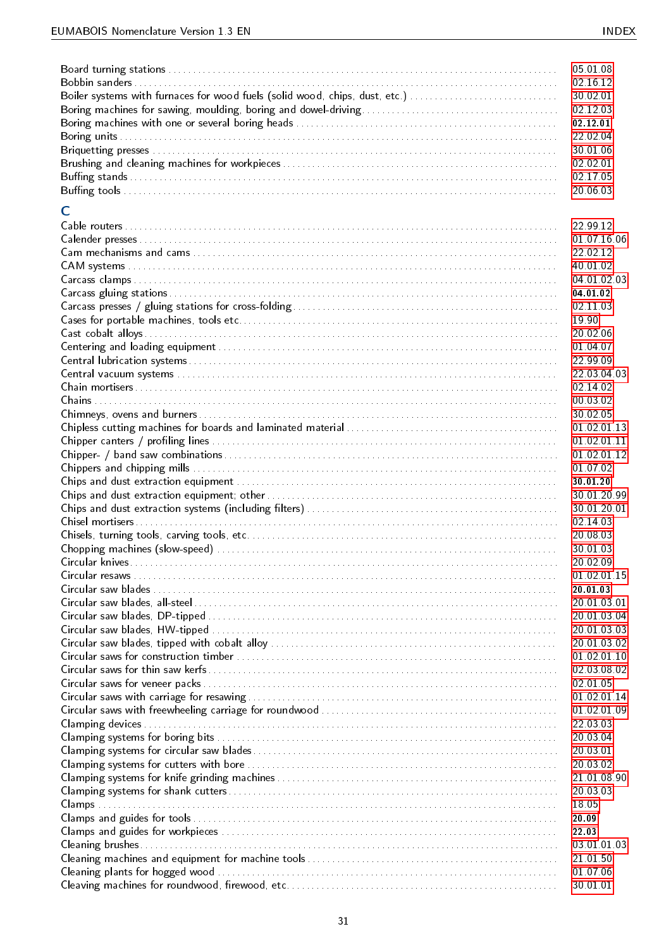|                                                                             | 05 01 08             |
|-----------------------------------------------------------------------------|----------------------|
|                                                                             | 02 16 12             |
| Boiler systems with furnaces for wood fuels (solid wood, chips, dust, etc.) | 30 02 01             |
|                                                                             | 02 12 03             |
|                                                                             | 02 12 01             |
|                                                                             | 22 02 04             |
|                                                                             | 30 01 06             |
|                                                                             | 02 02 01             |
|                                                                             | 02 17 05             |
|                                                                             | 20 06 03             |
| C                                                                           |                      |
|                                                                             | 22 99 12             |
|                                                                             | 01 07 16 06          |
|                                                                             | 22 02 12             |
|                                                                             | 40 01 02             |
|                                                                             | 04 01 02 03          |
|                                                                             | 04 01 02             |
|                                                                             | 02 11 03             |
|                                                                             | 19 90                |
|                                                                             | 20 02 06             |
|                                                                             | 01 04 07             |
|                                                                             | 22 99 09             |
|                                                                             | 22 03 04 03          |
|                                                                             | 02 14 02             |
|                                                                             | 00 03 02             |
|                                                                             | 30 02 05             |
|                                                                             | 01 02 01 13          |
|                                                                             | 01 02 01 11          |
|                                                                             | 01 02 01 12          |
|                                                                             | 01 07 02             |
|                                                                             | 30 01 20             |
|                                                                             | 30 01 20 99          |
|                                                                             | 30 01 20 01          |
|                                                                             | 02 14 03             |
|                                                                             | 20 08 03             |
|                                                                             | 30 01 03             |
|                                                                             | 20 02 09             |
|                                                                             | 01 02 01 15          |
|                                                                             | 20 01 03             |
|                                                                             | 20 01 03 01          |
|                                                                             | 20 01 03 04          |
|                                                                             | 20.01.03.03          |
|                                                                             | 20.01.03.02          |
|                                                                             | 01 02 01 10          |
|                                                                             | 02.03.08.02          |
|                                                                             | 02 01 05             |
|                                                                             | 01 02 01 14          |
|                                                                             | 01 02 01 09          |
|                                                                             | 22 03 03             |
|                                                                             | 20 03 04             |
|                                                                             | 20.03.01<br>20 03 02 |
|                                                                             | 21 01 08 90          |
|                                                                             | 20 03 03             |
|                                                                             | 1805                 |
|                                                                             | 20.09                |
|                                                                             | 22 03                |
|                                                                             | 03 01 01 03          |
|                                                                             | 21 01 50             |
|                                                                             | 01 07 06             |
|                                                                             | 30 01 01             |
|                                                                             |                      |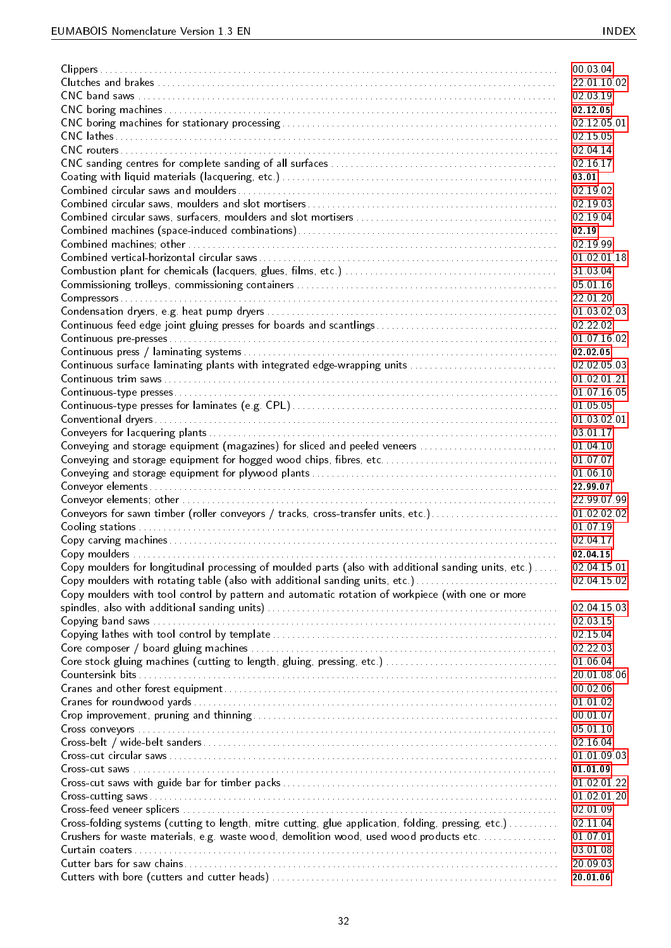|                                                                                                       | 00 03 04    |
|-------------------------------------------------------------------------------------------------------|-------------|
|                                                                                                       | 22 01 10 02 |
|                                                                                                       | 02 03 19    |
|                                                                                                       | 02 12 05    |
|                                                                                                       | 02 12 05 01 |
|                                                                                                       | 02 15 05    |
|                                                                                                       | 02 04 14    |
|                                                                                                       | 02 16 17    |
|                                                                                                       | 03 01       |
|                                                                                                       | 02 19 02    |
|                                                                                                       | 02 19 03    |
|                                                                                                       | 02 19 04    |
|                                                                                                       | 02.19       |
|                                                                                                       | 02 19 99    |
|                                                                                                       | 01 02 01 18 |
|                                                                                                       | 31 03 04    |
|                                                                                                       | 05 01 16    |
|                                                                                                       | 22 01 20    |
|                                                                                                       | 01 03 02 03 |
|                                                                                                       | 02 22 02    |
|                                                                                                       | 01 07 16 02 |
|                                                                                                       | 02 02 05    |
| Continuous surface laminating plants with integrated edge-wrapping units                              | 02.02.05.03 |
|                                                                                                       | 01 02 01 21 |
|                                                                                                       | 01 07 16 05 |
|                                                                                                       | 01 05 05    |
|                                                                                                       | 01 03 02 01 |
|                                                                                                       | 03 01 17    |
| Conveying and storage equipment (magazines) for sliced and peeled veneers                             | 01 04 10    |
| Conveying and storage equipment for hogged wood chips, fibres, etc                                    | 01 07 07    |
|                                                                                                       | 01 06 10    |
|                                                                                                       | 22 99 07    |
|                                                                                                       | 22.99.07.99 |
| Conveyors for sawn timber (roller conveyors / tracks, cross-transfer units, etc.)                     | 01 02 02 02 |
|                                                                                                       | 01 07 19    |
|                                                                                                       | 02 04 17    |
|                                                                                                       | 02.04.15    |
| Copy moulders for longitudinal processing of moulded parts (also with additional sanding units, etc.) | 02 04 15 01 |
| Copy moulders with rotating table (also with additional sanding units, etc.)                          | 02 04 15 02 |
| Copy moulders with tool control by pattern and automatic rotation of workpiece (with one or more      |             |
|                                                                                                       | 02 04 15 03 |
|                                                                                                       | 02 03 15    |
|                                                                                                       | 02 15 04    |
|                                                                                                       | 02 22 03    |
|                                                                                                       | 01 06 04    |
|                                                                                                       | 20 01 08 06 |
|                                                                                                       | 00 02 06    |
|                                                                                                       | 01 01 02    |
|                                                                                                       | 00 01 07    |
|                                                                                                       | 05 01 10    |
|                                                                                                       | 02 16 04    |
|                                                                                                       | 01 01 09 03 |
|                                                                                                       | 01 01 09    |
|                                                                                                       | 01 02 01 22 |
|                                                                                                       | 01 02 01 20 |
|                                                                                                       | 02 01 09    |
| Cross-folding systems (cutting to length, mitre cutting, glue application, folding, pressing, etc.)   | 02 11 04    |
| Crushers for waste materials, e.g. waste wood, demolition wood, used wood products etc                | 01 07 01    |
|                                                                                                       | 03 01 08    |
|                                                                                                       | 20.09.03    |
|                                                                                                       | 20 01 06    |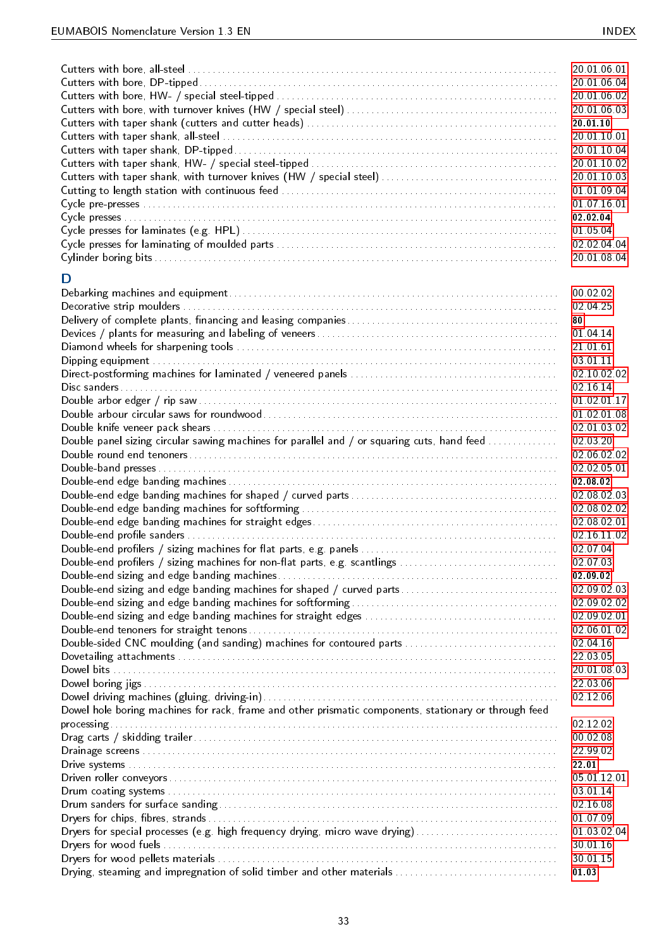|                                                                                                       | 20 01 06 01<br>20 01 06 04<br>20.01.06.02<br>20.01.06.03<br>20 01 10<br>20 01 10 01<br>20.01.10.04<br>20.01.10.02<br>20.01.10.03<br>01 01 09 04<br>01 07 16 01<br>02 02 04<br>01 05 04<br>02 02 04 04<br>20.01.08.04 |
|-------------------------------------------------------------------------------------------------------|----------------------------------------------------------------------------------------------------------------------------------------------------------------------------------------------------------------------|
| D                                                                                                     |                                                                                                                                                                                                                      |
|                                                                                                       | 00 02 02                                                                                                                                                                                                             |
|                                                                                                       | 02 04 25                                                                                                                                                                                                             |
|                                                                                                       | 80                                                                                                                                                                                                                   |
|                                                                                                       | 01 04 14                                                                                                                                                                                                             |
|                                                                                                       | 21 01 61                                                                                                                                                                                                             |
|                                                                                                       | 03 01 11<br>02 10 02 02                                                                                                                                                                                              |
|                                                                                                       | 02 16 14                                                                                                                                                                                                             |
|                                                                                                       | 01 02 01 17                                                                                                                                                                                                          |
|                                                                                                       | 01 02 01 08                                                                                                                                                                                                          |
|                                                                                                       | 02 01 03 02                                                                                                                                                                                                          |
| Double panel sizing circular sawing machines for parallel and / or squaring cuts, hand feed           | 02 03 20                                                                                                                                                                                                             |
|                                                                                                       | 02 06 02 02                                                                                                                                                                                                          |
|                                                                                                       | 02 02 05 01                                                                                                                                                                                                          |
|                                                                                                       | 02 08 02                                                                                                                                                                                                             |
|                                                                                                       | 02 08 02 03                                                                                                                                                                                                          |
|                                                                                                       | 02 08 02 02                                                                                                                                                                                                          |
|                                                                                                       | 02 08 02 01                                                                                                                                                                                                          |
|                                                                                                       | 02 16 11 02                                                                                                                                                                                                          |
|                                                                                                       | 02 07 04<br>02 07 03                                                                                                                                                                                                 |
| Double-end profilers / sizing machines for non-flat parts, e.g. scantlings                            | 02 09 02                                                                                                                                                                                                             |
| Double-end sizing and edge banding machines for shaped / curved parts                                 | 02 09 02 03                                                                                                                                                                                                          |
|                                                                                                       | 02.09.02.02                                                                                                                                                                                                          |
|                                                                                                       | 02 09 02 01                                                                                                                                                                                                          |
|                                                                                                       | 02 06 01 02                                                                                                                                                                                                          |
| Double-sided CNC moulding (and sanding) machines for contoured parts                                  | 02 04 16                                                                                                                                                                                                             |
|                                                                                                       | 22 03 05                                                                                                                                                                                                             |
|                                                                                                       | 20 01 08 03                                                                                                                                                                                                          |
|                                                                                                       | 22 03 06                                                                                                                                                                                                             |
|                                                                                                       | 02 12 06                                                                                                                                                                                                             |
| Dowel hole boring machines for rack, frame and other prismatic components, stationary or through feed |                                                                                                                                                                                                                      |
|                                                                                                       | 02 12 02                                                                                                                                                                                                             |
|                                                                                                       | 00 02 08                                                                                                                                                                                                             |
|                                                                                                       | 22 99 02                                                                                                                                                                                                             |
|                                                                                                       | 22.01<br>05 01 12 01                                                                                                                                                                                                 |
|                                                                                                       | 03 01 14                                                                                                                                                                                                             |
|                                                                                                       | 02 16 08                                                                                                                                                                                                             |
|                                                                                                       | 01 07 09                                                                                                                                                                                                             |
| Dryers for special processes (e.g. high frequency drying, micro wave drying)                          | 01 03 02 04                                                                                                                                                                                                          |
|                                                                                                       | 30 01 16                                                                                                                                                                                                             |
|                                                                                                       | 30 01 15                                                                                                                                                                                                             |
| Drying, steaming and impregnation of solid timber and other materials                                 | 01 03                                                                                                                                                                                                                |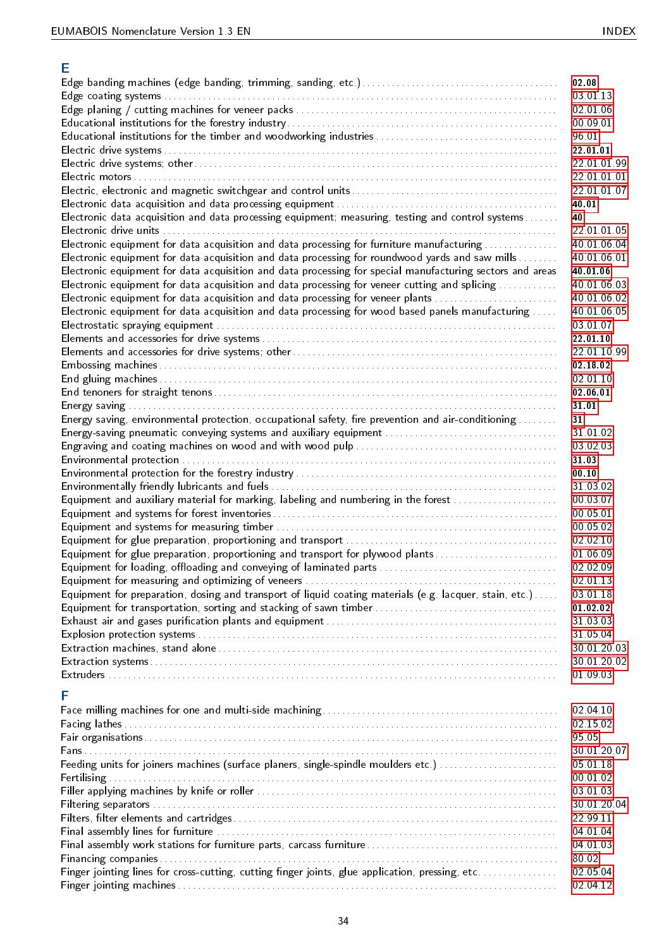| Е                                                                                                         |                         |
|-----------------------------------------------------------------------------------------------------------|-------------------------|
|                                                                                                           | 02.08                   |
|                                                                                                           | 03 01 13                |
|                                                                                                           | 02 01 06                |
|                                                                                                           | 00 09 01                |
|                                                                                                           | 96.01                   |
|                                                                                                           | 22 01 01                |
|                                                                                                           | 22 01 01 99             |
|                                                                                                           | 22 01 01 01             |
|                                                                                                           | 22 01 01 07             |
|                                                                                                           | 40.01                   |
| Electronic data acquisition and data processing equipment; measuring, testing and control systems         | 40<br>22 01 01 05       |
| Electronic equipment for data acquisition and data processing for furniture manufacturing                 | 40 01 06 04             |
| Electronic equipment for data acquisition and data processing for roundwood yards and saw mills           | 40 01 06 01             |
| Electronic equipment for data acquisition and data processing for special manufacturing sectors and areas | 40 01 06                |
| Electronic equipment for data acquisition and data processing for veneer cutting and splicing             | 40 01 06 03             |
| Electronic equipment for data acquisition and data processing for veneer plants                           | 40 01 06 02             |
| Electronic equipment for data acquisition and data processing for wood based panels manufacturing         | 40 01 06 05             |
|                                                                                                           | 03 01 07                |
|                                                                                                           | 22 01 10                |
|                                                                                                           | 22 01 10 99             |
|                                                                                                           | 02 18 02                |
|                                                                                                           | 02 01 10                |
|                                                                                                           | 02 06 01                |
|                                                                                                           | 31 01                   |
| Energy saving, environmental protection, occupational safety, fire prevention and air-conditioning        | 31                      |
|                                                                                                           | 31 01 02                |
|                                                                                                           | 03 02 03                |
|                                                                                                           | 31 03                   |
|                                                                                                           | 00.10                   |
|                                                                                                           | 31 03 02                |
| Equipment and auxiliary material for marking, labeling and numbering in the forest                        | 00 03 07                |
|                                                                                                           | 00 05 01                |
|                                                                                                           | 00 05 02                |
|                                                                                                           | 02 02 10                |
| Equipment for glue preparation, proportioning and transport for plywood plants                            | 01 06 09<br>02 02 09    |
|                                                                                                           | 02 01 13                |
| Equipment for preparation, dosing and transport of liquid coating materials (e.g. lacquer, stain, etc.)   | 03 01 18                |
|                                                                                                           | 01 02 02                |
|                                                                                                           | 31 03 03                |
|                                                                                                           | 31 05 04                |
|                                                                                                           | 30 01 20 03             |
|                                                                                                           | 30 01 20 02             |
|                                                                                                           | 01 09 03                |
|                                                                                                           |                         |
| F                                                                                                         |                         |
|                                                                                                           | 02 04 10                |
|                                                                                                           | 02 15 02                |
|                                                                                                           | 95 05                   |
|                                                                                                           | 30 01 20 07             |
| Feeding units for joiners machines (surface planers, single-spindle moulders etc.)                        | 05 01 18                |
|                                                                                                           | 00 01 02                |
|                                                                                                           | 03 01 03<br>30 01 20 04 |
|                                                                                                           | 22 99 11                |
|                                                                                                           | 04 01 04                |
|                                                                                                           | 04 01 03                |
|                                                                                                           | 80.02                   |
| Finger jointing lines for cross-cutting, cutting finger joints, glue application, pressing, etc           | 02 05 04                |
|                                                                                                           | 02 04 12                |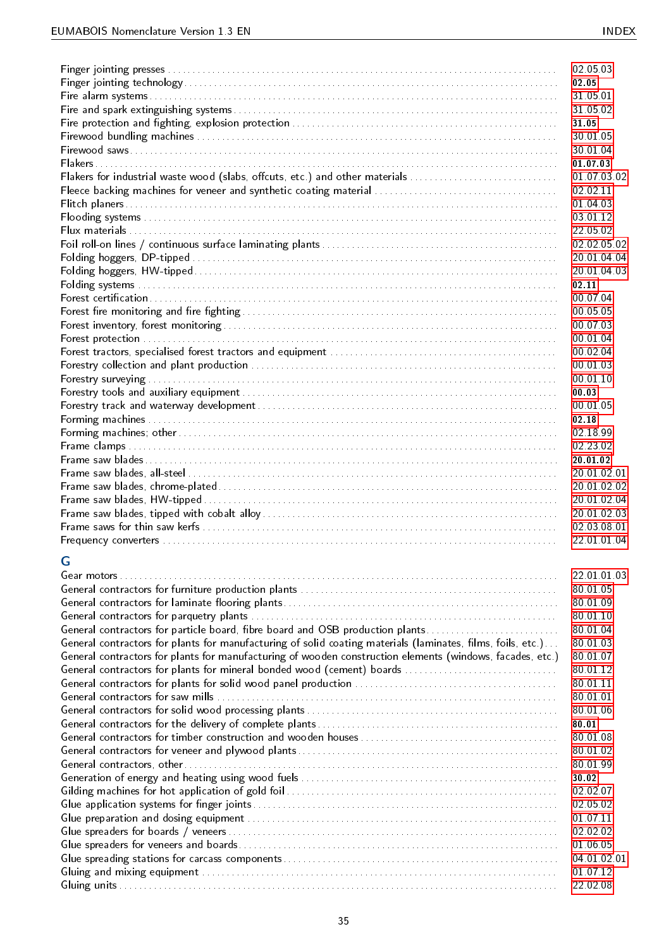|                                                                                                             | 02 05 03             |
|-------------------------------------------------------------------------------------------------------------|----------------------|
|                                                                                                             | 02.05                |
|                                                                                                             | 31 05 01             |
|                                                                                                             | 31 05 02             |
|                                                                                                             | 31.05                |
|                                                                                                             | 30 01 05             |
|                                                                                                             | 30 01 04             |
|                                                                                                             | 01 07 03             |
| Flakers for industrial waste wood (slabs, offcuts, etc.) and other materials                                | 01 07 03 02          |
|                                                                                                             | 02 02 11             |
|                                                                                                             | 01 04 03             |
|                                                                                                             | 03 01 12             |
|                                                                                                             | 22 05 02             |
|                                                                                                             | 02 02 05 02          |
|                                                                                                             | 20 01 04 04          |
|                                                                                                             | 20 01 04 03          |
|                                                                                                             | 02.11<br>00 07 04    |
|                                                                                                             | 00 05 05             |
|                                                                                                             | 00 07 03             |
|                                                                                                             | 00 01 04             |
|                                                                                                             | 00 02 04             |
|                                                                                                             | 00 01 03             |
|                                                                                                             | 00 01 10             |
|                                                                                                             | 00 03                |
|                                                                                                             | 00 01 05             |
|                                                                                                             | 02.18                |
|                                                                                                             | 02 18 99             |
|                                                                                                             | 02 23 02             |
|                                                                                                             | 20 01 02             |
|                                                                                                             | 20 01 02 01          |
|                                                                                                             | 20 01 02 02          |
|                                                                                                             |                      |
|                                                                                                             | 20 01 02 04          |
|                                                                                                             | 20 01 02 03          |
|                                                                                                             | 02 03 08 01          |
|                                                                                                             | 22 01 01 04          |
|                                                                                                             |                      |
| G                                                                                                           |                      |
|                                                                                                             | 22 01 01 03          |
|                                                                                                             | 80 01 05             |
|                                                                                                             | 80 01 09             |
|                                                                                                             | 80 01 10             |
| General contractors for particle board, fibre board and OSB production plants                               | 80 01 04             |
| General contractors for plants for manufacturing of solid coating materials (laminates, films, foils, etc.) | 80 01 03             |
| General contractors for plants for manufacturing of wooden construction elements (windows, facades, etc.)   | 80 01 07             |
| General contractors for plants for mineral bonded wood (cement) boards                                      | 80 01 12             |
|                                                                                                             | 80 01 11             |
|                                                                                                             | 80 01 01             |
|                                                                                                             | 80 01 06             |
|                                                                                                             | 80 01                |
|                                                                                                             | 80 01 08             |
|                                                                                                             | 80 01 02             |
|                                                                                                             | 80 01 99<br>30 02    |
|                                                                                                             | 02 02 07             |
|                                                                                                             | 02 05 02             |
|                                                                                                             | 01 07 11             |
|                                                                                                             | 02 02 02             |
|                                                                                                             | 01 06 05             |
|                                                                                                             | 04 01 02 01          |
|                                                                                                             | 01 07 12<br>22 02 08 |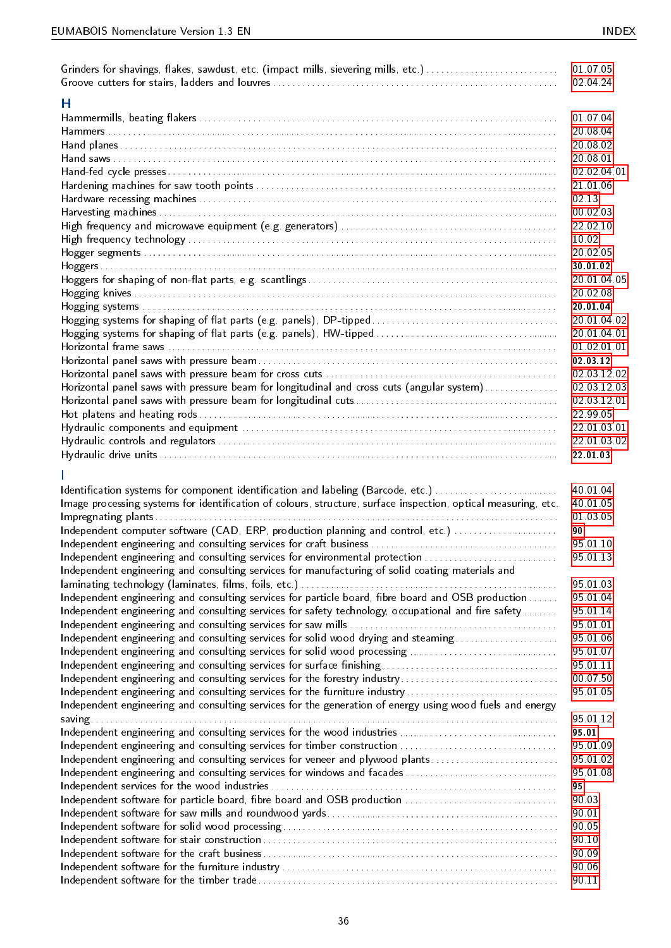| Grinders for shavings, flakes, sawdust, etc. (impact mills, sievering mills, etc.)                             | 01 07 05<br>02 04 24 |
|----------------------------------------------------------------------------------------------------------------|----------------------|
| Н                                                                                                              |                      |
|                                                                                                                | 01 07 04             |
|                                                                                                                | 20.08.04             |
|                                                                                                                | 20 08 02             |
|                                                                                                                | 20.08.01             |
|                                                                                                                | 02 02 04 01          |
|                                                                                                                | 21 01 06             |
|                                                                                                                | 02 13                |
|                                                                                                                | 00 02 03             |
|                                                                                                                | 22 02 10             |
|                                                                                                                | 10.02                |
|                                                                                                                | 20 02 05             |
|                                                                                                                | 30 01 02             |
|                                                                                                                | 20 01 04 05          |
|                                                                                                                | 20 02 08             |
|                                                                                                                | 20 01 04             |
|                                                                                                                | 20 01 04 02          |
|                                                                                                                | 20 01 04 01          |
|                                                                                                                | 01 02 01 01          |
|                                                                                                                | 02 03 12             |
|                                                                                                                | 02 03 12 02          |
| Horizontal panel saws with pressure beam for longitudinal and cross cuts (angular system)                      | 02 03 12 03          |
|                                                                                                                | 02 03 12 01          |
|                                                                                                                | 22 99 05             |
|                                                                                                                | 22 01 03 01          |
|                                                                                                                | 22 01 03 02          |
|                                                                                                                | 22.01.03             |
|                                                                                                                |                      |
| Identification systems for component identification and labeling (Barcode, etc.)                               | 40 01 04<br>40 01 05 |
| Image processing systems for identification of colours, structure, surface inspection, optical measuring, etc. |                      |
|                                                                                                                | 01 03 05<br>90       |
| Independent computer software (CAD, ERP, production planning and control, etc.)                                | 95 01 10             |
|                                                                                                                | 95 01 13             |
| Independent engineering and consulting services for environmental protection                                   |                      |
| Independent engineering and consulting services for manufacturing of solid coating materials and               | 95 01 03             |
|                                                                                                                | 95 01 04             |
| Independent engineering and consulting services for particle board, fibre board and OSB production             |                      |
| Independent engineering and consulting services for safety technology, occupational and fire safety            | 95 01 14<br>95 01 01 |
|                                                                                                                | 95 01 06             |
| Independent engineering and consulting services for solid wood drying and steaming                             | 95 01 07             |
| Independent engineering and consulting services for solid wood processing                                      | 95 01 11             |
| Independent engineering and consulting services for the forestry industry                                      | 00 07 50             |
|                                                                                                                | 95 01 05             |
| Independent engineering and consulting services for the furniture industry                                     |                      |
| Independent engineering and consulting services for the generation of energy using wood fuels and energy       | 95 01 12             |
| Independent engineering and consulting services for the wood industries                                        | 95.01                |
| Independent engineering and consulting services for timber construction                                        | 95 01 09             |
| Independent engineering and consulting services for veneer and plywood plants                                  | 95 01 02             |
| Independent engineering and consulting services for windows and facades                                        | 95 01 08             |
|                                                                                                                | 95                   |
| Independent software for particle board, fibre board and OSB production                                        | 90.03                |
|                                                                                                                | 90.01                |
|                                                                                                                | 90.05                |
|                                                                                                                | 90.10                |
|                                                                                                                | 90.09                |
|                                                                                                                | 90.06                |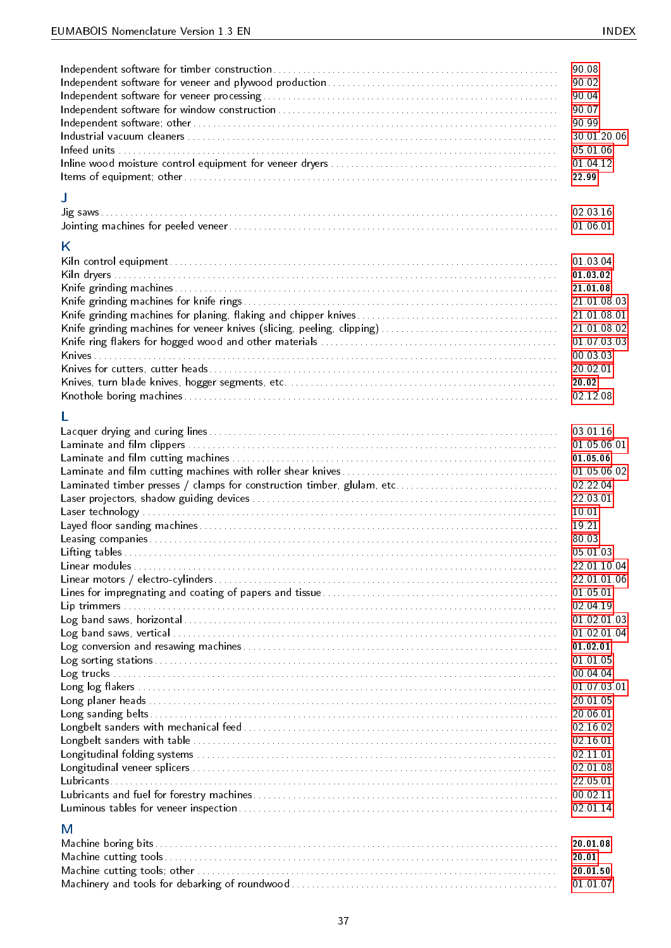|                                                                        | 90.08                                                                                                                                     |
|------------------------------------------------------------------------|-------------------------------------------------------------------------------------------------------------------------------------------|
|                                                                        | 90.02                                                                                                                                     |
|                                                                        | 90.04                                                                                                                                     |
|                                                                        | 90.07                                                                                                                                     |
|                                                                        | 90.99                                                                                                                                     |
|                                                                        | 30 01 20 06                                                                                                                               |
|                                                                        | 05 01 06                                                                                                                                  |
|                                                                        | 01 04 12                                                                                                                                  |
|                                                                        | 22.99                                                                                                                                     |
| J                                                                      | 02 03 16<br>01 06 01                                                                                                                      |
| Κ                                                                      | 01 03 04<br>01 03 02<br>21 01 08<br>21 01 08 03<br>21 01 08 01<br>21 01 08 02<br>01 07 03 03<br>00 03 03<br>20 02 01<br>20.02<br>02 12 08 |
|                                                                        | 03 01 16                                                                                                                                  |
|                                                                        | 01 05 06 01                                                                                                                               |
|                                                                        | 01 05 06                                                                                                                                  |
|                                                                        | 01 05 06 02                                                                                                                               |
| Laminated timber presses / clamps for construction timber, glulam, etc | 02 22 04                                                                                                                                  |
|                                                                        | 22 03 01                                                                                                                                  |
|                                                                        | 10.01                                                                                                                                     |
|                                                                        | 19.21                                                                                                                                     |
|                                                                        | 80.03                                                                                                                                     |
|                                                                        | 05 01 03                                                                                                                                  |
|                                                                        | 22 01 10 04                                                                                                                               |
|                                                                        | 22 01 01 06                                                                                                                               |
|                                                                        | 01 05 01                                                                                                                                  |
|                                                                        | 02 04 19                                                                                                                                  |
|                                                                        | 01 02 01 03                                                                                                                               |
|                                                                        | 01 02 01 04                                                                                                                               |
|                                                                        | 01 02 01                                                                                                                                  |
|                                                                        | 01 01 05                                                                                                                                  |
|                                                                        | 00 04 04                                                                                                                                  |
|                                                                        | 01 07 03 01                                                                                                                               |
|                                                                        | 20 01 05                                                                                                                                  |
|                                                                        | 20 06 01                                                                                                                                  |
|                                                                        | 02 16 02                                                                                                                                  |
|                                                                        | 02 16 01                                                                                                                                  |
|                                                                        | 02 11 01                                                                                                                                  |
|                                                                        | 02 01 08                                                                                                                                  |
|                                                                        | 22 05 01                                                                                                                                  |
|                                                                        | 00 02 11                                                                                                                                  |
| M                                                                      | 02 01 14                                                                                                                                  |
|                                                                        | 20 01 08                                                                                                                                  |
|                                                                        | 20.01                                                                                                                                     |
|                                                                        | 20 01 50                                                                                                                                  |
|                                                                        | 01 01 07                                                                                                                                  |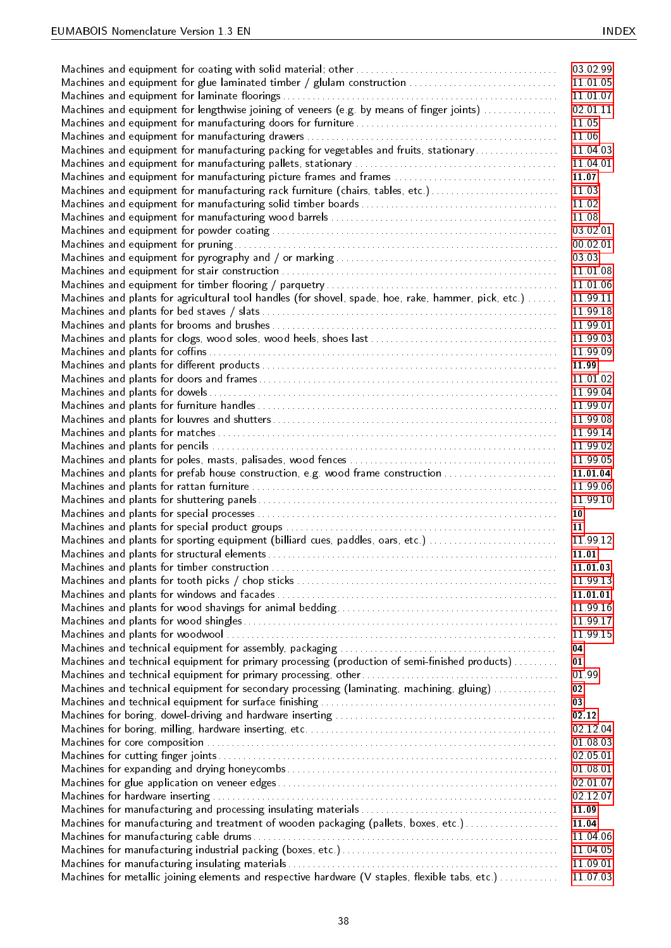|                                                                                                      | 03 02 99 |
|------------------------------------------------------------------------------------------------------|----------|
| Machines and equipment for glue laminated timber / glulam construction                               | 11 01 05 |
|                                                                                                      | 11 01 07 |
| Machines and equipment for lengthwise joining of veneers (e.g. by means of finger joints)            | 02 01 11 |
|                                                                                                      | 11.05    |
|                                                                                                      |          |
|                                                                                                      | 11.06    |
| Machines and equipment for manufacturing packing for vegetables and fruits, stationary               | 11 04 03 |
|                                                                                                      | 11 04 01 |
| Machines and equipment for manufacturing picture frames and frames                                   | 11.07    |
| Machines and equipment for manufacturing rack furniture (chairs, tables, etc.)                       | 11.03    |
|                                                                                                      | 11.02    |
|                                                                                                      | 11.08    |
|                                                                                                      | 03 02 01 |
|                                                                                                      | 00 02 01 |
|                                                                                                      |          |
|                                                                                                      | 03 03    |
|                                                                                                      | 11 01 08 |
|                                                                                                      | 11 01 06 |
| Machines and plants for agricultural tool handles (for shovel, spade, hoe, rake, hammer, pick, etc.) | 11 99 11 |
|                                                                                                      | 11 99 18 |
|                                                                                                      | 11 99 01 |
|                                                                                                      | 11 99 03 |
|                                                                                                      | 11 99 09 |
|                                                                                                      | 11.99    |
|                                                                                                      |          |
|                                                                                                      | 11 01 02 |
|                                                                                                      | 11 99 04 |
|                                                                                                      | 11 99 07 |
|                                                                                                      | 11 99 08 |
|                                                                                                      | 11 99 14 |
|                                                                                                      | 11 99 02 |
|                                                                                                      | 11 99 05 |
| Machines and plants for prefab house construction, e.g. wood frame construction                      | 11.01.04 |
|                                                                                                      | 11 99 06 |
|                                                                                                      | 11 99 10 |
|                                                                                                      | 10       |
|                                                                                                      |          |
|                                                                                                      | 11       |
| Machines and plants for sporting equipment (billiard cues, paddles, oars, etc.)                      | 11 99 12 |
|                                                                                                      | 11.01    |
|                                                                                                      | 11 01 03 |
|                                                                                                      | 11 99 13 |
|                                                                                                      | 11 01 01 |
|                                                                                                      | 11 99 16 |
|                                                                                                      | 11 99 17 |
|                                                                                                      | 11 99 15 |
|                                                                                                      | 04       |
| Machines and technical equipment for primary processing (production of semi-finished products)       | 01       |
|                                                                                                      | 01.99    |
|                                                                                                      |          |
| Machines and technical equipment for secondary processing (laminating, machining, gluing)            | 02       |
|                                                                                                      | 03       |
|                                                                                                      | 02.12    |
|                                                                                                      | 02.12.04 |
|                                                                                                      | 01 08 03 |
|                                                                                                      | 02 05 01 |
|                                                                                                      | 01 08 01 |
|                                                                                                      | 02 01 07 |
|                                                                                                      | 02 12 07 |
|                                                                                                      | 11.09    |
| Machines for manufacturing and treatment of wooden packaging (pallets, boxes, etc.)                  | 11.04    |
|                                                                                                      | 11 04 06 |
|                                                                                                      |          |
|                                                                                                      | 11 04 05 |
|                                                                                                      | 11 09 01 |
| Machines for metallic joining elements and respective hardware (V staples, flexible tabs, etc.)      | 11 07 03 |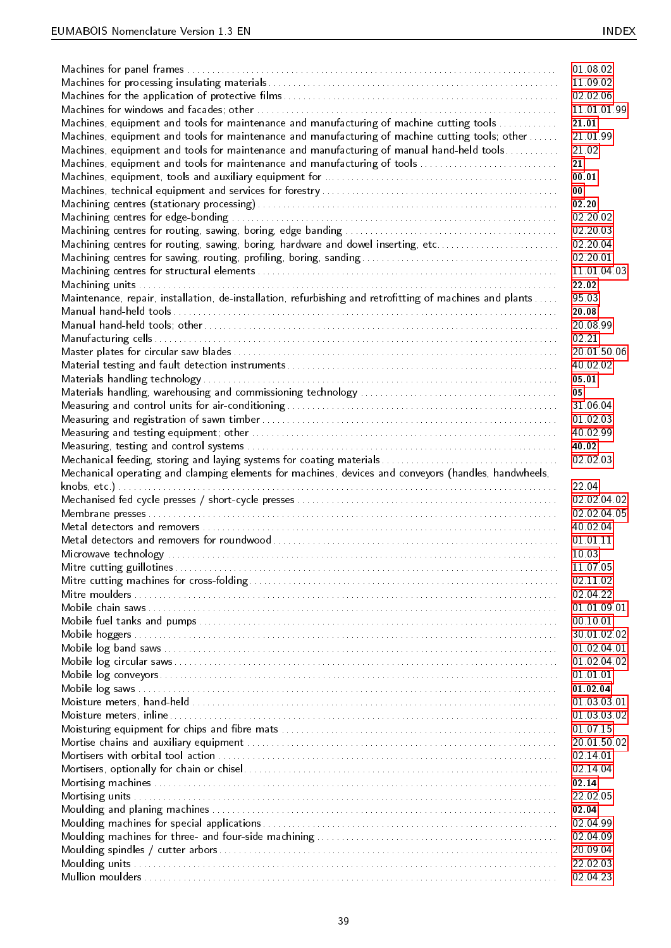|                                                                                                          | 01 08 02    |
|----------------------------------------------------------------------------------------------------------|-------------|
|                                                                                                          |             |
|                                                                                                          | 11 09 02    |
|                                                                                                          | 02 02 06    |
|                                                                                                          | 11 01 01 99 |
| Machines, equipment and tools for maintenance and manufacturing of machine cutting tools                 | 21.01       |
| Machines, equipment and tools for maintenance and manufacturing of machine cutting tools; other          | 21 01 99    |
| Machines, equipment and tools for maintenance and manufacturing of manual hand-held tools                | 21.02       |
| Machines, equipment and tools for maintenance and manufacturing of tools                                 | 21          |
|                                                                                                          | 00 01       |
|                                                                                                          | 00          |
|                                                                                                          | 02.20       |
|                                                                                                          | 02 20 02    |
|                                                                                                          | 02 20 03    |
| Machining centres for routing, sawing, boring, hardware and dowel inserting, etc                         | 02 20 04    |
|                                                                                                          | 02 20 01    |
|                                                                                                          | 11 01 04 03 |
|                                                                                                          | 22 02       |
| Maintenance, repair, installation, de-installation, refurbishing and retrofitting of machines and plants | 95 03       |
|                                                                                                          | 20.08       |
|                                                                                                          | 20 08 99    |
|                                                                                                          | 02.21       |
|                                                                                                          | 20 01 50 06 |
|                                                                                                          | 40 02 02    |
|                                                                                                          | 05.01       |
|                                                                                                          | 05          |
|                                                                                                          | 31 06 04    |
|                                                                                                          | 01 02 03    |
|                                                                                                          | 40 02 99    |
|                                                                                                          | 40.02       |
|                                                                                                          | 02 02 03    |
|                                                                                                          |             |
| Mechanical operating and clamping elements for machines, devices and conveyors (handles, handwheels,     |             |
|                                                                                                          | 22.04       |
|                                                                                                          | 02 02 04 02 |
|                                                                                                          | 02 02 04 05 |
|                                                                                                          | 40 02 04    |
|                                                                                                          | 01 01 11    |
|                                                                                                          | 10.03       |
|                                                                                                          | 11 07 05    |
|                                                                                                          | 02 11 02    |
|                                                                                                          | 02 04 22    |
|                                                                                                          | 01 01 09 01 |
|                                                                                                          | 00 10 01    |
|                                                                                                          | 30 01 02 02 |
|                                                                                                          | 01 02 04 01 |
|                                                                                                          | 01 02 04 02 |
|                                                                                                          | 01 01 01    |
|                                                                                                          | 01 02 04    |
|                                                                                                          | 01 03 03 01 |
|                                                                                                          | 01 03 03 02 |
|                                                                                                          | 01 07 15    |
|                                                                                                          | 20 01 50 02 |
|                                                                                                          | 02 14 01    |
|                                                                                                          | 02 14 04    |
|                                                                                                          | 02.14       |
|                                                                                                          | 22 02 05    |
|                                                                                                          | 02 04       |
|                                                                                                          | 02 04 99    |
|                                                                                                          | 02 04 09    |
|                                                                                                          | 20 09 04    |
|                                                                                                          | 22 02 03    |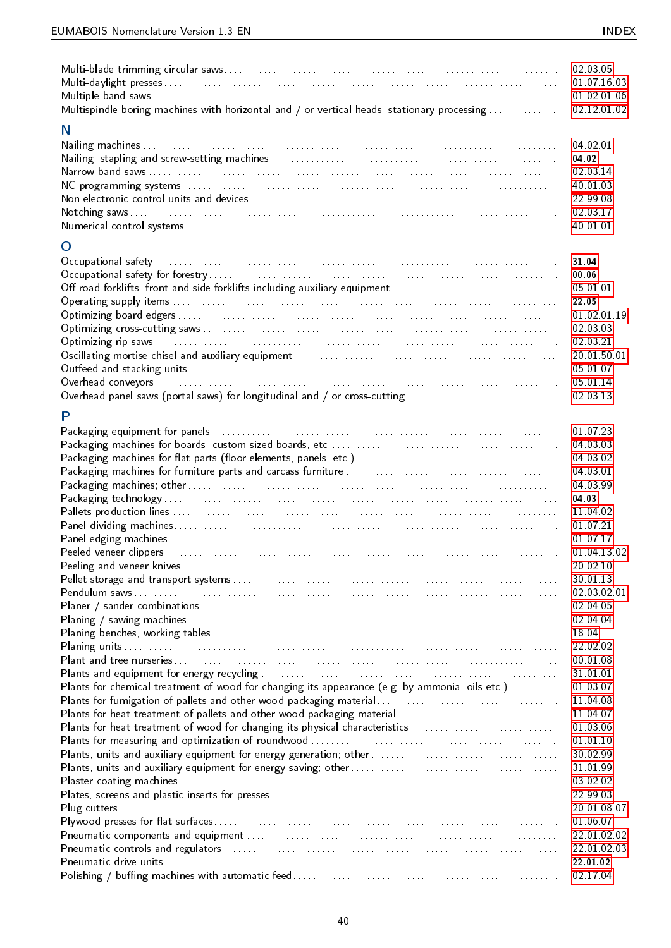|                                                                                                | 02 03 05    |
|------------------------------------------------------------------------------------------------|-------------|
|                                                                                                | 01 07 16 03 |
|                                                                                                | 01 02 01 06 |
| Multispindle boring machines with horizontal and / or vertical heads, stationary processing    | 02 12 01 02 |
|                                                                                                |             |
| N                                                                                              |             |
|                                                                                                | 04 02 01    |
|                                                                                                | 04 02       |
|                                                                                                | 02 03 14    |
|                                                                                                | 40 01 03    |
|                                                                                                |             |
|                                                                                                | 22 99 08    |
|                                                                                                | 02 03 17    |
|                                                                                                | 40 01 01    |
| O                                                                                              |             |
|                                                                                                |             |
|                                                                                                | 31.04       |
|                                                                                                | 00.06       |
|                                                                                                | 05 01 01    |
|                                                                                                | 22.05       |
|                                                                                                | 01 02 01 19 |
|                                                                                                | 02 03 03    |
|                                                                                                | 02 03 21    |
|                                                                                                |             |
|                                                                                                | 20 01 50 01 |
|                                                                                                | 05 01 07    |
|                                                                                                | 05 01 14    |
| Overhead panel saws (portal saws) for longitudinal and / or cross-cutting                      | 02 03 13    |
| P                                                                                              |             |
|                                                                                                |             |
|                                                                                                | 01 07 23    |
|                                                                                                | 04 03 03    |
|                                                                                                | 04 03 02    |
|                                                                                                | 04 03 01    |
|                                                                                                | 04 03 99    |
|                                                                                                | 04 03       |
|                                                                                                | 11 04 02    |
|                                                                                                |             |
|                                                                                                | 01 07 21    |
|                                                                                                | 01 07 17    |
|                                                                                                | 01 04 13 02 |
|                                                                                                | 20 02 10    |
|                                                                                                | 30 01 13    |
|                                                                                                | 02 03 02 01 |
|                                                                                                | 02 04 05    |
|                                                                                                | 02 04 04    |
|                                                                                                | 18.04       |
|                                                                                                |             |
|                                                                                                | 22 02 02    |
|                                                                                                | 00 01 08    |
|                                                                                                | 31 01 01    |
| Plants for chemical treatment of wood for changing its appearance (e.g. by ammonia, oils etc.) | 01 03 07    |
|                                                                                                | 11 04 08    |
| Plants for heat treatment of pallets and other wood packaging material                         | 11 04 07    |
| Plants for heat treatment of wood for changing its physical characteristics                    | 01 03 06    |
|                                                                                                | 01 01 10    |
|                                                                                                | 30 02 99    |
|                                                                                                | 31 01 99    |
|                                                                                                |             |
|                                                                                                | 03 02 02    |
|                                                                                                | 22 99 03    |
|                                                                                                | 20 01 08 07 |
|                                                                                                | 01 06 07    |
|                                                                                                | 22 01 02 02 |
|                                                                                                | 22 01 02 03 |
|                                                                                                | 22 01 02    |
|                                                                                                | 02 17 04    |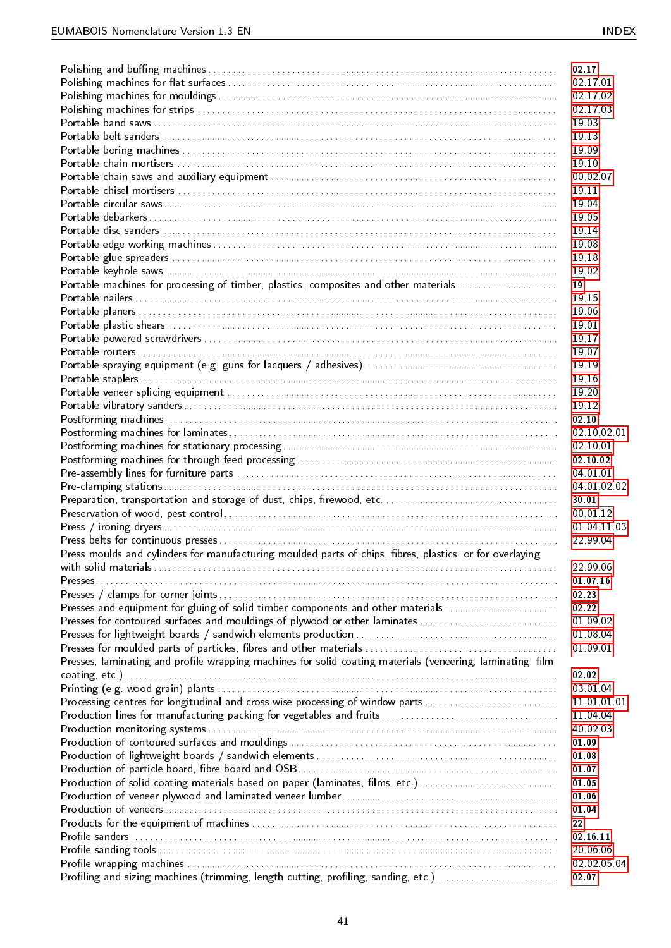|                                                                                                            | 02 17       |
|------------------------------------------------------------------------------------------------------------|-------------|
|                                                                                                            | 02 17 01    |
|                                                                                                            | 02 17 02    |
|                                                                                                            | 02 17 03    |
|                                                                                                            | 1903        |
|                                                                                                            | 1913        |
|                                                                                                            | 1909        |
|                                                                                                            | 19.10       |
|                                                                                                            | 00 02 07    |
|                                                                                                            | 1911        |
|                                                                                                            | 1904        |
|                                                                                                            |             |
|                                                                                                            | 1905        |
|                                                                                                            | 1914        |
|                                                                                                            | 19.08       |
|                                                                                                            | 1918        |
|                                                                                                            | 19.02       |
| Portable machines for processing of timber, plastics, composites and other materials                       | 19          |
|                                                                                                            | 1915        |
|                                                                                                            | 19.06       |
|                                                                                                            | 19.01       |
|                                                                                                            | 1917        |
|                                                                                                            | 1907        |
|                                                                                                            | 19 19       |
|                                                                                                            | 1916        |
|                                                                                                            | 19.20       |
|                                                                                                            |             |
|                                                                                                            | 19.12       |
|                                                                                                            | 02.10       |
|                                                                                                            | 02 10 02 01 |
|                                                                                                            | 02 10 01    |
|                                                                                                            | 02 10 02    |
|                                                                                                            | 04 01 01    |
|                                                                                                            | 04 01 02 02 |
|                                                                                                            | 30 01       |
|                                                                                                            | 00.01.12    |
|                                                                                                            | 01 04 11 03 |
|                                                                                                            | 22 99 04    |
| Press moulds and cylinders for manufacturing moulded parts of chips, fibres, plastics, or for overlaying   |             |
|                                                                                                            | 22 99 06    |
|                                                                                                            | 01 07 16    |
|                                                                                                            | 02 23       |
| Presses and equipment for gluing of solid timber components and other materials                            | 02.22       |
| Presses for contoured surfaces and mouldings of plywood or other laminates                                 | 01 09 02    |
|                                                                                                            | 01 08 04    |
|                                                                                                            |             |
|                                                                                                            | 01 09 01    |
| Presses, laminating and profile wrapping machines for solid coating materials (veneering, laminating, film |             |
|                                                                                                            | 02.02       |
|                                                                                                            | 03 01 04    |
| Processing centres for longitudinal and cross-wise processing of window parts                              | 11 01 01 01 |
|                                                                                                            | 11 04 04    |
|                                                                                                            | 40 02 03    |
|                                                                                                            | 01 09       |
|                                                                                                            | 01 08       |
|                                                                                                            | 01 07       |
| Production of solid coating materials based on paper (laminates, films, etc.)                              | 01.05       |
|                                                                                                            | 01.06       |
|                                                                                                            | 01 04       |
|                                                                                                            | 22          |
|                                                                                                            | 02 16 11    |
|                                                                                                            | 20 06 06    |
|                                                                                                            | 02 02 05 04 |
| Profiling and sizing machines (trimming, length cutting, profiling, sanding, etc.)                         | 02.07       |
|                                                                                                            |             |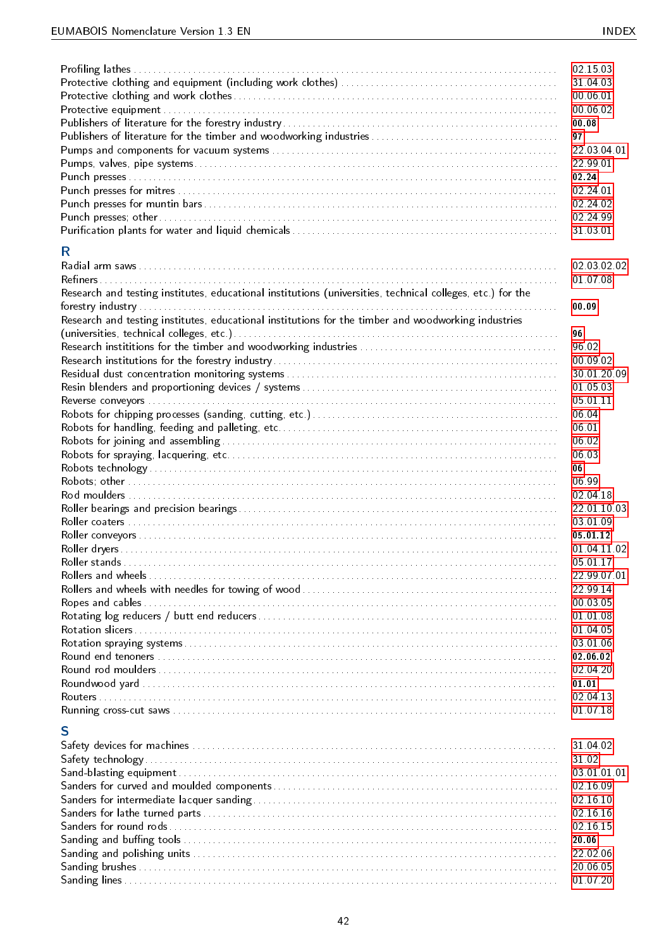| R.                                                                                                         | 02 15 03<br>31 04 03<br>00 06 01<br>00 06 02<br>00.08<br>97<br>22 03 04 01<br>22 99 01<br>02.24<br>02 24 01<br>02 24 02<br>02 24 99<br>31 03 01 |
|------------------------------------------------------------------------------------------------------------|-------------------------------------------------------------------------------------------------------------------------------------------------|
|                                                                                                            | 02 03 02 02<br>01 07 08                                                                                                                         |
| Research and testing institutes, educational institutions (universities, technical colleges, etc.) for the |                                                                                                                                                 |
| Research and testing institutes, educational institutions for the timber and woodworking industries        | 00.09                                                                                                                                           |
|                                                                                                            | 96                                                                                                                                              |
|                                                                                                            | 96.02                                                                                                                                           |
|                                                                                                            | 00 09 02<br>30 01 20 09                                                                                                                         |
|                                                                                                            | 01 05 03                                                                                                                                        |
|                                                                                                            | 05 01 11                                                                                                                                        |
|                                                                                                            | 06.04                                                                                                                                           |
|                                                                                                            | 06.01                                                                                                                                           |
|                                                                                                            | 06.02                                                                                                                                           |
|                                                                                                            | 06.03                                                                                                                                           |
|                                                                                                            | 06                                                                                                                                              |
|                                                                                                            | 06.99                                                                                                                                           |
|                                                                                                            | 02 04 18                                                                                                                                        |
|                                                                                                            | 22 01 10 03                                                                                                                                     |
|                                                                                                            | 03 01 09                                                                                                                                        |
|                                                                                                            | 05 01 12                                                                                                                                        |
|                                                                                                            | 01 04 11 02                                                                                                                                     |
| Roller stands                                                                                              | 05 01 17<br>22 99 07 01                                                                                                                         |
|                                                                                                            | 22 99 14                                                                                                                                        |
|                                                                                                            | 00 03 05                                                                                                                                        |
|                                                                                                            | 01 01 08                                                                                                                                        |
|                                                                                                            | 01 04 05                                                                                                                                        |
|                                                                                                            | 03 01 06                                                                                                                                        |
|                                                                                                            | 02 06 02                                                                                                                                        |
|                                                                                                            | 02 04 20                                                                                                                                        |
|                                                                                                            | 01.01                                                                                                                                           |
|                                                                                                            | 02 04 13                                                                                                                                        |
|                                                                                                            | 01 07 18                                                                                                                                        |
| S                                                                                                          |                                                                                                                                                 |
|                                                                                                            | 31 04 02                                                                                                                                        |
|                                                                                                            | 31 02                                                                                                                                           |
|                                                                                                            | 03 01 01 01                                                                                                                                     |
|                                                                                                            | 02 16 09                                                                                                                                        |
|                                                                                                            | 02 16 10                                                                                                                                        |
|                                                                                                            | 02 16 16                                                                                                                                        |
|                                                                                                            | 02 16 15                                                                                                                                        |
|                                                                                                            | 20.06                                                                                                                                           |
|                                                                                                            | 22 02 06                                                                                                                                        |
|                                                                                                            | 20 06 05<br>01 07 20                                                                                                                            |
|                                                                                                            |                                                                                                                                                 |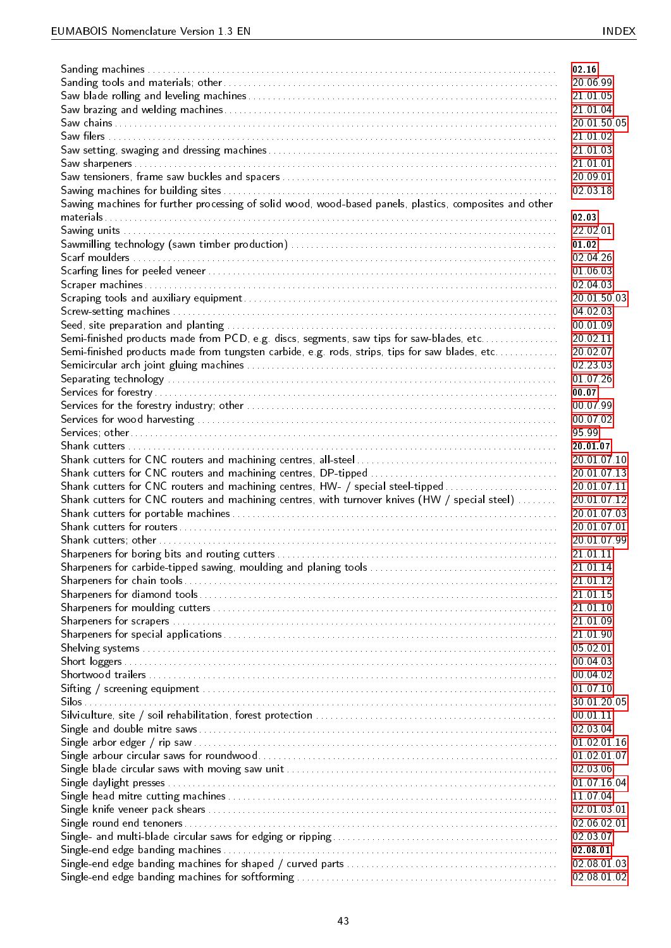|                                                                                                         | 02 16                      |
|---------------------------------------------------------------------------------------------------------|----------------------------|
|                                                                                                         |                            |
|                                                                                                         | 20 06 99                   |
|                                                                                                         | 21 01 05                   |
|                                                                                                         | 21 01 04                   |
|                                                                                                         | 20 01 50 05                |
|                                                                                                         | 21 01 02                   |
|                                                                                                         | 21 01 03                   |
|                                                                                                         | 21 01 01                   |
|                                                                                                         | 20 09 01                   |
|                                                                                                         | 02 03 18                   |
|                                                                                                         |                            |
| Sawing machines for further processing of solid wood, wood-based panels, plastics, composites and other |                            |
|                                                                                                         | 02 03                      |
|                                                                                                         | 22 02 01                   |
|                                                                                                         | 01.02                      |
|                                                                                                         | 02 04 26                   |
|                                                                                                         | 01 06 03                   |
|                                                                                                         | 02 04 03                   |
|                                                                                                         | 20 01 50 03                |
|                                                                                                         | 04 02 03                   |
|                                                                                                         | 00 01 09                   |
| Semi-finished products made from PCD, e.g. discs, segments, saw tips for saw-blades, etc                | 20 02 11                   |
|                                                                                                         |                            |
| Semi-finished products made from tungsten carbide, e.g. rods, strips, tips for saw blades, etc          | 20.02.07                   |
|                                                                                                         | 02.23.03                   |
|                                                                                                         | 01 07 26                   |
|                                                                                                         | 00.07                      |
|                                                                                                         | 00 07 99                   |
|                                                                                                         | 00 07 02                   |
|                                                                                                         | 9599                       |
|                                                                                                         | 20 01 07                   |
|                                                                                                         | 20 01 07 10                |
|                                                                                                         | 20 01 07 13                |
|                                                                                                         |                            |
|                                                                                                         |                            |
| Shank cutters for CNC routers and machining centres, HW- / special steel-tipped                         | 20.01.07.11                |
| Shank cutters for CNC routers and machining centres, with turnover knives (HW / special steel)          | 20.01.07.12                |
|                                                                                                         | 20.01.07.03                |
|                                                                                                         | 20.01.07.01                |
|                                                                                                         | 20.01.07.99                |
|                                                                                                         | 21 01 11                   |
|                                                                                                         | 21 01 14                   |
|                                                                                                         | 21 01 12                   |
|                                                                                                         |                            |
|                                                                                                         | 21 01 15                   |
|                                                                                                         | 21 01 10                   |
|                                                                                                         | 21 01 09                   |
|                                                                                                         | 21 01 90                   |
|                                                                                                         | 05 02 01                   |
|                                                                                                         | 00 04 03                   |
|                                                                                                         | 00 04 02                   |
|                                                                                                         | 01 07 10                   |
|                                                                                                         | 30.01.20.05                |
|                                                                                                         | 00 01 11                   |
|                                                                                                         |                            |
|                                                                                                         | 02 03 04                   |
|                                                                                                         | 01 02 01 16                |
|                                                                                                         | 01 02 01 07                |
|                                                                                                         | 02 03 06                   |
|                                                                                                         | 01 07 16 04                |
|                                                                                                         | 11 07 04                   |
|                                                                                                         | 02 01 03 01                |
|                                                                                                         | 02.06.02.01                |
|                                                                                                         | 02 03 07                   |
|                                                                                                         | 02 08 01                   |
|                                                                                                         | 02 08 01 03<br>02 08 01 02 |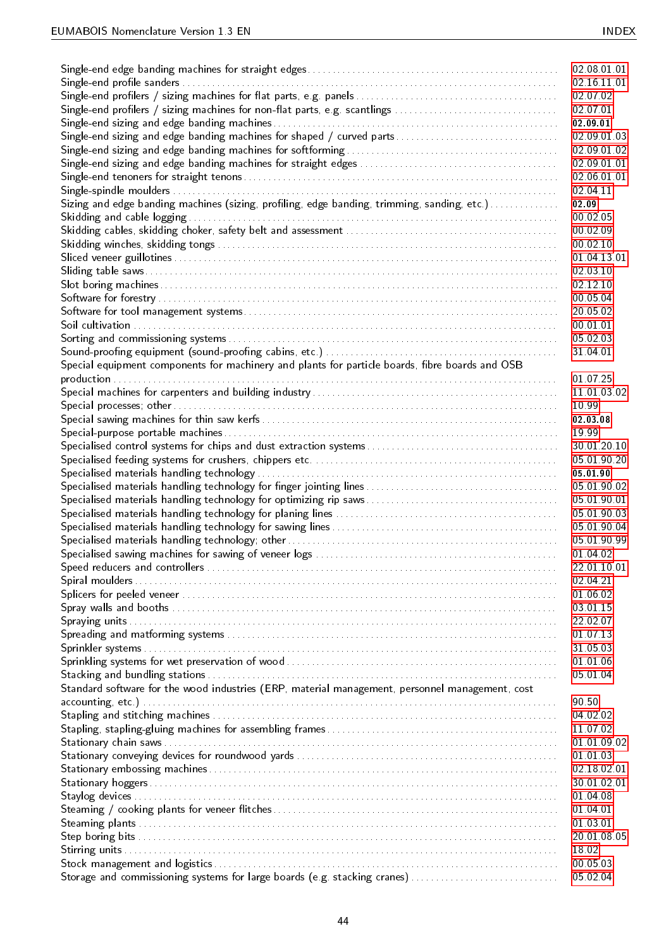|                                                                                                 | 02 08 01 01 |
|-------------------------------------------------------------------------------------------------|-------------|
|                                                                                                 | 02 16 11 01 |
|                                                                                                 | 02 07 02    |
| Single-end profilers / sizing machines for non-flat parts, e.g. scantlings                      | 02 07 01    |
|                                                                                                 | 02 09 01    |
|                                                                                                 | 02 09 01 03 |
|                                                                                                 | 02.09.01.02 |
|                                                                                                 | 02.09.01.01 |
|                                                                                                 | 02 06 01 01 |
|                                                                                                 | 02 04 11    |
| Sizing and edge banding machines (sizing, profiling, edge banding, trimming, sanding, etc.)     | 02.09       |
|                                                                                                 | 00 02 05    |
|                                                                                                 | 00 02 09    |
|                                                                                                 | 00 02 10    |
|                                                                                                 | 01 04 13 01 |
|                                                                                                 | 02 03 10    |
|                                                                                                 | 02 12 10    |
|                                                                                                 | 00 05 04    |
|                                                                                                 | 20 05 02    |
|                                                                                                 |             |
|                                                                                                 | 00 01 01    |
|                                                                                                 | 05 02 03    |
|                                                                                                 | 31 04 01    |
| Special equipment components for machinery and plants for particle boards, fibre boards and OSB |             |
|                                                                                                 | 01 07 25    |
|                                                                                                 | 11 01 03 02 |
|                                                                                                 | 10 99       |
|                                                                                                 | 02 03 08    |
|                                                                                                 | 19 99       |
|                                                                                                 | 30.01.20.10 |
|                                                                                                 | 05 01 90 20 |
|                                                                                                 | 05.01.90    |
|                                                                                                 | 05 01 90 02 |
|                                                                                                 | 05 01 90 01 |
|                                                                                                 | 05 01 90 03 |
|                                                                                                 | 05 01 90 04 |
|                                                                                                 | 05 01 90 99 |
|                                                                                                 | 01 04 02    |
|                                                                                                 | 22 01 10 01 |
|                                                                                                 | 02 04 21    |
|                                                                                                 | 01 06 02    |
|                                                                                                 | 03 01 15    |
|                                                                                                 | 22 02 07    |
|                                                                                                 | 01 07 13    |
|                                                                                                 | 31 05 03    |
|                                                                                                 | 01 01 06    |
|                                                                                                 | 05 01 04    |
| Standard software for the wood industries (ERP, material management, personnel management, cost |             |
|                                                                                                 | 90 50       |
|                                                                                                 | 04 02 02    |
|                                                                                                 | 11 07 02    |
|                                                                                                 | 01 01 09 02 |
|                                                                                                 | 01 01 03    |
|                                                                                                 | 02 18 02 01 |
|                                                                                                 | 30.01.02.01 |
|                                                                                                 | 01 04 08    |
|                                                                                                 | 01 04 01    |
|                                                                                                 | 01 03 01    |
|                                                                                                 | 20 01 08 05 |
|                                                                                                 | 18.02       |
|                                                                                                 | 00 05 03    |
| Storage and commissioning systems for large boards (e.g. stacking cranes)                       | 05 02 04    |
|                                                                                                 |             |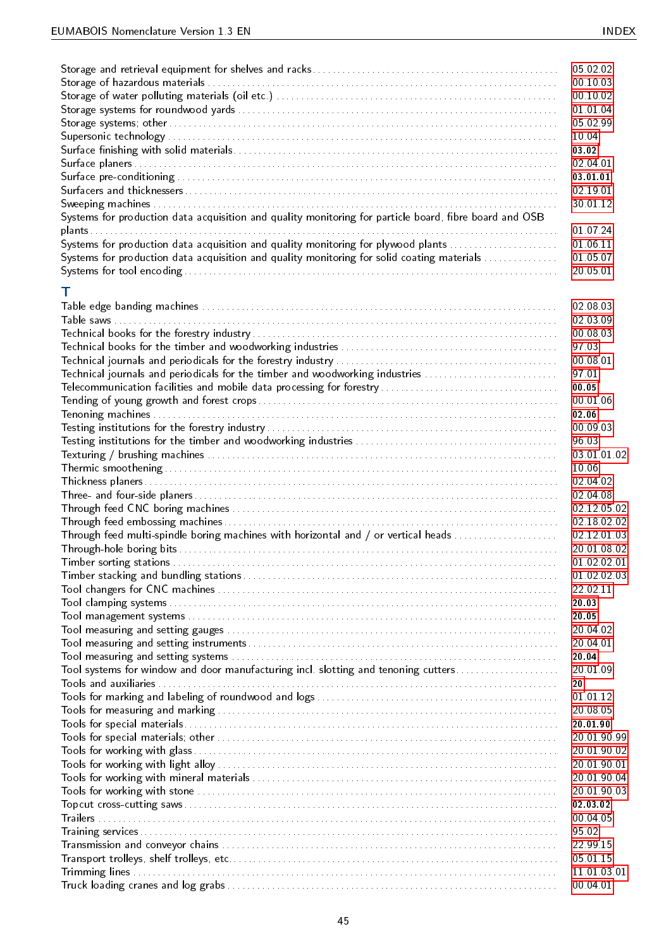|                                                                                                        | 05 02 02    |
|--------------------------------------------------------------------------------------------------------|-------------|
|                                                                                                        | 00 10 03    |
|                                                                                                        | 00 10 02    |
|                                                                                                        | 01 01 04    |
|                                                                                                        | 05 02 99    |
|                                                                                                        | 10.04       |
|                                                                                                        | 03.02       |
|                                                                                                        | 02 04 01    |
|                                                                                                        | 03.01.01    |
|                                                                                                        | 02 19 01    |
|                                                                                                        | 30 01 12    |
| Systems for production data acquisition and quality monitoring for particle board, fibre board and OSB |             |
|                                                                                                        | 01 07 24    |
| Systems for production data acquisition and quality monitoring for plywood plants                      | 01 06 11    |
| Systems for production data acquisition and quality monitoring for solid coating materials             | 01 05 07    |
|                                                                                                        | 20 05 01    |
|                                                                                                        |             |
| т                                                                                                      |             |
|                                                                                                        | 02 08 03    |
|                                                                                                        | 02 03 09    |
|                                                                                                        | 00 08 03    |
|                                                                                                        | 97 03       |
|                                                                                                        | 00 08 01    |
| Technical journals and periodicals for the timber and woodworking industries                           | 97 01       |
|                                                                                                        | 00.05       |
|                                                                                                        | 00 01 06    |
|                                                                                                        | 02.06       |
|                                                                                                        | 00 09 03    |
|                                                                                                        | 96 03       |
|                                                                                                        |             |
|                                                                                                        | 03 01 01 02 |
|                                                                                                        | 10.06       |
|                                                                                                        | 02 04 02    |
|                                                                                                        | 02 04 08    |
|                                                                                                        | 02 12 05 02 |
|                                                                                                        | 02 18 02 02 |
| Through feed multi-spindle boring machines with horizontal and / or vertical heads                     | 02 12 01 03 |
|                                                                                                        | 20 01 08 02 |
|                                                                                                        | 01 02 02 01 |
|                                                                                                        | 01 02 02 03 |
|                                                                                                        | 22.02.11    |
|                                                                                                        | 20.03       |
|                                                                                                        | 20.05       |
|                                                                                                        | 20 04 02    |
|                                                                                                        | 20 04 01    |
|                                                                                                        | 20.04       |
| Tool systems for window and door manufacturing incl. slotting and tenoning cutters                     | 20 01 09    |
|                                                                                                        | 20          |
|                                                                                                        | 01 01 12    |
|                                                                                                        | 20 08 05    |
|                                                                                                        | 20 01 90    |
|                                                                                                        | 20 01 90 99 |
|                                                                                                        | 20 01 90 02 |
|                                                                                                        | 20 01 90 01 |
|                                                                                                        | 20 01 90 04 |
|                                                                                                        | 20 01 90 03 |
|                                                                                                        | 02 03 02    |
|                                                                                                        | 00 04 05    |
|                                                                                                        | 95 02       |
|                                                                                                        | 22 99 15    |
|                                                                                                        | 05 01 15    |
|                                                                                                        | 11 01 03 01 |
|                                                                                                        | 00 04 01    |
|                                                                                                        |             |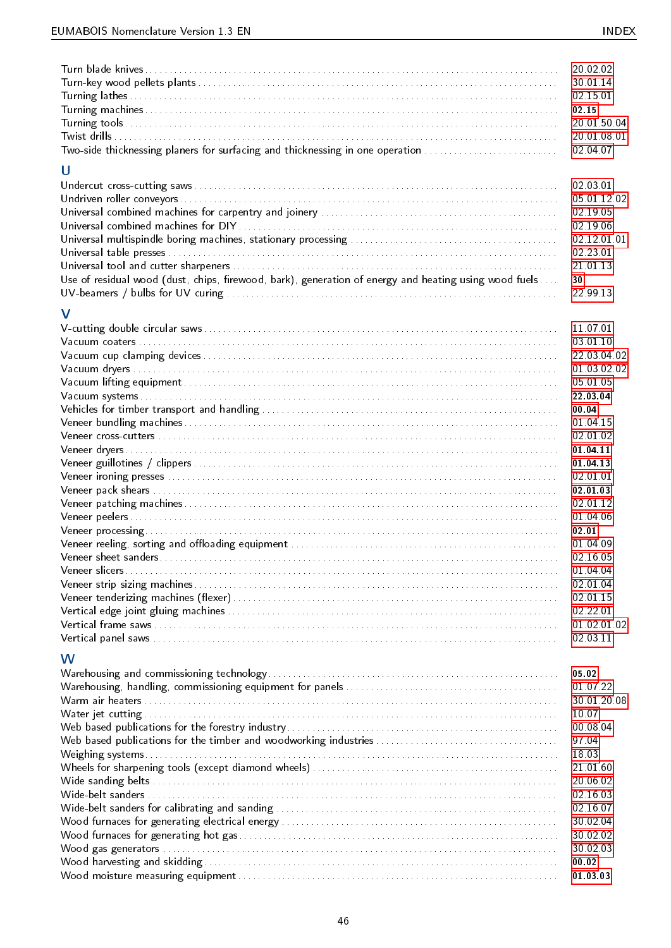| Two-side thicknessing planers for surfacing and thicknessing in one operation<br>U                    | 20 02 02<br>30.01.14<br>02 15 01<br>02 15<br>20 01 50 04<br>20 01 08 01<br>02 04 07                                                                                                                                                                                                             |
|-------------------------------------------------------------------------------------------------------|-------------------------------------------------------------------------------------------------------------------------------------------------------------------------------------------------------------------------------------------------------------------------------------------------|
| Use of residual wood (dust, chips, firewood, bark), generation of energy and heating using wood fuels | 02 03 01<br>05 01 12 02<br>02 19 05<br>02 19 06<br>02 12 01 01<br>02 23 01<br>21 01 13<br>30<br>22 99 13                                                                                                                                                                                        |
| V                                                                                                     | 11 07 01<br>03 01 10<br>22 03 04 02<br>01 03 02 02<br>05 01 05<br>22 03 04<br>00.04<br>01 04 15<br>02 01 02<br>01 04 11<br>01 04 13<br>02 01 01<br>02 01 03<br>02.01.12<br>01 04 06<br>02.01<br>01 04 09<br>02 16 05<br>01 04 04<br>02 01 04<br>02 01 15<br>02 22 01<br>01 02 01 02<br>02 03 11 |
| W                                                                                                     | 05.02<br>01 07 22<br>30 01 20 08<br>10.07<br>00 08 04<br>97 04<br>18.03<br>21 01 60<br>20 06 02<br>02 16 03<br>02 16 07<br>30 02 04<br>30 02 02<br>30 02 03<br>00.02<br>01 03 03                                                                                                                |